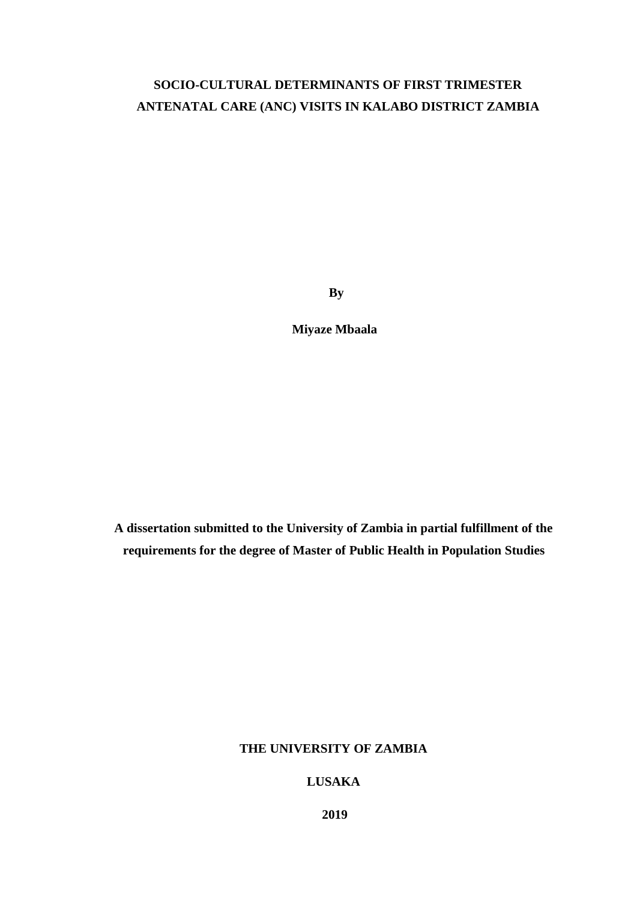# **SOCIO-CULTURAL DETERMINANTS OF FIRST TRIMESTER ANTENATAL CARE (ANC) VISITS IN KALABO DISTRICT ZAMBIA**

**By**

**Miyaze Mbaala**

**A dissertation submitted to the University of Zambia in partial fulfillment of the requirements for the degree of Master of Public Health in Population Studies**

# **THE UNIVERSITY OF ZAMBIA**

# **LUSAKA**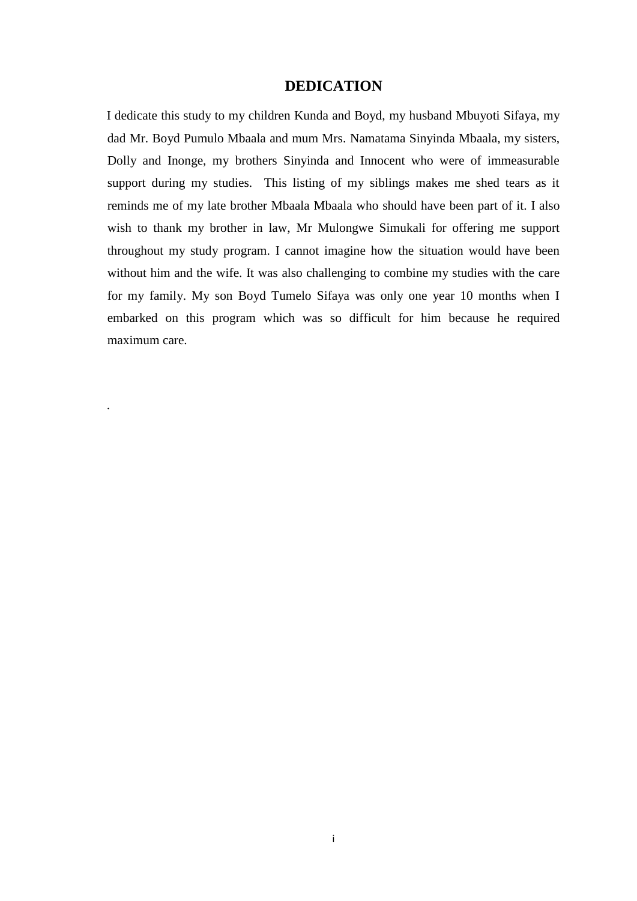# **DEDICATION**

<span id="page-1-0"></span>I dedicate this study to my children Kunda and Boyd, my husband Mbuyoti Sifaya, my dad Mr. Boyd Pumulo Mbaala and mum Mrs. Namatama Sinyinda Mbaala, my sisters, Dolly and Inonge, my brothers Sinyinda and Innocent who were of immeasurable support during my studies. This listing of my siblings makes me shed tears as it reminds me of my late brother Mbaala Mbaala who should have been part of it. I also wish to thank my brother in law, Mr Mulongwe Simukali for offering me support throughout my study program. I cannot imagine how the situation would have been without him and the wife. It was also challenging to combine my studies with the care for my family. My son Boyd Tumelo Sifaya was only one year 10 months when I embarked on this program which was so difficult for him because he required maximum care.

.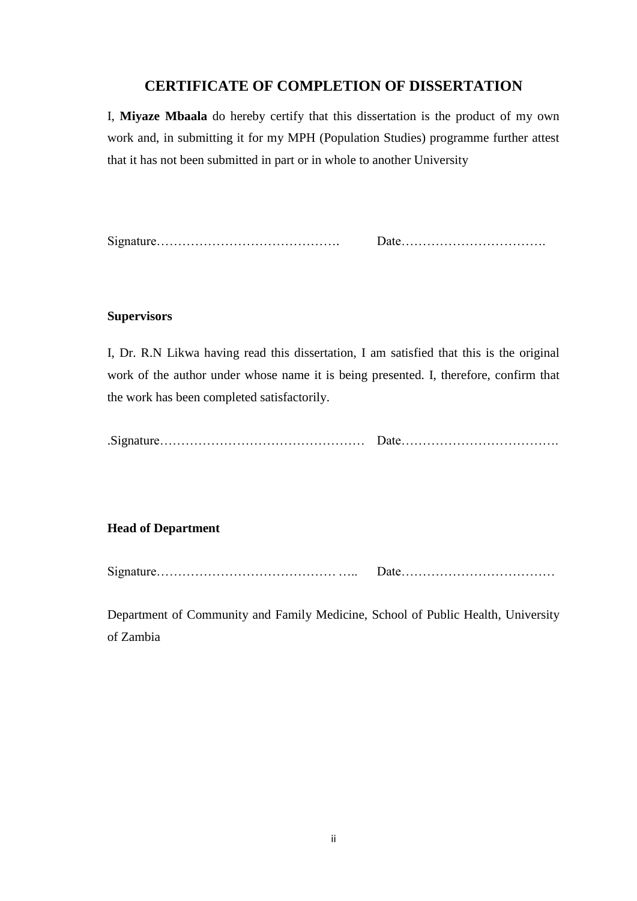# **CERTIFICATE OF COMPLETION OF DISSERTATION**

<span id="page-2-0"></span>I, **Miyaze Mbaala** do hereby certify that this dissertation is the product of my own work and, in submitting it for my MPH (Population Studies) programme further attest that it has not been submitted in part or in whole to another University

|--|--|

## **Supervisors**

I, Dr. R.N Likwa having read this dissertation, I am satisfied that this is the original work of the author under whose name it is being presented. I, therefore, confirm that the work has been completed satisfactorily.

|--|--|

#### **Head of Department**

| $\sim$ |  |
|--------|--|
|        |  |

Department of Community and Family Medicine, School of Public Health, University of Zambia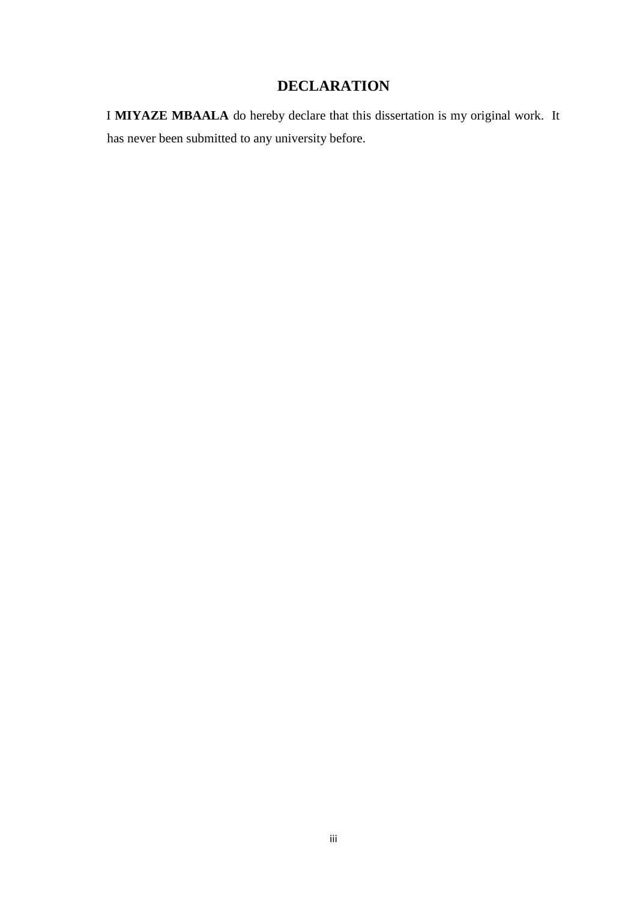# **DECLARATION**

<span id="page-3-0"></span>I **MIYAZE MBAALA** do hereby declare that this dissertation is my original work. It has never been submitted to any university before.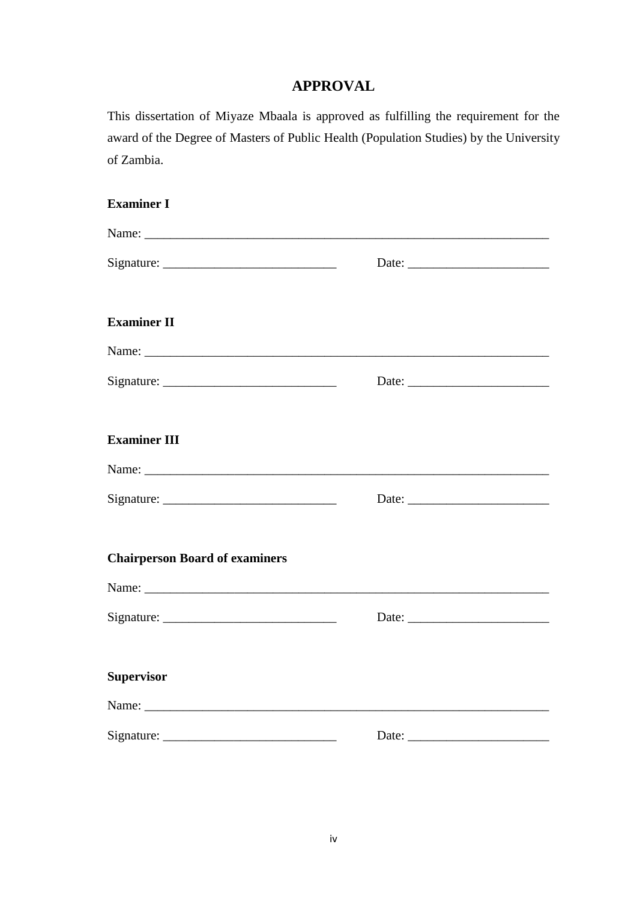# **APPROVAL**

<span id="page-4-0"></span>This dissertation of Miyaze Mbaala is approved as fulfilling the requirement for the award of the Degree of Masters of Public Health (Population Studies) by the University of Zambia.

| <b>Examiner I</b>                                                                                                                                                                                                              |  |
|--------------------------------------------------------------------------------------------------------------------------------------------------------------------------------------------------------------------------------|--|
|                                                                                                                                                                                                                                |  |
|                                                                                                                                                                                                                                |  |
| <b>Examiner II</b>                                                                                                                                                                                                             |  |
|                                                                                                                                                                                                                                |  |
| $Sigma$ : $\qquad \qquad$                                                                                                                                                                                                      |  |
| <b>Examiner III</b>                                                                                                                                                                                                            |  |
|                                                                                                                                                                                                                                |  |
| $Sigma =$                                                                                                                                                                                                                      |  |
| <b>Chairperson Board of examiners</b>                                                                                                                                                                                          |  |
|                                                                                                                                                                                                                                |  |
|                                                                                                                                                                                                                                |  |
| <b>Supervisor</b>                                                                                                                                                                                                              |  |
| Name: Name and the state of the state of the state of the state of the state of the state of the state of the state of the state of the state of the state of the state of the state of the state of the state of the state of |  |
| $Sigma =$                                                                                                                                                                                                                      |  |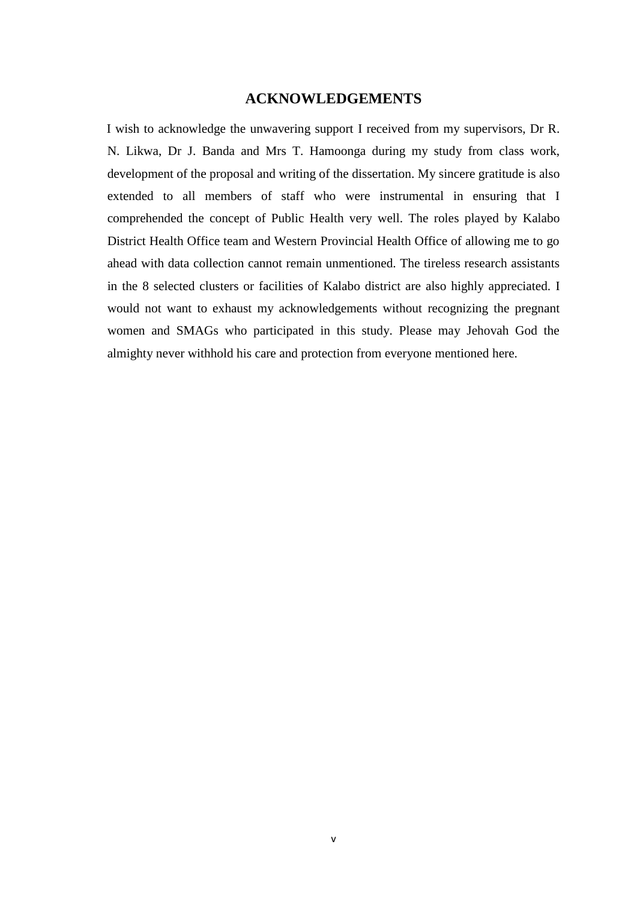# **ACKNOWLEDGEMENTS**

<span id="page-5-0"></span>I wish to acknowledge the unwavering support I received from my supervisors, Dr R. N. Likwa, Dr J. Banda and Mrs T. Hamoonga during my study from class work, development of the proposal and writing of the dissertation. My sincere gratitude is also extended to all members of staff who were instrumental in ensuring that I comprehended the concept of Public Health very well. The roles played by Kalabo District Health Office team and Western Provincial Health Office of allowing me to go ahead with data collection cannot remain unmentioned. The tireless research assistants in the 8 selected clusters or facilities of Kalabo district are also highly appreciated. I would not want to exhaust my acknowledgements without recognizing the pregnant women and SMAGs who participated in this study. Please may Jehovah God the almighty never withhold his care and protection from everyone mentioned here.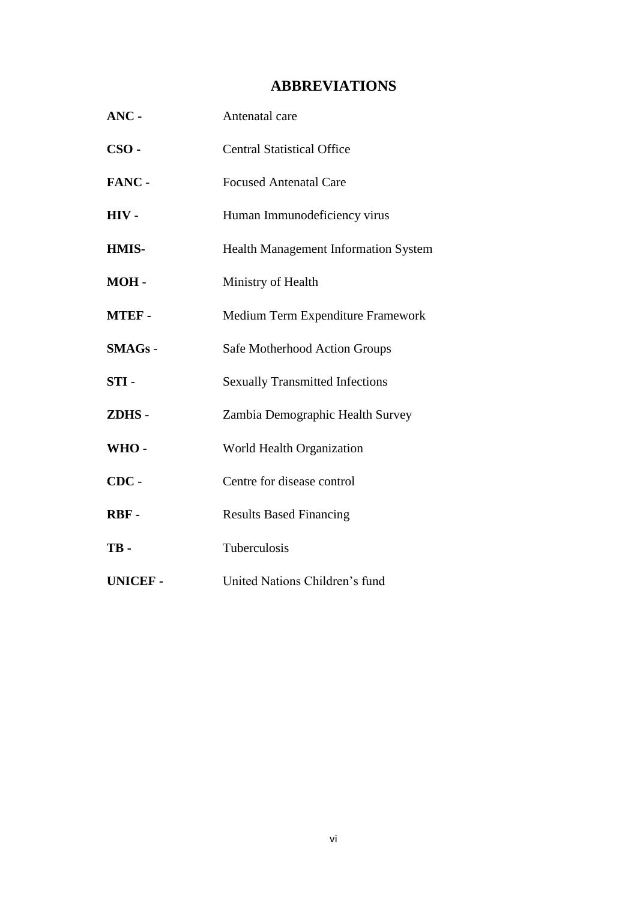# **ABBREVIATIONS**

<span id="page-6-0"></span>

| ANC-           | Antenatal care                              |  |
|----------------|---------------------------------------------|--|
| $CSO -$        | <b>Central Statistical Office</b>           |  |
| FANC -         | <b>Focused Antenatal Care</b>               |  |
| HIV-           | Human Immunodeficiency virus                |  |
| HMIS-          | <b>Health Management Information System</b> |  |
| MOH-           | Ministry of Health                          |  |
| <b>MTEF-</b>   | Medium Term Expenditure Framework           |  |
| $SMAGs -$      | Safe Motherhood Action Groups               |  |
| $STI -$        | <b>Sexually Transmitted Infections</b>      |  |
| ZDHS-          | Zambia Demographic Health Survey            |  |
| WHO-           | World Health Organization                   |  |
| $CDC -$        | Centre for disease control                  |  |
| RBF-           | <b>Results Based Financing</b>              |  |
| TB-            | Tuberculosis                                |  |
| <b>UNICEF-</b> | United Nations Children's fund              |  |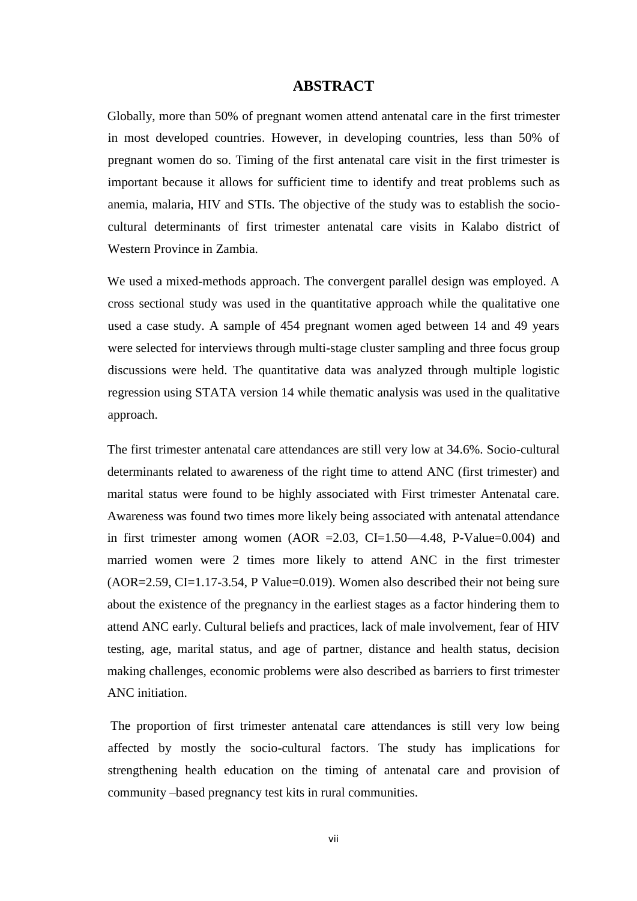## **ABSTRACT**

<span id="page-7-0"></span>Globally, more than 50% of pregnant women attend antenatal care in the first trimester in most developed countries. However, in developing countries, less than 50% of pregnant women do so. Timing of the first antenatal care visit in the first trimester is important because it allows for sufficient time to identify and treat problems such as anemia, malaria, HIV and STIs. The objective of the study was to establish the sociocultural determinants of first trimester antenatal care visits in Kalabo district of Western Province in Zambia.

We used a mixed-methods approach. The convergent parallel design was employed. A cross sectional study was used in the quantitative approach while the qualitative one used a case study. A sample of 454 pregnant women aged between 14 and 49 years were selected for interviews through multi-stage cluster sampling and three focus group discussions were held. The quantitative data was analyzed through multiple logistic regression using STATA version 14 while thematic analysis was used in the qualitative approach.

The first trimester antenatal care attendances are still very low at 34.6%. Socio-cultural determinants related to awareness of the right time to attend ANC (first trimester) and marital status were found to be highly associated with First trimester Antenatal care. Awareness was found two times more likely being associated with antenatal attendance in first trimester among women (AOR = 2.03, CI=1.50—4.48, P-Value= $0.004$ ) and married women were 2 times more likely to attend ANC in the first trimester (AOR=2.59, CI=1.17-3.54, P Value=0.019). Women also described their not being sure about the existence of the pregnancy in the earliest stages as a factor hindering them to attend ANC early. Cultural beliefs and practices, lack of male involvement, fear of HIV testing, age, marital status, and age of partner, distance and health status, decision making challenges, economic problems were also described as barriers to first trimester ANC initiation.

The proportion of first trimester antenatal care attendances is still very low being affected by mostly the socio-cultural factors. The study has implications for strengthening health education on the timing of antenatal care and provision of community –based pregnancy test kits in rural communities.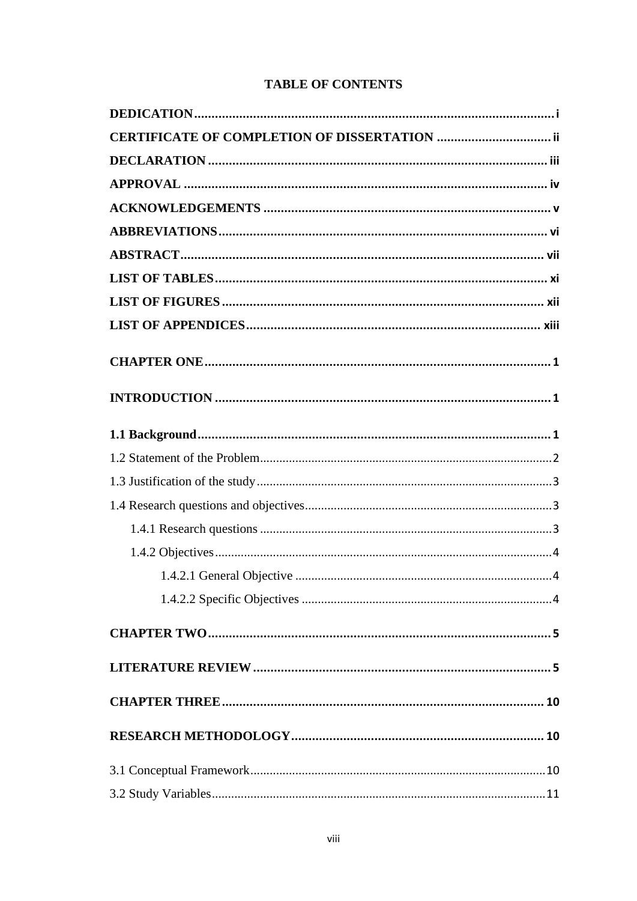# **TABLE OF CONTENTS**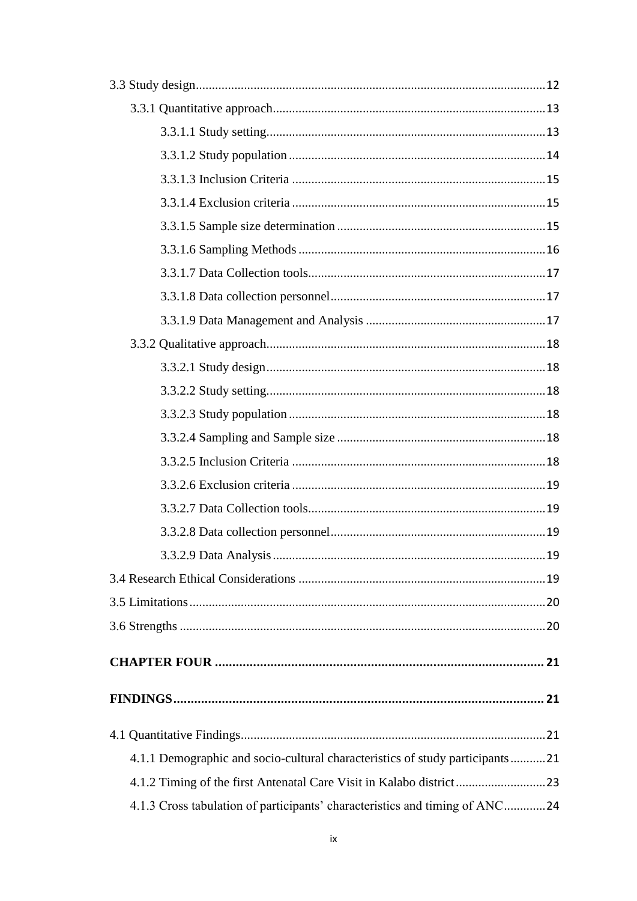| 4.1.1 Demographic and socio-cultural characteristics of study participants21 |  |
|------------------------------------------------------------------------------|--|
|                                                                              |  |
| 4.1.3 Cross tabulation of participants' characteristics and timing of ANC24  |  |
|                                                                              |  |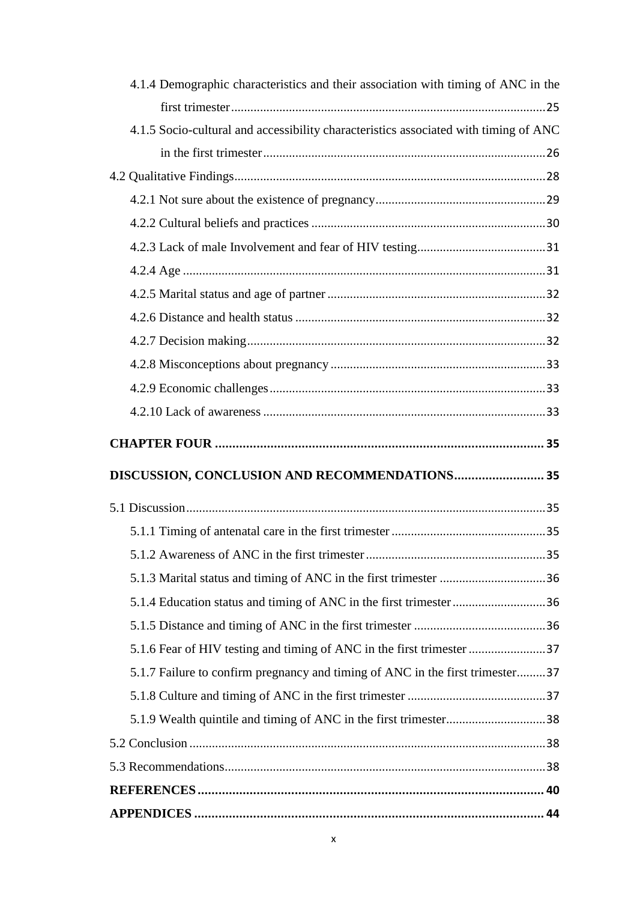| 4.1.4 Demographic characteristics and their association with timing of ANC in the    |
|--------------------------------------------------------------------------------------|
|                                                                                      |
| 4.1.5 Socio-cultural and accessibility characteristics associated with timing of ANC |
|                                                                                      |
|                                                                                      |
|                                                                                      |
|                                                                                      |
|                                                                                      |
|                                                                                      |
|                                                                                      |
|                                                                                      |
|                                                                                      |
|                                                                                      |
|                                                                                      |
|                                                                                      |
|                                                                                      |
|                                                                                      |
| DISCUSSION, CONCLUSION AND RECOMMENDATIONS 35                                        |
|                                                                                      |
|                                                                                      |
|                                                                                      |
|                                                                                      |
|                                                                                      |
|                                                                                      |
|                                                                                      |
| 5.1.7 Failure to confirm pregnancy and timing of ANC in the first trimester37        |
|                                                                                      |
|                                                                                      |
|                                                                                      |
|                                                                                      |
|                                                                                      |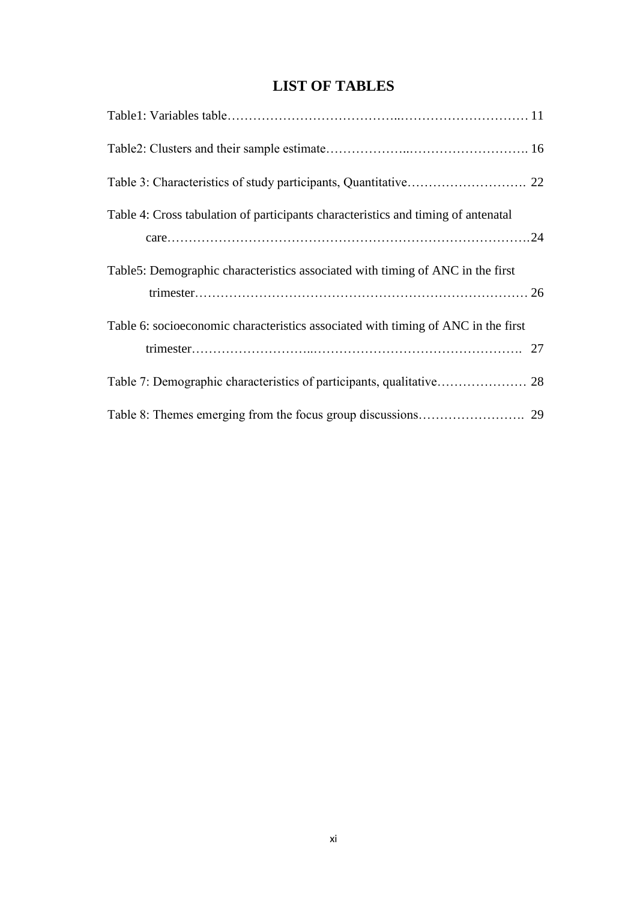# **LIST OF TABLES**

<span id="page-11-0"></span>

| Table 4: Cross tabulation of participants characteristics and timing of antenatal |  |
|-----------------------------------------------------------------------------------|--|
| Table5: Demographic characteristics associated with timing of ANC in the first    |  |
| Table 6: socioeconomic characteristics associated with timing of ANC in the first |  |
|                                                                                   |  |
|                                                                                   |  |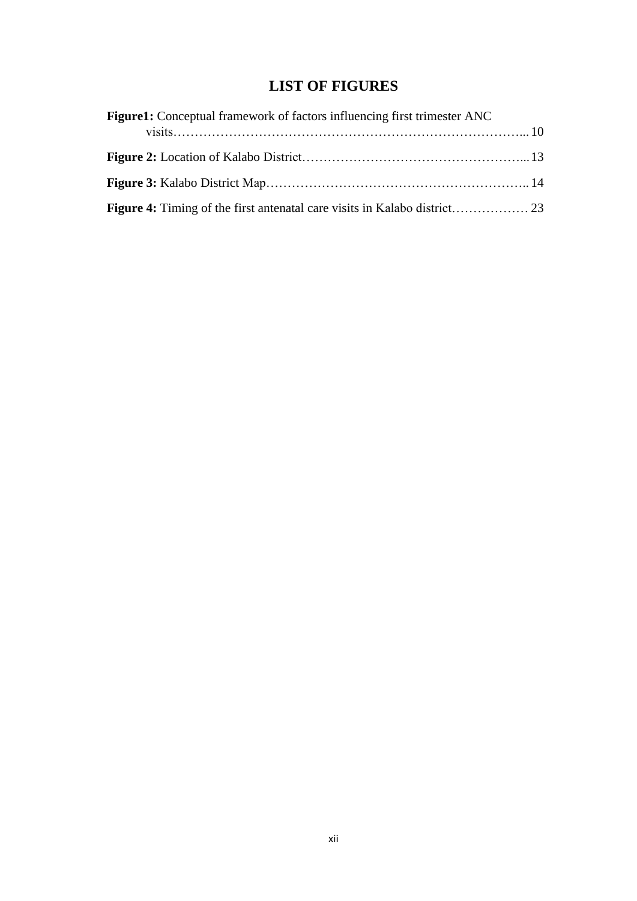# **LIST OF FIGURES**

<span id="page-12-0"></span>

| Figure1: Conceptual framework of factors influencing first trimester ANC |  |
|--------------------------------------------------------------------------|--|
|                                                                          |  |
|                                                                          |  |
|                                                                          |  |
|                                                                          |  |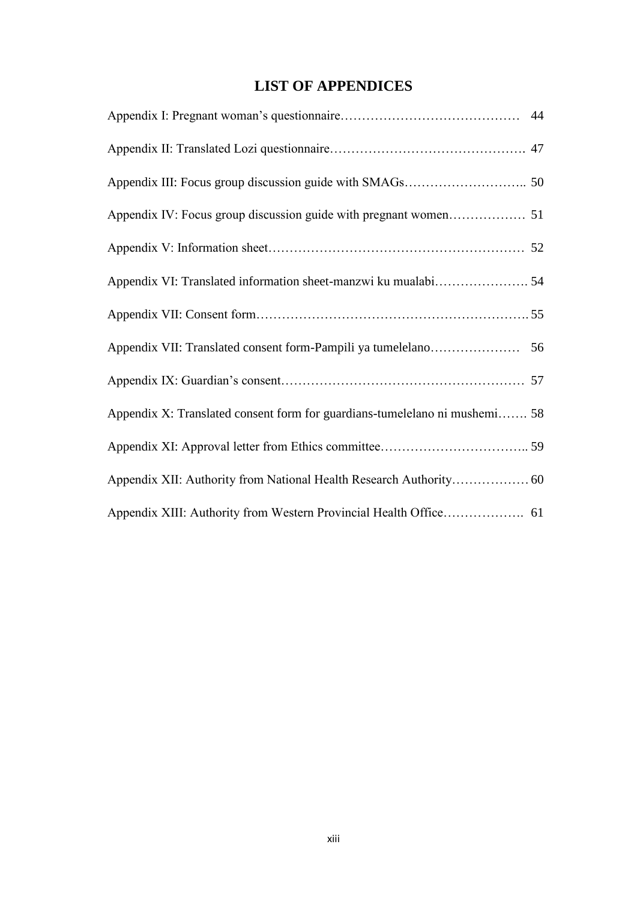# **LIST OF APPENDICES**

<span id="page-13-0"></span>

| Appendix X: Translated consent form for guardians-tumelelano ni mushemi 58 |  |
|----------------------------------------------------------------------------|--|
|                                                                            |  |
|                                                                            |  |
|                                                                            |  |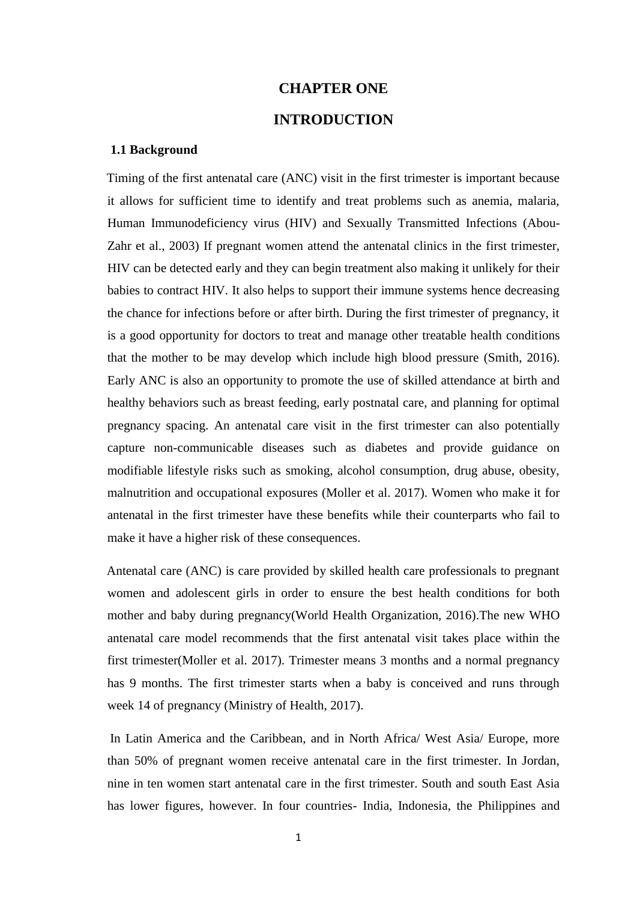# **CHAPTER ONE INTRODUCTION**

#### <span id="page-14-2"></span><span id="page-14-1"></span><span id="page-14-0"></span>**1.1 Background**

Timing of the first antenatal care (ANC) visit in the first trimester is important because it allows for sufficient time to identify and treat problems such as anemia, malaria, Human Immunodeficiency virus (HIV) and Sexually Transmitted Infections (Abou-Zahr et al., 2003) If pregnant women attend the antenatal clinics in the first trimester, HIV can be detected early and they can begin treatment also making it unlikely for their babies to contract HIV. It also helps to support their immune systems hence decreasing the chance for infections before or after birth. During the first trimester of pregnancy, it is a good opportunity for doctors to treat and manage other treatable health conditions that the mother to be may develop which include high blood pressure (Smith, 2016). Early ANC is also an opportunity to promote the use of skilled attendance at birth and healthy behaviors such as breast feeding, early postnatal care, and planning for optimal pregnancy spacing. An antenatal care visit in the first trimester can also potentially capture non-communicable diseases such as diabetes and provide guidance on modifiable lifestyle risks such as smoking, alcohol consumption, drug abuse, obesity, malnutrition and occupational exposures (Moller et al. 2017). Women who make it for antenatal in the first trimester have these benefits while their counterparts who fail to make it have a higher risk of these consequences.

Antenatal care (ANC) is care provided by skilled health care professionals to pregnant women and adolescent girls in order to ensure the best health conditions for both mother and baby during pregnancy(World Health Organization, 2016).The new WHO antenatal care model recommends that the first antenatal visit takes place within the first trimester(Moller et al. 2017). Trimester means 3 months and a normal pregnancy has 9 months. The first trimester starts when a baby is conceived and runs through week 14 of pregnancy (Ministry of Health, 2017).

In Latin America and the Caribbean, and in North Africa/ West Asia/ Europe, more than 50% of pregnant women receive antenatal care in the first trimester. In Jordan, nine in ten women start antenatal care in the first trimester. South and south East Asia has lower figures, however. In four countries- India, Indonesia, the Philippines and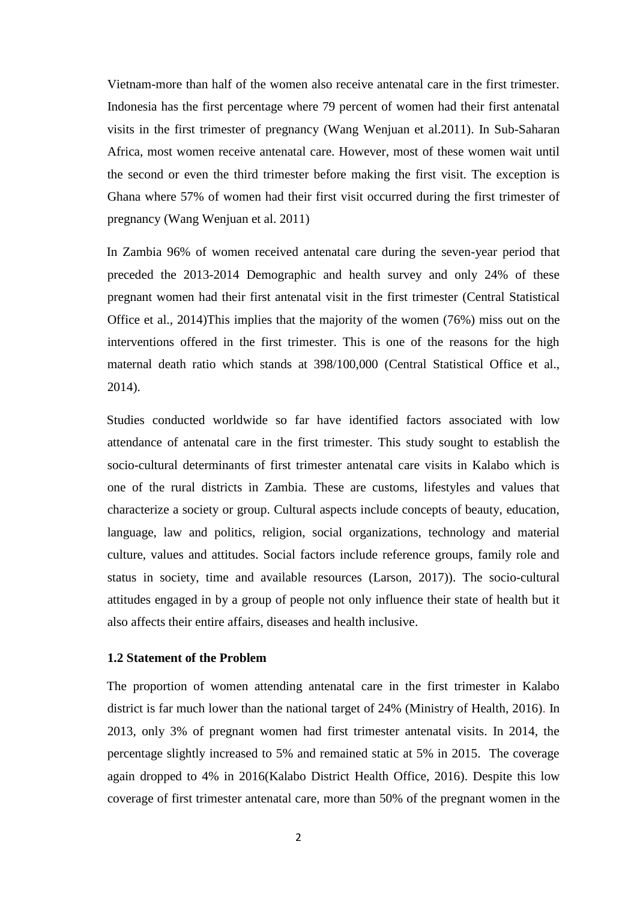Vietnam-more than half of the women also receive antenatal care in the first trimester. Indonesia has the first percentage where 79 percent of women had their first antenatal visits in the first trimester of pregnancy (Wang Wenjuan et al.2011). In Sub-Saharan Africa, most women receive antenatal care. However, most of these women wait until the second or even the third trimester before making the first visit. The exception is Ghana where 57% of women had their first visit occurred during the first trimester of pregnancy (Wang Wenjuan et al. 2011)

In Zambia 96% of women received antenatal care during the seven-year period that preceded the 2013-2014 Demographic and health survey and only 24% of these pregnant women had their first antenatal visit in the first trimester (Central Statistical Office et al., 2014)This implies that the majority of the women (76%) miss out on the interventions offered in the first trimester. This is one of the reasons for the high maternal death ratio which stands at 398/100,000 (Central Statistical Office et al., 2014).

Studies conducted worldwide so far have identified factors associated with low attendance of antenatal care in the first trimester. This study sought to establish the socio-cultural determinants of first trimester antenatal care visits in Kalabo which is one of the rural districts in Zambia. These are customs, lifestyles and values that characterize a society or group. Cultural aspects include concepts of beauty, education, language, law and politics, religion, social organizations, technology and material culture, values and attitudes. Social factors include reference groups, family role and status in society, time and available resources (Larson, 2017)). The socio-cultural attitudes engaged in by a group of people not only influence their state of health but it also affects their entire affairs, diseases and health inclusive.

#### <span id="page-15-0"></span>**1.2 Statement of the Problem**

The proportion of women attending antenatal care in the first trimester in Kalabo district is far much lower than the national target of 24% (Ministry of Health, 2016). In 2013, only 3% of pregnant women had first trimester antenatal visits. In 2014, the percentage slightly increased to 5% and remained static at 5% in 2015. The coverage again dropped to 4% in 2016(Kalabo District Health Office, 2016). Despite this low coverage of first trimester antenatal care, more than 50% of the pregnant women in the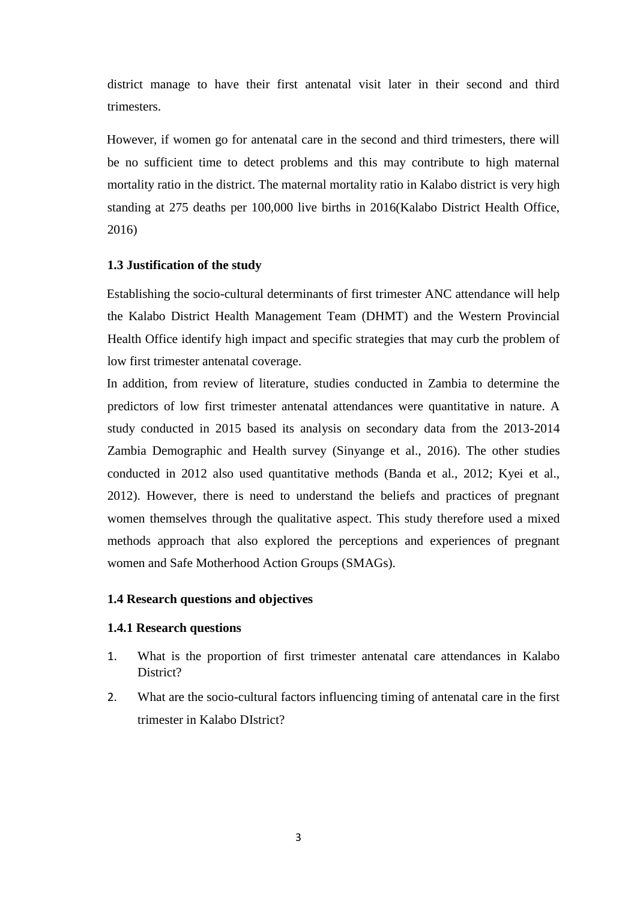district manage to have their first antenatal visit later in their second and third trimesters.

However, if women go for antenatal care in the second and third trimesters, there will be no sufficient time to detect problems and this may contribute to high maternal mortality ratio in the district. The maternal mortality ratio in Kalabo district is very high standing at 275 deaths per 100,000 live births in 2016(Kalabo District Health Office, 2016)

## <span id="page-16-0"></span>**1.3 Justification of the study**

Establishing the socio-cultural determinants of first trimester ANC attendance will help the Kalabo District Health Management Team (DHMT) and the Western Provincial Health Office identify high impact and specific strategies that may curb the problem of low first trimester antenatal coverage.

In addition, from review of literature, studies conducted in Zambia to determine the predictors of low first trimester antenatal attendances were quantitative in nature. A study conducted in 2015 based its analysis on secondary data from the 2013-2014 Zambia Demographic and Health survey (Sinyange et al., 2016). The other studies conducted in 2012 also used quantitative methods (Banda et al., 2012; Kyei et al., 2012). However, there is need to understand the beliefs and practices of pregnant women themselves through the qualitative aspect. This study therefore used a mixed methods approach that also explored the perceptions and experiences of pregnant women and Safe Motherhood Action Groups (SMAGs).

#### <span id="page-16-1"></span>**1.4 Research questions and objectives**

#### <span id="page-16-2"></span>**1.4.1 Research questions**

- 1. What is the proportion of first trimester antenatal care attendances in Kalabo District?
- 2. What are the socio-cultural factors influencing timing of antenatal care in the first trimester in Kalabo DIstrict?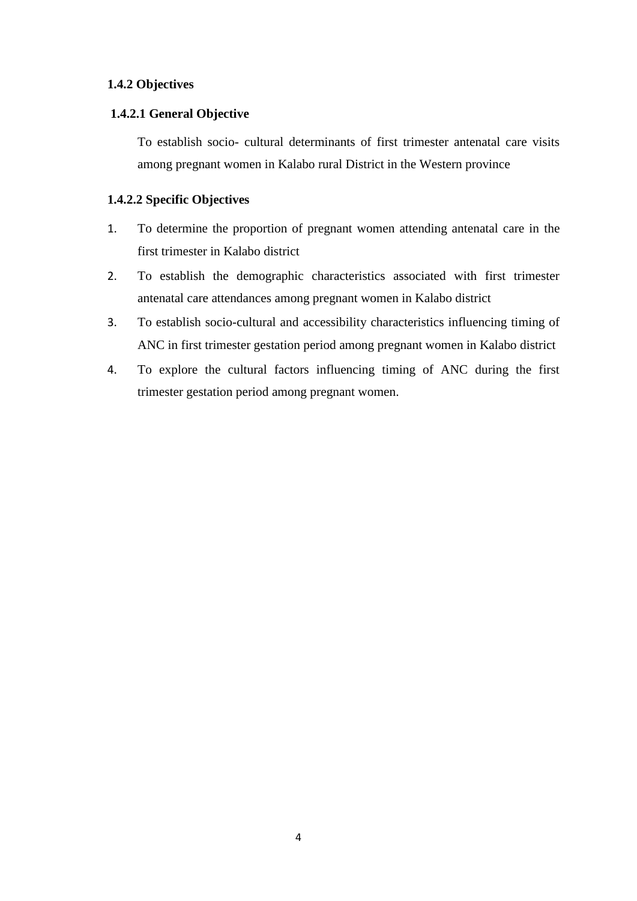# <span id="page-17-0"></span>**1.4.2 Objectives**

# <span id="page-17-1"></span>**1.4.2.1 General Objective**

To establish socio- cultural determinants of first trimester antenatal care visits among pregnant women in Kalabo rural District in the Western province

# <span id="page-17-2"></span>**1.4.2.2 Specific Objectives**

- 1. To determine the proportion of pregnant women attending antenatal care in the first trimester in Kalabo district
- 2. To establish the demographic characteristics associated with first trimester antenatal care attendances among pregnant women in Kalabo district
- 3. To establish socio-cultural and accessibility characteristics influencing timing of ANC in first trimester gestation period among pregnant women in Kalabo district
- 4. To explore the cultural factors influencing timing of ANC during the first trimester gestation period among pregnant women.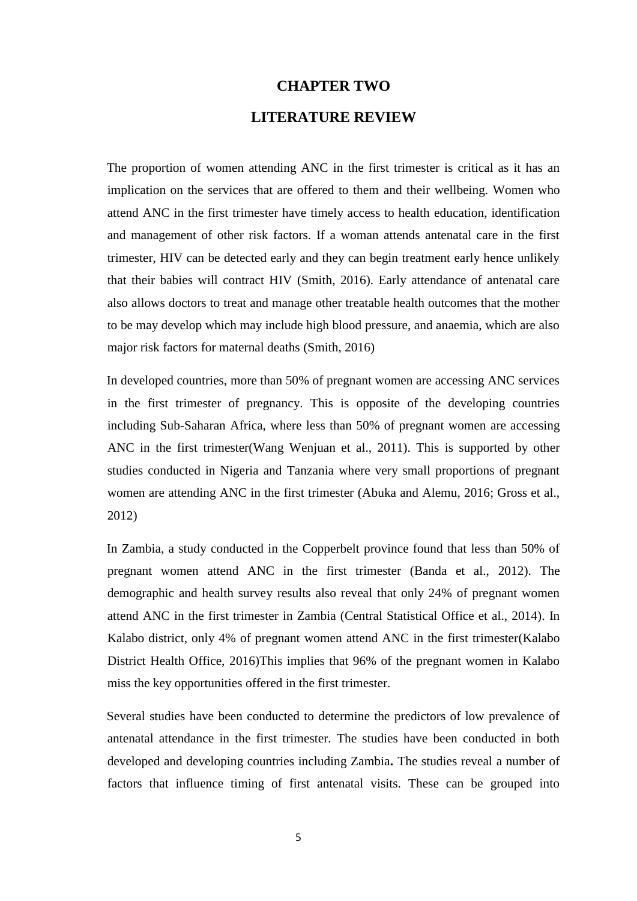# **CHAPTER TWO**

# **LITERATURE REVIEW**

<span id="page-18-1"></span><span id="page-18-0"></span>The proportion of women attending ANC in the first trimester is critical as it has an implication on the services that are offered to them and their wellbeing. Women who attend ANC in the first trimester have timely access to health education, identification and management of other risk factors. If a woman attends antenatal care in the first trimester, HIV can be detected early and they can begin treatment early hence unlikely that their babies will contract HIV (Smith, 2016). Early attendance of antenatal care also allows doctors to treat and manage other treatable health outcomes that the mother to be may develop which may include high blood pressure, and anaemia, which are also major risk factors for maternal deaths (Smith, 2016)

In developed countries, more than 50% of pregnant women are accessing ANC services in the first trimester of pregnancy. This is opposite of the developing countries including Sub-Saharan Africa, where less than 50% of pregnant women are accessing ANC in the first trimester(Wang Wenjuan et al., 2011). This is supported by other studies conducted in Nigeria and Tanzania where very small proportions of pregnant women are attending ANC in the first trimester (Abuka and Alemu, 2016; Gross et al., 2012)

In Zambia, a study conducted in the Copperbelt province found that less than 50% of pregnant women attend ANC in the first trimester (Banda et al., 2012). The demographic and health survey results also reveal that only 24% of pregnant women attend ANC in the first trimester in Zambia (Central Statistical Office et al., 2014). In Kalabo district, only 4% of pregnant women attend ANC in the first trimester(Kalabo District Health Office, 2016)This implies that 96% of the pregnant women in Kalabo miss the key opportunities offered in the first trimester.

Several studies have been conducted to determine the predictors of low prevalence of antenatal attendance in the first trimester. The studies have been conducted in both developed and developing countries including Zambia**.** The studies reveal a number of factors that influence timing of first antenatal visits. These can be grouped into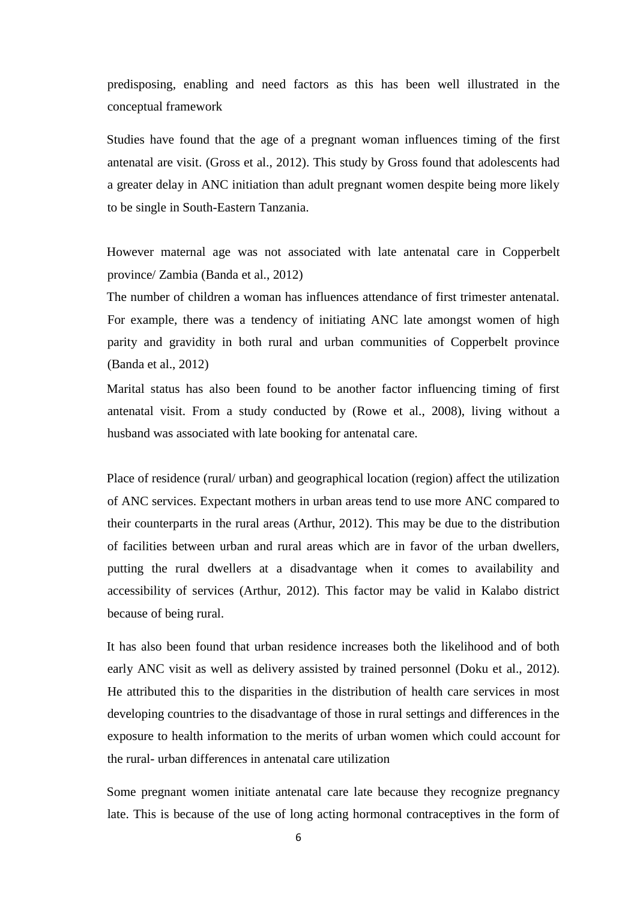predisposing, enabling and need factors as this has been well illustrated in the conceptual framework

Studies have found that the age of a pregnant woman influences timing of the first antenatal are visit. (Gross et al., 2012). This study by Gross found that adolescents had a greater delay in ANC initiation than adult pregnant women despite being more likely to be single in South-Eastern Tanzania.

However maternal age was not associated with late antenatal care in Copperbelt province/ Zambia (Banda et al., 2012)

The number of children a woman has influences attendance of first trimester antenatal. For example, there was a tendency of initiating ANC late amongst women of high parity and gravidity in both rural and urban communities of Copperbelt province (Banda et al., 2012)

Marital status has also been found to be another factor influencing timing of first antenatal visit. From a study conducted by (Rowe et al., 2008), living without a husband was associated with late booking for antenatal care.

Place of residence (rural/ urban) and geographical location (region) affect the utilization of ANC services. Expectant mothers in urban areas tend to use more ANC compared to their counterparts in the rural areas (Arthur, 2012). This may be due to the distribution of facilities between urban and rural areas which are in favor of the urban dwellers, putting the rural dwellers at a disadvantage when it comes to availability and accessibility of services (Arthur, 2012). This factor may be valid in Kalabo district because of being rural.

It has also been found that urban residence increases both the likelihood and of both early ANC visit as well as delivery assisted by trained personnel (Doku et al., 2012). He attributed this to the disparities in the distribution of health care services in most developing countries to the disadvantage of those in rural settings and differences in the exposure to health information to the merits of urban women which could account for the rural- urban differences in antenatal care utilization

Some pregnant women initiate antenatal care late because they recognize pregnancy late. This is because of the use of long acting hormonal contraceptives in the form of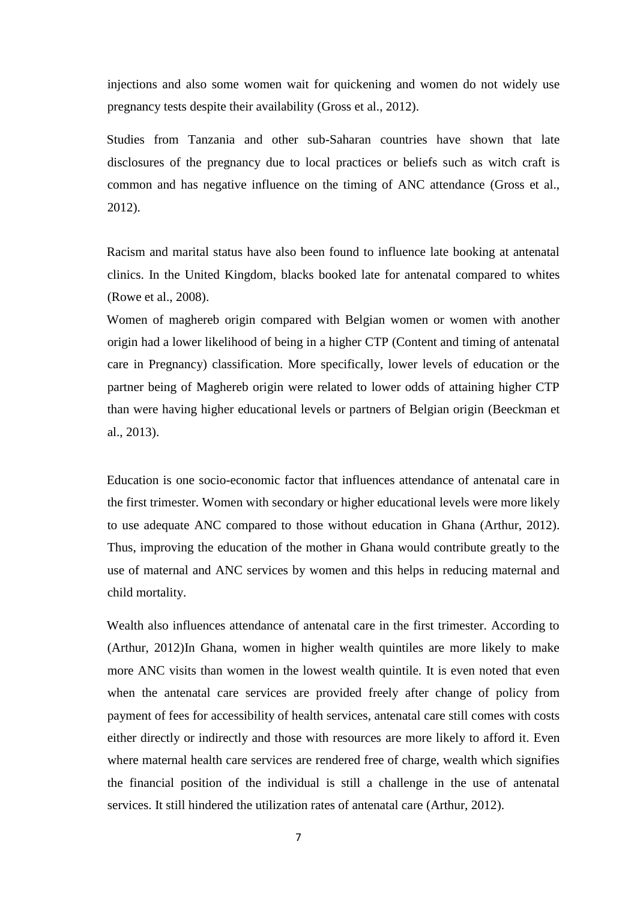injections and also some women wait for quickening and women do not widely use pregnancy tests despite their availability (Gross et al., 2012).

Studies from Tanzania and other sub-Saharan countries have shown that late disclosures of the pregnancy due to local practices or beliefs such as witch craft is common and has negative influence on the timing of ANC attendance (Gross et al., 2012).

Racism and marital status have also been found to influence late booking at antenatal clinics. In the United Kingdom, blacks booked late for antenatal compared to whites (Rowe et al., 2008).

Women of maghereb origin compared with Belgian women or women with another origin had a lower likelihood of being in a higher CTP (Content and timing of antenatal care in Pregnancy) classification. More specifically, lower levels of education or the partner being of Maghereb origin were related to lower odds of attaining higher CTP than were having higher educational levels or partners of Belgian origin (Beeckman et al., 2013).

Education is one socio-economic factor that influences attendance of antenatal care in the first trimester. Women with secondary or higher educational levels were more likely to use adequate ANC compared to those without education in Ghana (Arthur, 2012). Thus, improving the education of the mother in Ghana would contribute greatly to the use of maternal and ANC services by women and this helps in reducing maternal and child mortality.

Wealth also influences attendance of antenatal care in the first trimester. According to (Arthur, 2012)In Ghana, women in higher wealth quintiles are more likely to make more ANC visits than women in the lowest wealth quintile. It is even noted that even when the antenatal care services are provided freely after change of policy from payment of fees for accessibility of health services, antenatal care still comes with costs either directly or indirectly and those with resources are more likely to afford it. Even where maternal health care services are rendered free of charge, wealth which signifies the financial position of the individual is still a challenge in the use of antenatal services. It still hindered the utilization rates of antenatal care (Arthur, 2012).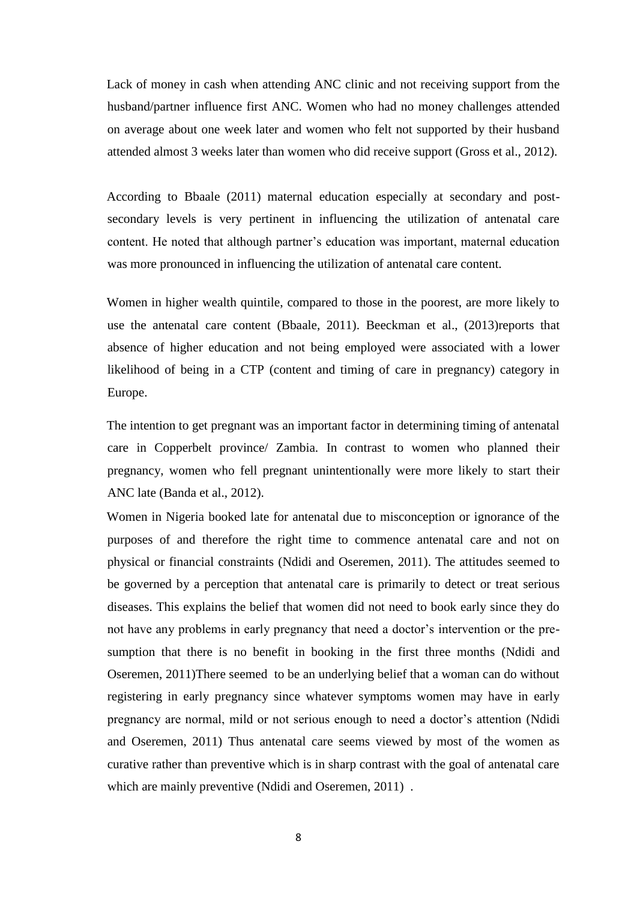Lack of money in cash when attending ANC clinic and not receiving support from the husband/partner influence first ANC. Women who had no money challenges attended on average about one week later and women who felt not supported by their husband attended almost 3 weeks later than women who did receive support (Gross et al., 2012).

According to Bbaale (2011) maternal education especially at secondary and postsecondary levels is very pertinent in influencing the utilization of antenatal care content. He noted that although partner's education was important, maternal education was more pronounced in influencing the utilization of antenatal care content.

Women in higher wealth quintile, compared to those in the poorest, are more likely to use the antenatal care content (Bbaale, 2011). Beeckman et al., (2013)reports that absence of higher education and not being employed were associated with a lower likelihood of being in a CTP (content and timing of care in pregnancy) category in Europe.

The intention to get pregnant was an important factor in determining timing of antenatal care in Copperbelt province/ Zambia. In contrast to women who planned their pregnancy, women who fell pregnant unintentionally were more likely to start their ANC late (Banda et al., 2012).

Women in Nigeria booked late for antenatal due to misconception or ignorance of the purposes of and therefore the right time to commence antenatal care and not on physical or financial constraints (Ndidi and Oseremen, 2011). The attitudes seemed to be governed by a perception that antenatal care is primarily to detect or treat serious diseases. This explains the belief that women did not need to book early since they do not have any problems in early pregnancy that need a doctor's intervention or the presumption that there is no benefit in booking in the first three months (Ndidi and Oseremen, 2011)There seemed to be an underlying belief that a woman can do without registering in early pregnancy since whatever symptoms women may have in early pregnancy are normal, mild or not serious enough to need a doctor's attention (Ndidi and Oseremen, 2011) Thus antenatal care seems viewed by most of the women as curative rather than preventive which is in sharp contrast with the goal of antenatal care which are mainly preventive (Ndidi and Oseremen, 2011).

8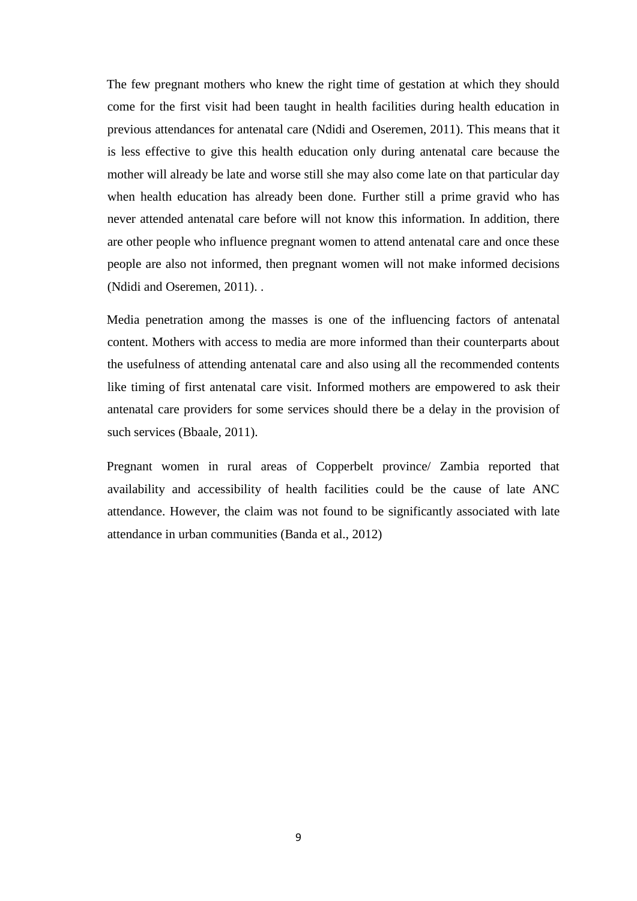The few pregnant mothers who knew the right time of gestation at which they should come for the first visit had been taught in health facilities during health education in previous attendances for antenatal care (Ndidi and Oseremen, 2011). This means that it is less effective to give this health education only during antenatal care because the mother will already be late and worse still she may also come late on that particular day when health education has already been done. Further still a prime gravid who has never attended antenatal care before will not know this information. In addition, there are other people who influence pregnant women to attend antenatal care and once these people are also not informed, then pregnant women will not make informed decisions (Ndidi and Oseremen, 2011). .

Media penetration among the masses is one of the influencing factors of antenatal content. Mothers with access to media are more informed than their counterparts about the usefulness of attending antenatal care and also using all the recommended contents like timing of first antenatal care visit. Informed mothers are empowered to ask their antenatal care providers for some services should there be a delay in the provision of such services (Bbaale, 2011).

Pregnant women in rural areas of Copperbelt province/ Zambia reported that availability and accessibility of health facilities could be the cause of late ANC attendance. However, the claim was not found to be significantly associated with late attendance in urban communities (Banda et al., 2012)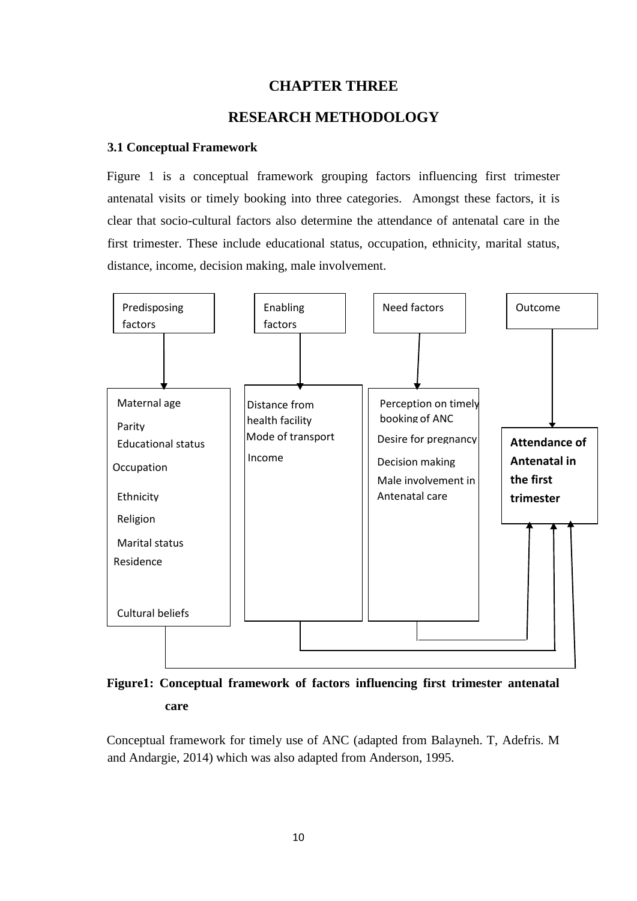# **CHAPTER THREE**

# **RESEARCH METHODOLOGY**

#### <span id="page-23-2"></span><span id="page-23-1"></span><span id="page-23-0"></span>**3.1 Conceptual Framework**

Figure 1 is a conceptual framework grouping factors influencing first trimester antenatal visits or timely booking into three categories. Amongst these factors, it is clear that socio-cultural factors also determine the attendance of antenatal care in the first trimester. These include educational status, occupation, ethnicity, marital status, distance, income, decision making, male involvement.



# **Figure1: Conceptual framework of factors influencing first trimester antenatal care**

Conceptual framework for timely use of ANC (adapted from Balayneh. T, Adefris. M and Andargie, 2014) which was also adapted from Anderson, 1995.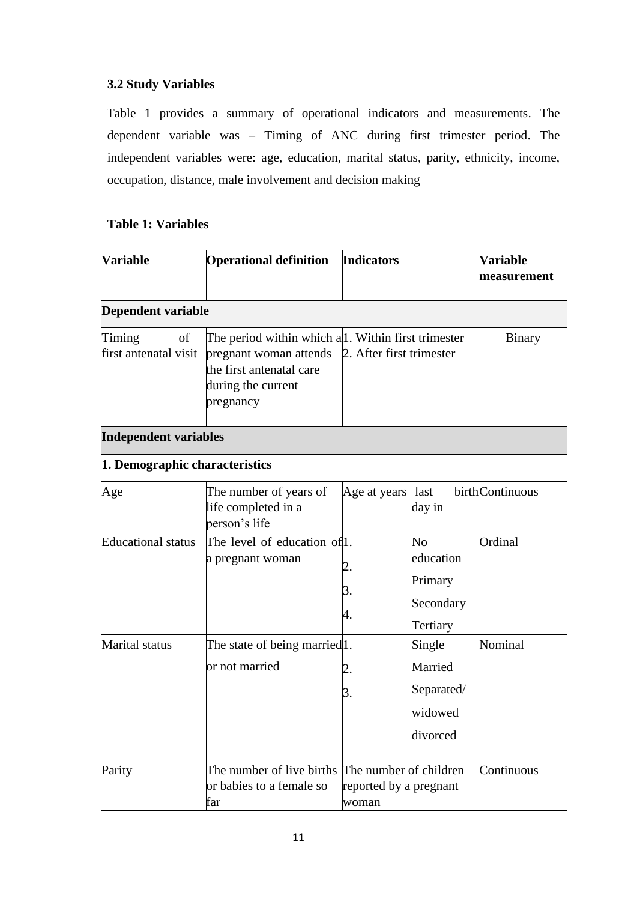# <span id="page-24-0"></span>**3.2 Study Variables**

Table 1 provides a summary of operational indicators and measurements. The dependent variable was – Timing of ANC during first trimester period. The independent variables were: age, education, marital status, parity, ethnicity, income, occupation, distance, male involvement and decision making

# **Table 1: Variables**

| Variable                              | <b>Operational definition</b>                                                                                                                | <b>Indicators</b>               |                                                                 | <b>Variable</b><br>measurement |
|---------------------------------------|----------------------------------------------------------------------------------------------------------------------------------------------|---------------------------------|-----------------------------------------------------------------|--------------------------------|
| <b>Dependent variable</b>             |                                                                                                                                              |                                 |                                                                 |                                |
| Timing<br>of<br>first antenatal visit | The period within which a 1. Within first trimester<br>pregnant woman attends<br>the first antenatal care<br>during the current<br>pregnancy | 2. After first trimester        |                                                                 | Binary                         |
| <b>Independent variables</b>          |                                                                                                                                              |                                 |                                                                 |                                |
| 1. Demographic characteristics        |                                                                                                                                              |                                 |                                                                 |                                |
| Age                                   | The number of years of<br>life completed in a<br>person's life                                                                               | Age at years last               | day in                                                          | birthContinuous                |
| <b>Educational</b> status             | The level of education of l.<br>a pregnant woman                                                                                             | 3.<br>4.                        | N <sub>o</sub><br>education<br>Primary<br>Secondary<br>Tertiary | Ordinal                        |
| Marital status                        | The state of being married <sup>11</sup> .<br>or not married                                                                                 | 2.<br>3.                        | Single<br>Married<br>Separated/<br>widowed<br>divorced          | Nominal                        |
| Parity                                | The number of live births The number of children<br>or babies to a female so<br>far                                                          | reported by a pregnant<br>woman |                                                                 | Continuous                     |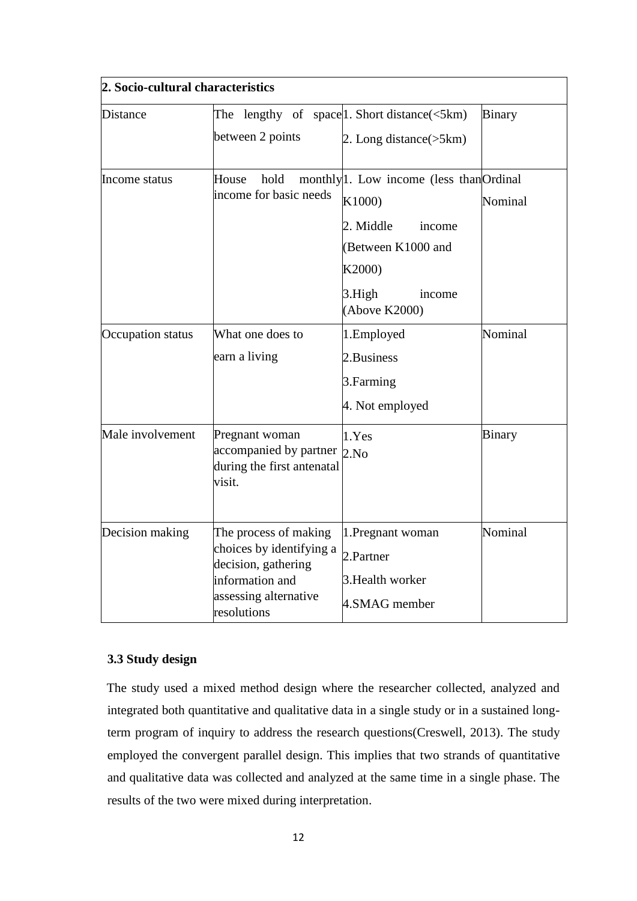| 2. Socio-cultural characteristics |                                                                                                                                     |                                                                                                                                                                       |               |  |
|-----------------------------------|-------------------------------------------------------------------------------------------------------------------------------------|-----------------------------------------------------------------------------------------------------------------------------------------------------------------------|---------------|--|
| <b>Distance</b>                   | The<br>between 2 points                                                                                                             | lengthy of space. Short distance $\leq$ 5km)<br>2. Long distance $(5km)$                                                                                              | <b>Binary</b> |  |
| Income status                     | hold<br>House<br>income for basic needs                                                                                             | monthly <sup>1</sup> . Low income (less than <sup>Ordinal</sup><br>K1000)<br>2. Middle<br>income<br>(Between K1000 and<br>K2000)<br>3.High<br>income<br>(Above K2000) | Nominal       |  |
| Occupation status                 | What one does to<br>earn a living                                                                                                   | 1.Employed<br>2. Business<br>3. Farming<br>4. Not employed                                                                                                            | Nominal       |  |
| Male involvement                  | Pregnant woman<br>accompanied by partner<br>during the first antenatal<br>visit.                                                    | 1.Yes<br>2.No                                                                                                                                                         | <b>Binary</b> |  |
| Decision making                   | The process of making<br>choices by identifying a<br>decision, gathering<br>information and<br>assessing alternative<br>resolutions | 1. Pregnant woman<br>2.Partner<br>3. Health worker<br>4.SMAG member                                                                                                   | Nominal       |  |

# <span id="page-25-0"></span>**3.3 Study design**

The study used a mixed method design where the researcher collected, analyzed and integrated both quantitative and qualitative data in a single study or in a sustained longterm program of inquiry to address the research questions(Creswell, 2013). The study employed the convergent parallel design. This implies that two strands of quantitative and qualitative data was collected and analyzed at the same time in a single phase. The results of the two were mixed during interpretation.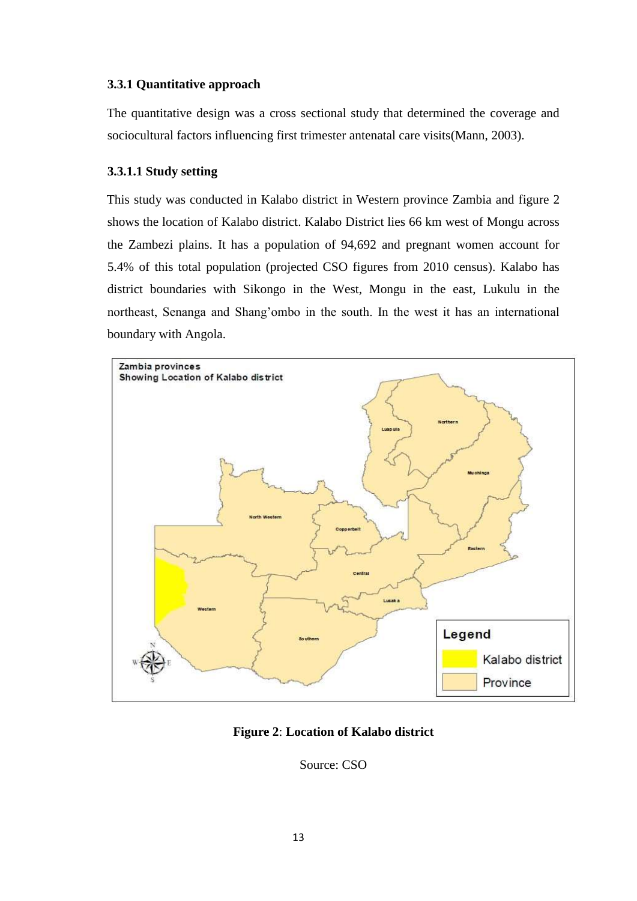# <span id="page-26-0"></span>**3.3.1 Quantitative approach**

The quantitative design was a cross sectional study that determined the coverage and sociocultural factors influencing first trimester antenatal care visits(Mann, 2003).

# <span id="page-26-1"></span>**3.3.1.1 Study setting**

This study was conducted in Kalabo district in Western province Zambia and figure 2 shows the location of Kalabo district. Kalabo District lies 66 km west of Mongu across the Zambezi plains. It has a population of 94,692 and pregnant women account for 5.4% of this total population (projected CSO figures from 2010 census). Kalabo has district boundaries with Sikongo in the West, Mongu in the east, Lukulu in the northeast, Senanga and Shang'ombo in the south. In the west it has an international boundary with Angola.



**Figure 2**: **Location of Kalabo district**

Source: CSO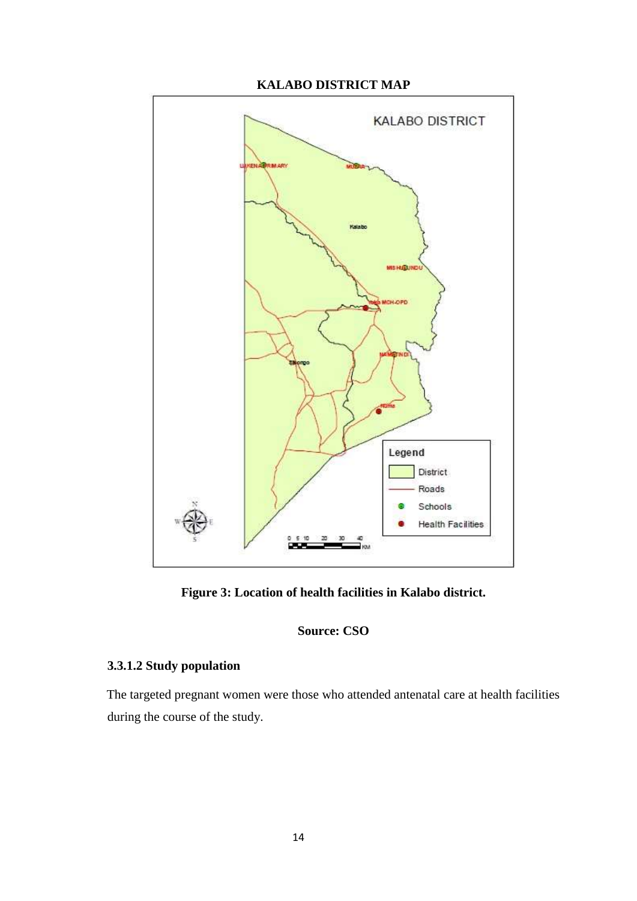



**Figure 3: Location of health facilities in Kalabo district.**

**Source: CSO**

# <span id="page-27-0"></span>**3.3.1.2 Study population**

The targeted pregnant women were those who attended antenatal care at health facilities during the course of the study.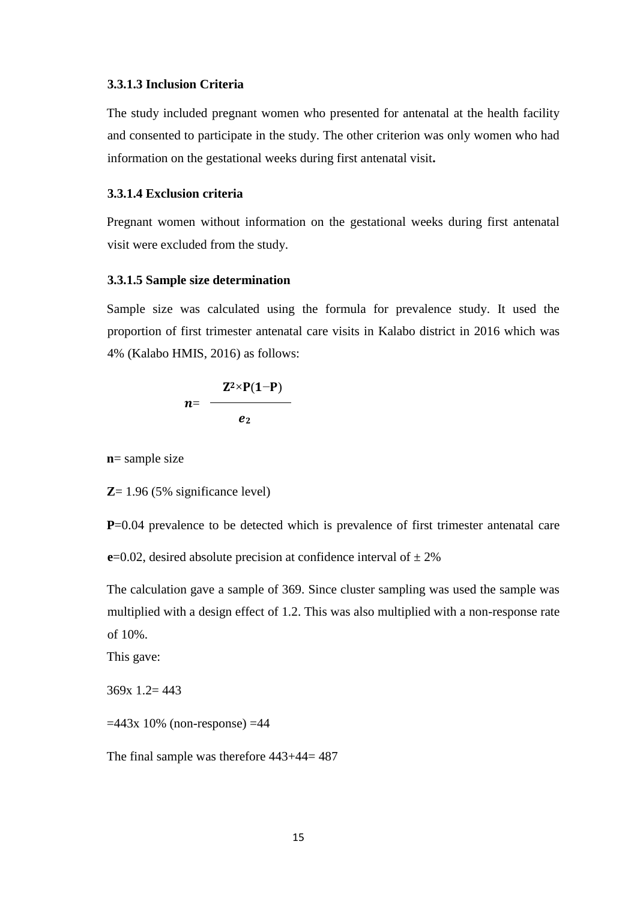#### <span id="page-28-0"></span>**3.3.1.3 Inclusion Criteria**

The study included pregnant women who presented for antenatal at the health facility and consented to participate in the study. The other criterion was only women who had information on the gestational weeks during first antenatal visit**.** 

## <span id="page-28-1"></span>**3.3.1.4 Exclusion criteria**

Pregnant women without information on the gestational weeks during first antenatal visit were excluded from the study.

#### <span id="page-28-2"></span>**3.3.1.5 Sample size determination**

Sample size was calculated using the formula for prevalence study. It used the proportion of first trimester antenatal care visits in Kalabo district in 2016 which was 4% (Kalabo HMIS, 2016) as follows:

$$
n = \frac{Z^2 \times P(1-P)}{e_2}
$$

**n**= sample size

**Z**= 1.96 (5% significance level)

**P**=0.04 prevalence to be detected which is prevalence of first trimester antenatal care

**e**=0.02, desired absolute precision at confidence interval of  $\pm$  2%

The calculation gave a sample of 369. Since cluster sampling was used the sample was multiplied with a design effect of 1.2. This was also multiplied with a non-response rate of 10%.

This gave:

369x 1.2= 443

 $=443x 10\%$  (non-response)  $=44$ 

The final sample was therefore 443+44= 487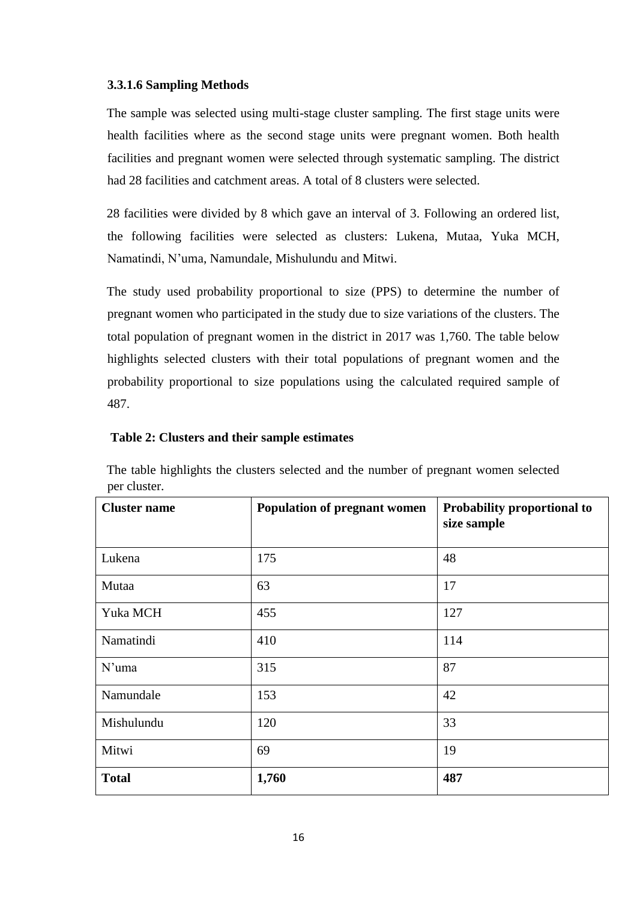## <span id="page-29-0"></span>**3.3.1.6 Sampling Methods**

The sample was selected using multi-stage cluster sampling. The first stage units were health facilities where as the second stage units were pregnant women. Both health facilities and pregnant women were selected through systematic sampling. The district had 28 facilities and catchment areas. A total of 8 clusters were selected.

28 facilities were divided by 8 which gave an interval of 3. Following an ordered list, the following facilities were selected as clusters: Lukena, Mutaa, Yuka MCH, Namatindi, N'uma, Namundale, Mishulundu and Mitwi.

The study used probability proportional to size (PPS) to determine the number of pregnant women who participated in the study due to size variations of the clusters. The total population of pregnant women in the district in 2017 was 1,760. The table below highlights selected clusters with their total populations of pregnant women and the probability proportional to size populations using the calculated required sample of 487.

## **Table 2: Clusters and their sample estimates**

| The table highlights the clusters selected and the number of pregnant women selected |  |  |  |  |
|--------------------------------------------------------------------------------------|--|--|--|--|
| per cluster.                                                                         |  |  |  |  |

| <b>Cluster name</b> | <b>Population of pregnant women</b> | Probability proportional to<br>size sample |
|---------------------|-------------------------------------|--------------------------------------------|
| Lukena              | 175                                 | 48                                         |
| Mutaa               | 63                                  | 17                                         |
| Yuka MCH            | 455                                 | 127                                        |
| Namatindi           | 410                                 | 114                                        |
| $N'$ uma            | 315                                 | 87                                         |
| Namundale           | 153                                 | 42                                         |
| Mishulundu          | 120                                 | 33                                         |
| Mitwi               | 69                                  | 19                                         |
| <b>Total</b>        | 1,760                               | 487                                        |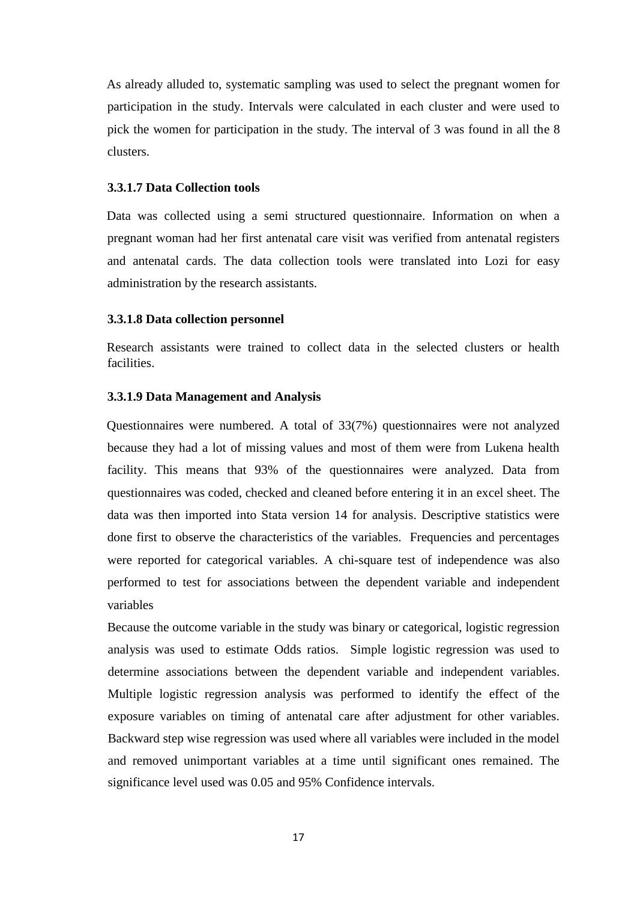As already alluded to, systematic sampling was used to select the pregnant women for participation in the study. Intervals were calculated in each cluster and were used to pick the women for participation in the study. The interval of 3 was found in all the 8 clusters.

#### <span id="page-30-0"></span>**3.3.1.7 Data Collection tools**

Data was collected using a semi structured questionnaire. Information on when a pregnant woman had her first antenatal care visit was verified from antenatal registers and antenatal cards. The data collection tools were translated into Lozi for easy administration by the research assistants.

#### <span id="page-30-1"></span>**3.3.1.8 Data collection personnel**

Research assistants were trained to collect data in the selected clusters or health facilities.

#### <span id="page-30-2"></span>**3.3.1.9 Data Management and Analysis**

Questionnaires were numbered. A total of 33(7%) questionnaires were not analyzed because they had a lot of missing values and most of them were from Lukena health facility. This means that 93% of the questionnaires were analyzed. Data from questionnaires was coded, checked and cleaned before entering it in an excel sheet. The data was then imported into Stata version 14 for analysis. Descriptive statistics were done first to observe the characteristics of the variables. Frequencies and percentages were reported for categorical variables. A chi-square test of independence was also performed to test for associations between the dependent variable and independent variables

Because the outcome variable in the study was binary or categorical, logistic regression analysis was used to estimate Odds ratios. Simple logistic regression was used to determine associations between the dependent variable and independent variables. Multiple logistic regression analysis was performed to identify the effect of the exposure variables on timing of antenatal care after adjustment for other variables. Backward step wise regression was used where all variables were included in the model and removed unimportant variables at a time until significant ones remained. The significance level used was 0.05 and 95% Confidence intervals.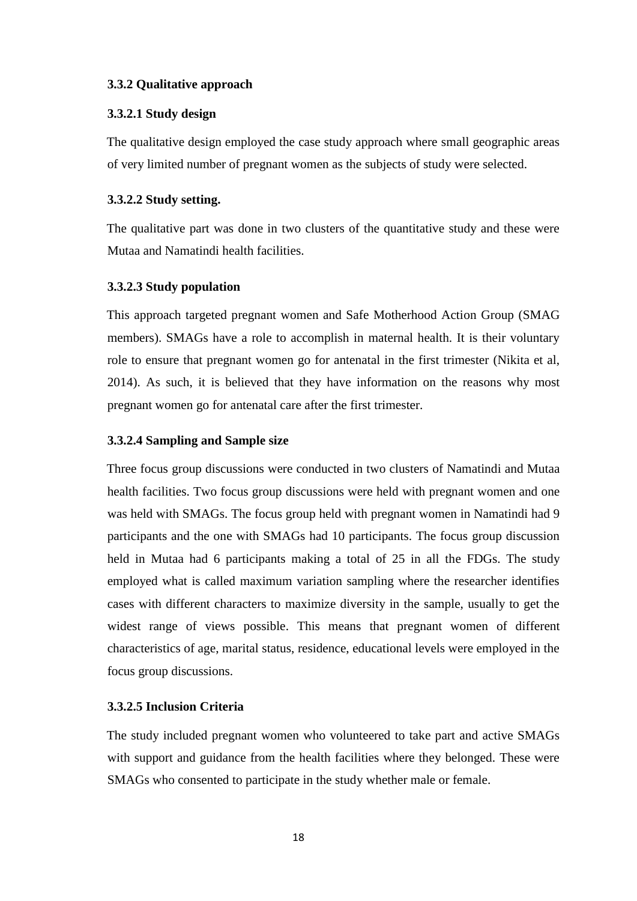## <span id="page-31-0"></span>**3.3.2 Qualitative approach**

#### <span id="page-31-1"></span>**3.3.2.1 Study design**

The qualitative design employed the case study approach where small geographic areas of very limited number of pregnant women as the subjects of study were selected.

## <span id="page-31-2"></span>**3.3.2.2 Study setting.**

The qualitative part was done in two clusters of the quantitative study and these were Mutaa and Namatindi health facilities.

## <span id="page-31-3"></span>**3.3.2.3 Study population**

This approach targeted pregnant women and Safe Motherhood Action Group (SMAG members). SMAGs have a role to accomplish in maternal health. It is their voluntary role to ensure that pregnant women go for antenatal in the first trimester (Nikita et al, 2014). As such, it is believed that they have information on the reasons why most pregnant women go for antenatal care after the first trimester.

## <span id="page-31-4"></span>**3.3.2.4 Sampling and Sample size**

Three focus group discussions were conducted in two clusters of Namatindi and Mutaa health facilities. Two focus group discussions were held with pregnant women and one was held with SMAGs. The focus group held with pregnant women in Namatindi had 9 participants and the one with SMAGs had 10 participants. The focus group discussion held in Mutaa had 6 participants making a total of 25 in all the FDGs. The study employed what is called maximum variation sampling where the researcher identifies cases with different characters to maximize diversity in the sample, usually to get the widest range of views possible. This means that pregnant women of different characteristics of age, marital status, residence, educational levels were employed in the focus group discussions.

#### <span id="page-31-5"></span>**3.3.2.5 Inclusion Criteria**

The study included pregnant women who volunteered to take part and active SMAGs with support and guidance from the health facilities where they belonged. These were SMAGs who consented to participate in the study whether male or female.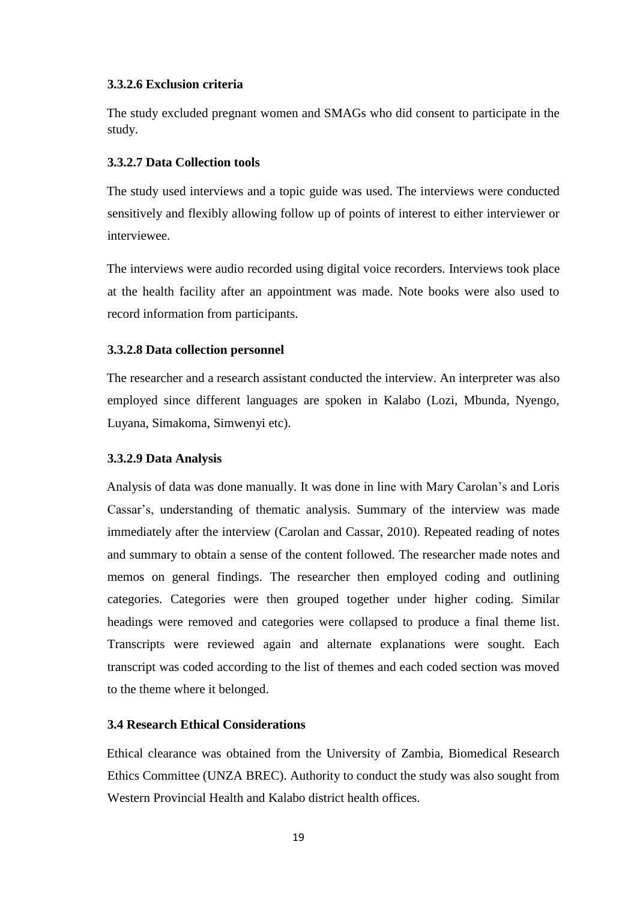## <span id="page-32-0"></span>**3.3.2.6 Exclusion criteria**

The study excluded pregnant women and SMAGs who did consent to participate in the study.

## <span id="page-32-1"></span>**3.3.2.7 Data Collection tools**

The study used interviews and a topic guide was used. The interviews were conducted sensitively and flexibly allowing follow up of points of interest to either interviewer or interviewee.

The interviews were audio recorded using digital voice recorders. Interviews took place at the health facility after an appointment was made. Note books were also used to record information from participants.

## <span id="page-32-2"></span>**3.3.2.8 Data collection personnel**

The researcher and a research assistant conducted the interview. An interpreter was also employed since different languages are spoken in Kalabo (Lozi, Mbunda, Nyengo, Luyana, Simakoma, Simwenyi etc).

#### <span id="page-32-3"></span>**3.3.2.9 Data Analysis**

Analysis of data was done manually. It was done in line with Mary Carolan's and Loris Cassar's, understanding of thematic analysis. Summary of the interview was made immediately after the interview (Carolan and Cassar, 2010). Repeated reading of notes and summary to obtain a sense of the content followed. The researcher made notes and memos on general findings. The researcher then employed coding and outlining categories. Categories were then grouped together under higher coding. Similar headings were removed and categories were collapsed to produce a final theme list. Transcripts were reviewed again and alternate explanations were sought. Each transcript was coded according to the list of themes and each coded section was moved to the theme where it belonged.

# <span id="page-32-4"></span>**3.4 Research Ethical Considerations**

Ethical clearance was obtained from the University of Zambia, Biomedical Research Ethics Committee (UNZA BREC). Authority to conduct the study was also sought from Western Provincial Health and Kalabo district health offices.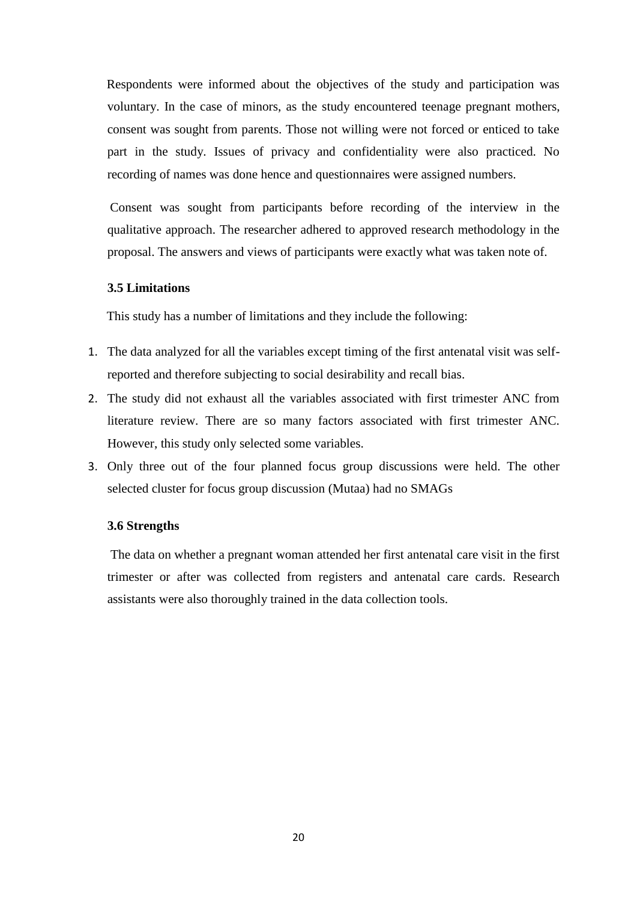Respondents were informed about the objectives of the study and participation was voluntary. In the case of minors, as the study encountered teenage pregnant mothers, consent was sought from parents. Those not willing were not forced or enticed to take part in the study. Issues of privacy and confidentiality were also practiced. No recording of names was done hence and questionnaires were assigned numbers.

Consent was sought from participants before recording of the interview in the qualitative approach. The researcher adhered to approved research methodology in the proposal. The answers and views of participants were exactly what was taken note of.

## <span id="page-33-0"></span>**3.5 Limitations**

This study has a number of limitations and they include the following:

- 1. The data analyzed for all the variables except timing of the first antenatal visit was selfreported and therefore subjecting to social desirability and recall bias.
- 2. The study did not exhaust all the variables associated with first trimester ANC from literature review. There are so many factors associated with first trimester ANC. However, this study only selected some variables.
- 3. Only three out of the four planned focus group discussions were held. The other selected cluster for focus group discussion (Mutaa) had no SMAGs

#### <span id="page-33-1"></span>**3.6 Strengths**

The data on whether a pregnant woman attended her first antenatal care visit in the first trimester or after was collected from registers and antenatal care cards. Research assistants were also thoroughly trained in the data collection tools.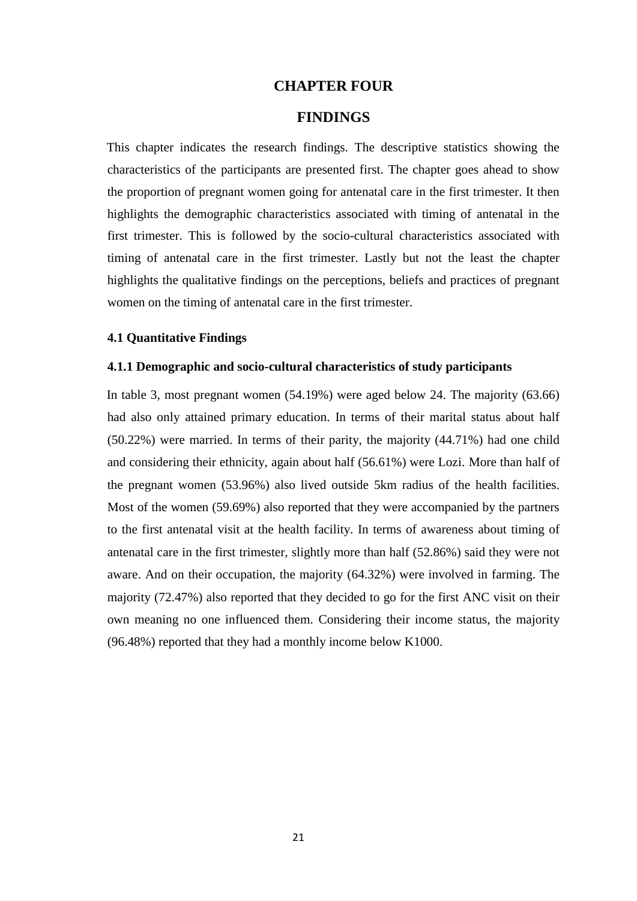## **CHAPTER FOUR**

# **FINDINGS**

<span id="page-34-1"></span><span id="page-34-0"></span>This chapter indicates the research findings. The descriptive statistics showing the characteristics of the participants are presented first. The chapter goes ahead to show the proportion of pregnant women going for antenatal care in the first trimester. It then highlights the demographic characteristics associated with timing of antenatal in the first trimester. This is followed by the socio-cultural characteristics associated with timing of antenatal care in the first trimester. Lastly but not the least the chapter highlights the qualitative findings on the perceptions, beliefs and practices of pregnant women on the timing of antenatal care in the first trimester.

#### <span id="page-34-2"></span>**4.1 Quantitative Findings**

#### <span id="page-34-3"></span>**4.1.1 Demographic and socio-cultural characteristics of study participants**

In table 3, most pregnant women (54.19%) were aged below 24. The majority (63.66) had also only attained primary education. In terms of their marital status about half (50.22%) were married. In terms of their parity, the majority (44.71%) had one child and considering their ethnicity, again about half (56.61%) were Lozi. More than half of the pregnant women (53.96%) also lived outside 5km radius of the health facilities. Most of the women (59.69%) also reported that they were accompanied by the partners to the first antenatal visit at the health facility. In terms of awareness about timing of antenatal care in the first trimester, slightly more than half (52.86%) said they were not aware. And on their occupation, the majority (64.32%) were involved in farming. The majority (72.47%) also reported that they decided to go for the first ANC visit on their own meaning no one influenced them. Considering their income status, the majority (96.48%) reported that they had a monthly income below K1000.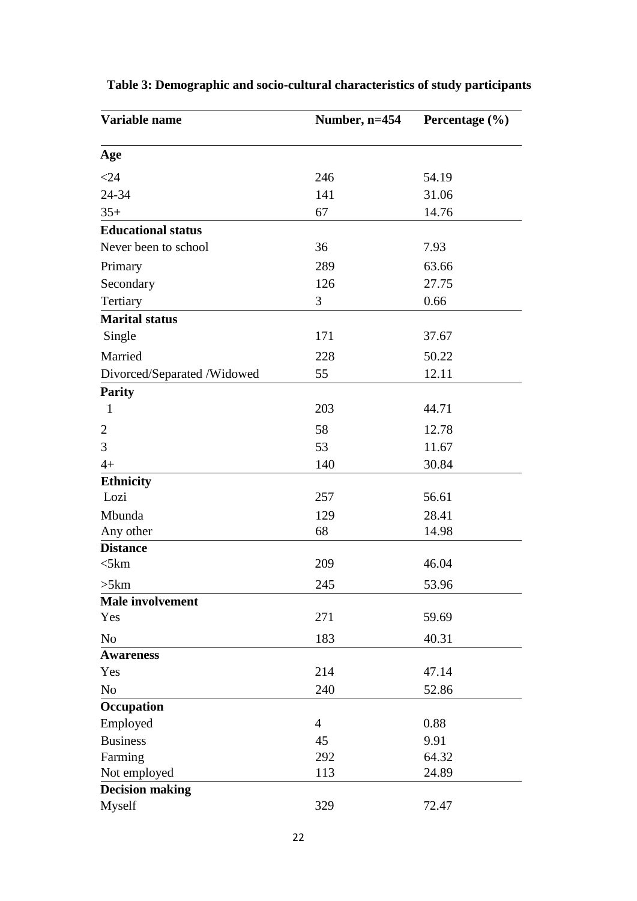| Variable name               | Number, $n=454$ | Percentage $(\% )$ |
|-----------------------------|-----------------|--------------------|
| Age                         |                 |                    |
| $<$ 24                      | 246             | 54.19              |
| 24-34                       | 141             | 31.06              |
| $35+$                       | 67              | 14.76              |
| <b>Educational status</b>   |                 |                    |
| Never been to school        | 36              | 7.93               |
| Primary                     | 289             | 63.66              |
| Secondary                   | 126             | 27.75              |
| Tertiary                    | 3               | 0.66               |
| <b>Marital status</b>       |                 |                    |
| Single                      | 171             | 37.67              |
| Married                     | 228             | 50.22              |
| Divorced/Separated /Widowed | 55              | 12.11              |
| <b>Parity</b>               |                 |                    |
| $\mathbf{1}$                | 203             | 44.71              |
| $\overline{2}$              | 58              | 12.78              |
| 3                           | 53              | 11.67              |
| $4+$                        | 140             | 30.84              |
| <b>Ethnicity</b>            |                 |                    |
| Lozi                        | 257             | 56.61              |
| Mbunda                      | 129             | 28.41              |
| Any other                   | 68              | 14.98              |
| <b>Distance</b>             |                 |                    |
| $<$ 5 $km$                  | 209             | 46.04              |
| >5km                        | 245             | 53.96              |
| Male involvement            |                 |                    |
| Yes                         | 271             | 59.69              |
| N <sub>o</sub>              | 183             | 40.31              |
| <b>Awareness</b>            |                 |                    |
| Yes                         | 214             | 47.14              |
| No                          | 240             | 52.86              |
| Occupation                  |                 |                    |
| Employed                    | $\overline{4}$  | 0.88               |
| <b>Business</b>             | 45              | 9.91               |
| Farming                     | 292             | 64.32              |
| Not employed                | 113             | 24.89              |
| <b>Decision making</b>      |                 |                    |
| Myself                      | 329             | 72.47              |

# **Table 3: Demographic and socio-cultural characteristics of study participants**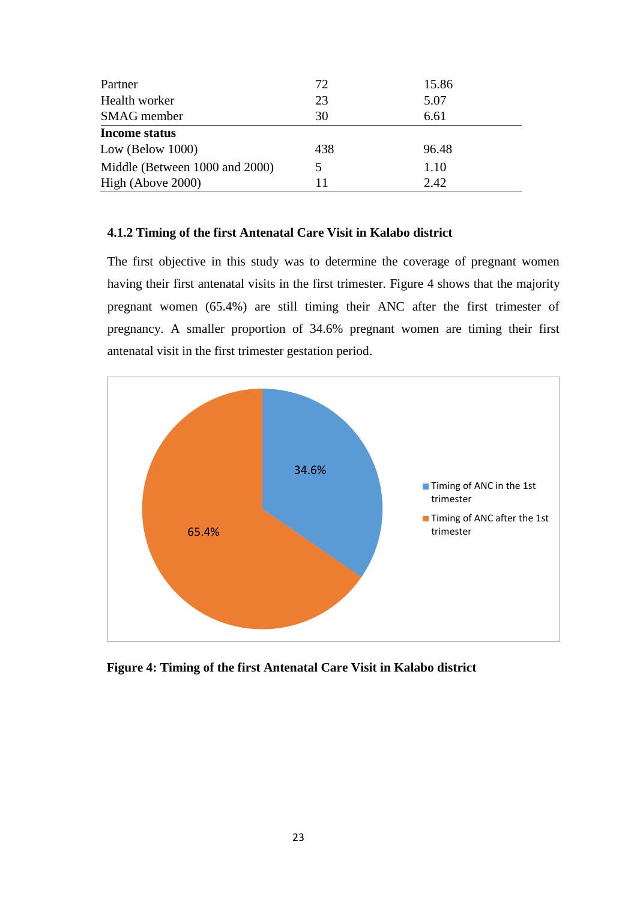| Partner                        | 72  | 15.86 |
|--------------------------------|-----|-------|
| Health worker                  | 23  | 5.07  |
| <b>SMAG</b> member             | 30  | 6.61  |
| <b>Income status</b>           |     |       |
| Low (Below $1000$ )            | 438 | 96.48 |
| Middle (Between 1000 and 2000) |     | 1.10  |
| High (Above 2000)              | 11  | 2.42  |

### **4.1.2 Timing of the first Antenatal Care Visit in Kalabo district**

The first objective in this study was to determine the coverage of pregnant women having their first antenatal visits in the first trimester. Figure 4 shows that the majority pregnant women (65.4%) are still timing their ANC after the first trimester of pregnancy. A smaller proportion of 34.6% pregnant women are timing their first antenatal visit in the first trimester gestation period.



**Figure 4: Timing of the first Antenatal Care Visit in Kalabo district**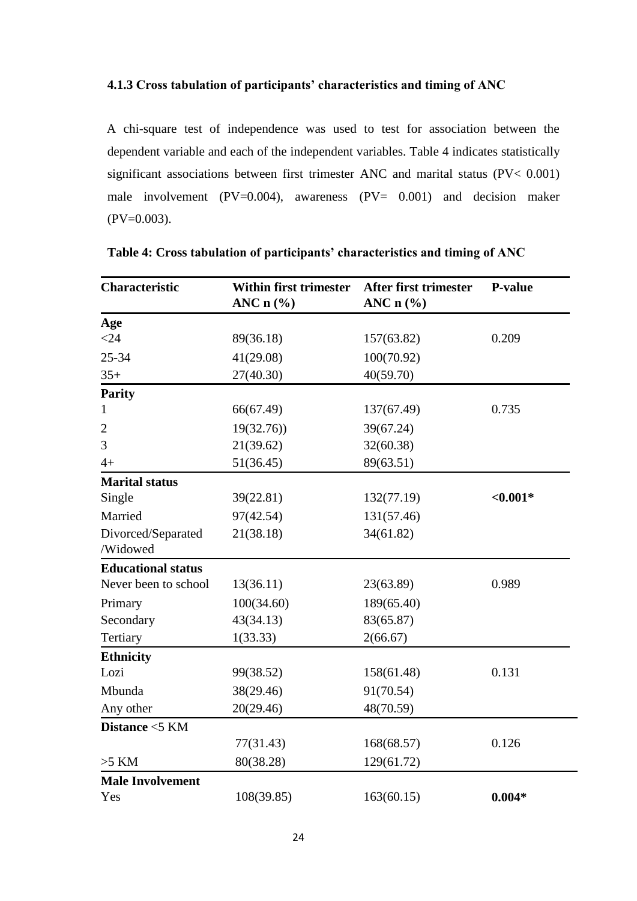### **4.1.3 Cross tabulation of participants' characteristics and timing of ANC**

A chi-square test of independence was used to test for association between the dependent variable and each of the independent variables. Table 4 indicates statistically significant associations between first trimester ANC and marital status (PV< 0.001) male involvement (PV=0.004), awareness (PV= 0.001) and decision maker  $(PV=0.003)$ .

| <b>Characteristic</b>     | <b>Within first trimester</b><br>ANC $n$ (%) | <b>After first trimester</b><br>ANC $n$ (%) | P-value   |
|---------------------------|----------------------------------------------|---------------------------------------------|-----------|
| Age                       |                                              |                                             |           |
| $<$ 24                    | 89(36.18)                                    | 157(63.82)                                  | 0.209     |
| 25-34                     | 41(29.08)                                    | 100(70.92)                                  |           |
| $35+$                     | 27(40.30)                                    | 40(59.70)                                   |           |
| <b>Parity</b>             |                                              |                                             |           |
| 1                         | 66(67.49)                                    | 137(67.49)                                  | 0.735     |
| 2                         | 19(32.76)                                    | 39(67.24)                                   |           |
| 3                         | 21(39.62)                                    | 32(60.38)                                   |           |
| $4+$                      | 51(36.45)                                    | 89(63.51)                                   |           |
| <b>Marital status</b>     |                                              |                                             |           |
| Single                    | 39(22.81)                                    | 132(77.19)                                  | $<0.001*$ |
| Married                   | 97(42.54)                                    | 131(57.46)                                  |           |
| Divorced/Separated        | 21(38.18)                                    | 34(61.82)                                   |           |
| /Widowed                  |                                              |                                             |           |
| <b>Educational status</b> |                                              |                                             |           |
| Never been to school      | 13(36.11)                                    | 23(63.89)                                   | 0.989     |
| Primary                   | 100(34.60)                                   | 189(65.40)                                  |           |
| Secondary                 | 43(34.13)                                    | 83(65.87)                                   |           |
| Tertiary                  | 1(33.33)                                     | 2(66.67)                                    |           |
| <b>Ethnicity</b>          |                                              |                                             |           |
| Lozi                      | 99(38.52)                                    | 158(61.48)                                  | 0.131     |
| Mbunda                    | 38(29.46)                                    | 91(70.54)                                   |           |
| Any other                 | 20(29.46)                                    | 48(70.59)                                   |           |
| Distance <5 KM            |                                              |                                             |           |
|                           | 77(31.43)                                    | 168(68.57)                                  | 0.126     |
| $>5$ KM                   | 80(38.28)                                    | 129(61.72)                                  |           |
| <b>Male Involvement</b>   |                                              |                                             |           |
| Yes                       | 108(39.85)                                   | 163(60.15)                                  | $0.004*$  |

**Table 4: Cross tabulation of participants' characteristics and timing of ANC**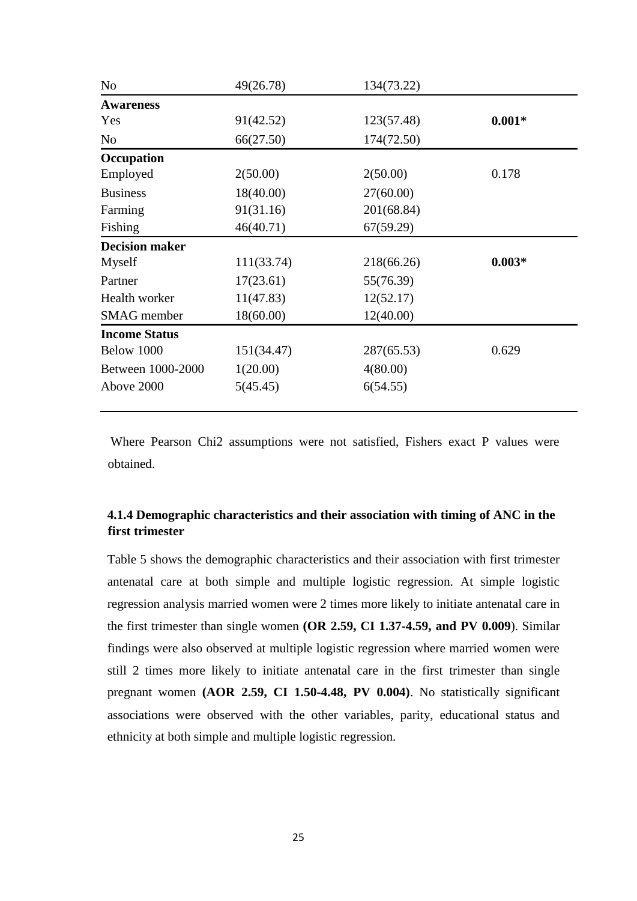| N <sub>o</sub>        | 49(26.78)  | 134(73.22) |          |
|-----------------------|------------|------------|----------|
| <b>Awareness</b>      |            |            |          |
| Yes                   | 91(42.52)  | 123(57.48) | $0.001*$ |
| N <sub>o</sub>        | 66(27.50)  | 174(72.50) |          |
| Occupation            |            |            |          |
| Employed              | 2(50.00)   | 2(50.00)   | 0.178    |
| <b>Business</b>       | 18(40.00)  | 27(60.00)  |          |
| Farming               | 91(31.16)  | 201(68.84) |          |
| Fishing               | 46(40.71)  | 67(59.29)  |          |
| <b>Decision maker</b> |            |            |          |
| Myself                | 111(33.74) | 218(66.26) | $0.003*$ |
| Partner               | 17(23.61)  | 55(76.39)  |          |
| Health worker         | 11(47.83)  | 12(52.17)  |          |
| SMAG member           | 18(60.00)  | 12(40.00)  |          |
| <b>Income Status</b>  |            |            |          |
| Below 1000            | 151(34.47) | 287(65.53) | 0.629    |
| Between 1000-2000     | 1(20.00)   | 4(80.00)   |          |
| Above 2000            | 5(45.45)   | 6(54.55)   |          |

Where Pearson Chi2 assumptions were not satisfied, Fishers exact P values were obtained.

# **4.1.4 Demographic characteristics and their association with timing of ANC in the first trimester**

Table 5 shows the demographic characteristics and their association with first trimester antenatal care at both simple and multiple logistic regression. At simple logistic regression analysis married women were 2 times more likely to initiate antenatal care in the first trimester than single women **(OR 2.59, CI 1.37-4.59, and PV 0.009**). Similar findings were also observed at multiple logistic regression where married women were still 2 times more likely to initiate antenatal care in the first trimester than single pregnant women **(AOR 2.59, CI 1.50-4.48, PV 0.004)**. No statistically significant associations were observed with the other variables, parity, educational status and ethnicity at both simple and multiple logistic regression.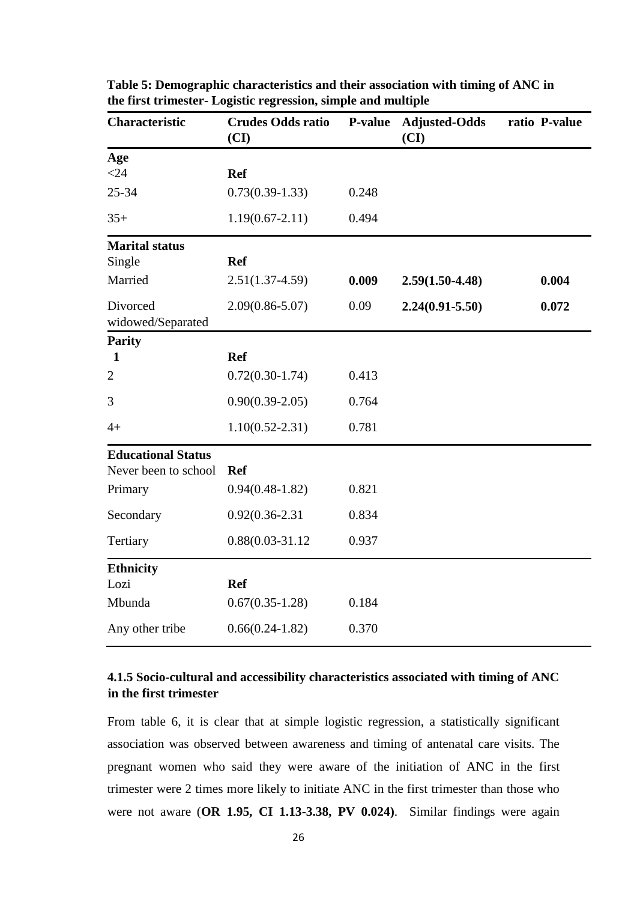| Characteristic                | <b>Crudes Odds ratio</b><br>(CI) | <b>P-value</b> | <b>Adjusted-Odds</b><br>(CI) | ratio P-value |
|-------------------------------|----------------------------------|----------------|------------------------------|---------------|
| Age                           |                                  |                |                              |               |
| $<$ 24                        | <b>Ref</b>                       |                |                              |               |
| $25 - 34$                     | $0.73(0.39-1.33)$                | 0.248          |                              |               |
| $35+$                         | $1.19(0.67 - 2.11)$              | 0.494          |                              |               |
| <b>Marital status</b>         |                                  |                |                              |               |
| Single                        | <b>Ref</b>                       |                |                              |               |
| Married                       | $2.51(1.37-4.59)$                | 0.009          | $2.59(1.50-4.48)$            | 0.004         |
| Divorced<br>widowed/Separated | $2.09(0.86 - 5.07)$              | 0.09           | $2.24(0.91 - 5.50)$          | 0.072         |
| <b>Parity</b>                 |                                  |                |                              |               |
| $\mathbf{1}$                  | <b>Ref</b>                       |                |                              |               |
| $\overline{2}$                | $0.72(0.30-1.74)$                | 0.413          |                              |               |
| 3                             | $0.90(0.39-2.05)$                | 0.764          |                              |               |
| $4+$                          | $1.10(0.52 - 2.31)$              | 0.781          |                              |               |
| <b>Educational Status</b>     |                                  |                |                              |               |
| Never been to school          | <b>Ref</b>                       |                |                              |               |
| Primary                       | $0.94(0.48-1.82)$                | 0.821          |                              |               |
| Secondary                     | $0.92(0.36 - 2.31)$              | 0.834          |                              |               |
| Tertiary                      | $0.88(0.03 - 31.12)$             | 0.937          |                              |               |
| <b>Ethnicity</b>              |                                  |                |                              |               |
| Lozi                          | <b>Ref</b>                       |                |                              |               |
| Mbunda                        | $0.67(0.35-1.28)$                | 0.184          |                              |               |
| Any other tribe               | $0.66(0.24-1.82)$                | 0.370          |                              |               |

**Table 5: Demographic characteristics and their association with timing of ANC in the first trimester- Logistic regression, simple and multiple** 

# **4.1.5 Socio-cultural and accessibility characteristics associated with timing of ANC in the first trimester**

From table 6, it is clear that at simple logistic regression, a statistically significant association was observed between awareness and timing of antenatal care visits. The pregnant women who said they were aware of the initiation of ANC in the first trimester were 2 times more likely to initiate ANC in the first trimester than those who were not aware (**OR 1.95, CI 1.13-3.38, PV 0.024)**. Similar findings were again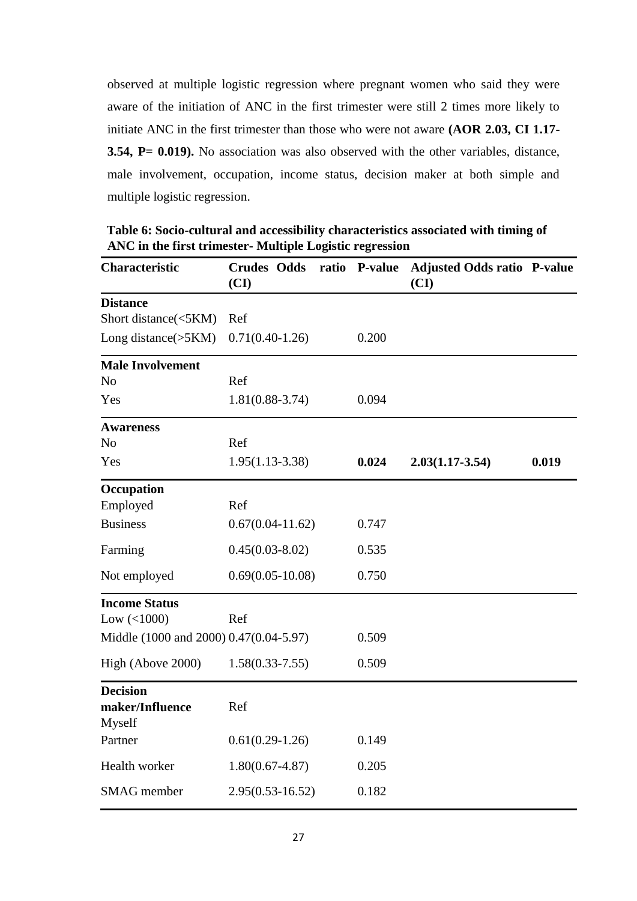observed at multiple logistic regression where pregnant women who said they were aware of the initiation of ANC in the first trimester were still 2 times more likely to initiate ANC in the first trimester than those who were not aware **(AOR 2.03, CI 1.17- 3.54, P= 0.019).** No association was also observed with the other variables, distance, male involvement, occupation, income status, decision maker at both simple and multiple logistic regression.

**Table 6: Socio-cultural and accessibility characteristics associated with timing of ANC in the first trimester- Multiple Logistic regression** 

| Characteristic                         | <b>Crudes Odds</b><br>(CI) | ratio P-value | <b>Adjusted Odds ratio P-value</b><br>(CI) |       |
|----------------------------------------|----------------------------|---------------|--------------------------------------------|-------|
| <b>Distance</b>                        |                            |               |                                            |       |
| Short distance(<5KM)                   | Ref                        |               |                                            |       |
| Long distance $(5KM)$                  | $0.71(0.40-1.26)$          | 0.200         |                                            |       |
| <b>Male Involvement</b>                |                            |               |                                            |       |
| N <sub>o</sub>                         | Ref                        |               |                                            |       |
| Yes                                    | $1.81(0.88-3.74)$          | 0.094         |                                            |       |
| <b>Awareness</b>                       |                            |               |                                            |       |
| N <sub>o</sub>                         | Ref                        |               |                                            |       |
| Yes                                    | $1.95(1.13-3.38)$          | 0.024         | $2.03(1.17 - 3.54)$                        | 0.019 |
| Occupation                             |                            |               |                                            |       |
| Employed                               | Ref                        |               |                                            |       |
| <b>Business</b>                        | $0.67(0.04-11.62)$         | 0.747         |                                            |       |
| Farming                                | $0.45(0.03-8.02)$          | 0.535         |                                            |       |
| Not employed                           | $0.69(0.05-10.08)$         | 0.750         |                                            |       |
| <b>Income Status</b>                   |                            |               |                                            |       |
| Low $(<1000)$                          | Ref                        |               |                                            |       |
| Middle (1000 and 2000) 0.47(0.04-5.97) |                            | 0.509         |                                            |       |
| High (Above 2000)                      | $1.58(0.33 - 7.55)$        | 0.509         |                                            |       |
| <b>Decision</b>                        |                            |               |                                            |       |
| maker/Influence                        | Ref                        |               |                                            |       |
| Myself                                 |                            |               |                                            |       |
| Partner                                | $0.61(0.29-1.26)$          | 0.149         |                                            |       |
| Health worker                          | $1.80(0.67 - 4.87)$        | 0.205         |                                            |       |
| SMAG member                            | $2.95(0.53 - 16.52)$       | 0.182         |                                            |       |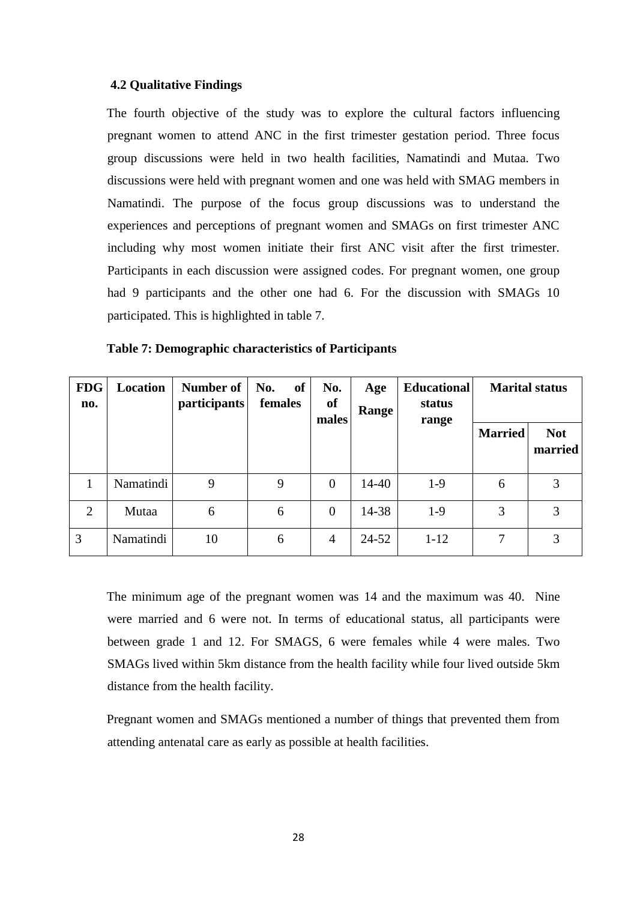### **4.2 Qualitative Findings**

The fourth objective of the study was to explore the cultural factors influencing pregnant women to attend ANC in the first trimester gestation period. Three focus group discussions were held in two health facilities, Namatindi and Mutaa. Two discussions were held with pregnant women and one was held with SMAG members in Namatindi. The purpose of the focus group discussions was to understand the experiences and perceptions of pregnant women and SMAGs on first trimester ANC including why most women initiate their first ANC visit after the first trimester. Participants in each discussion were assigned codes. For pregnant women, one group had 9 participants and the other one had 6. For the discussion with SMAGs 10 participated. This is highlighted in table 7.

| <b>FDG</b><br>no. | Location  | Number of<br><i>participants</i> | of<br>No.<br>females | No.<br><sub>of</sub><br>males | Age<br>Range | <b>Educational</b><br>status<br>range |                | <b>Marital status</b> |
|-------------------|-----------|----------------------------------|----------------------|-------------------------------|--------------|---------------------------------------|----------------|-----------------------|
|                   |           |                                  |                      |                               |              |                                       | <b>Married</b> | <b>Not</b><br>married |
|                   | Namatindi | 9                                | 9                    | $\overline{0}$                | 14-40        | $1-9$                                 | 6              | 3                     |
| $\overline{2}$    | Mutaa     | 6                                | 6                    | $\overline{0}$                | 14-38        | $1-9$                                 | 3              | 3                     |
| 3                 | Namatindi | 10                               | 6                    | $\overline{4}$                | $24 - 52$    | $1 - 12$                              |                |                       |

**Table 7: Demographic characteristics of Participants**

The minimum age of the pregnant women was 14 and the maximum was 40. Nine were married and 6 were not. In terms of educational status, all participants were between grade 1 and 12. For SMAGS, 6 were females while 4 were males. Two SMAGs lived within 5km distance from the health facility while four lived outside 5km distance from the health facility.

Pregnant women and SMAGs mentioned a number of things that prevented them from attending antenatal care as early as possible at health facilities.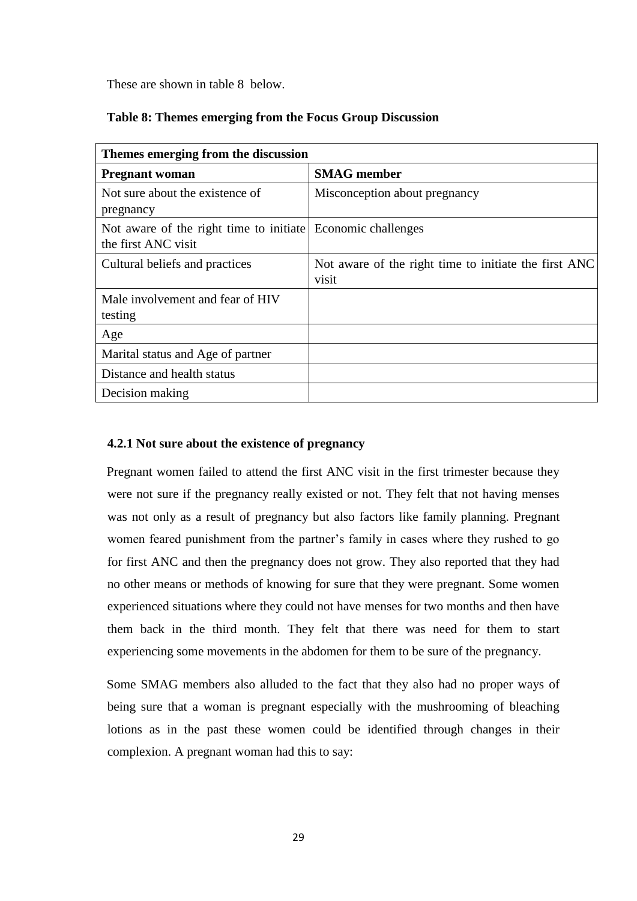These are shown in table 8 below.

### **Table 8: Themes emerging from the Focus Group Discussion**

| Themes emerging from the discussion                                                |                                                                |
|------------------------------------------------------------------------------------|----------------------------------------------------------------|
| <b>Pregnant woman</b>                                                              | <b>SMAG</b> member                                             |
| Not sure about the existence of<br>pregnancy                                       | Misconception about pregnancy                                  |
| Not aware of the right time to initiate Economic challenges<br>the first ANC visit |                                                                |
| Cultural beliefs and practices                                                     | Not aware of the right time to initiate the first ANC<br>visit |
| Male involvement and fear of HIV<br>testing                                        |                                                                |
| Age                                                                                |                                                                |
| Marital status and Age of partner                                                  |                                                                |
| Distance and health status                                                         |                                                                |
| Decision making                                                                    |                                                                |

# **4.2.1 Not sure about the existence of pregnancy**

Pregnant women failed to attend the first ANC visit in the first trimester because they were not sure if the pregnancy really existed or not. They felt that not having menses was not only as a result of pregnancy but also factors like family planning. Pregnant women feared punishment from the partner's family in cases where they rushed to go for first ANC and then the pregnancy does not grow. They also reported that they had no other means or methods of knowing for sure that they were pregnant. Some women experienced situations where they could not have menses for two months and then have them back in the third month. They felt that there was need for them to start experiencing some movements in the abdomen for them to be sure of the pregnancy.

Some SMAG members also alluded to the fact that they also had no proper ways of being sure that a woman is pregnant especially with the mushrooming of bleaching lotions as in the past these women could be identified through changes in their complexion. A pregnant woman had this to say: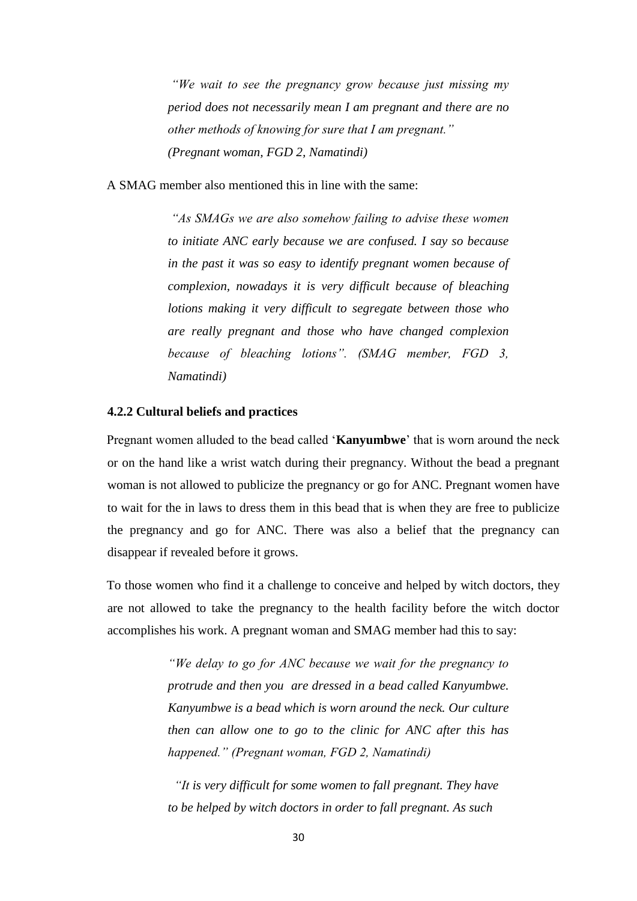*"We wait to see the pregnancy grow because just missing my period does not necessarily mean I am pregnant and there are no other methods of knowing for sure that I am pregnant." (Pregnant woman, FGD 2, Namatindi)* 

A SMAG member also mentioned this in line with the same:

*"As SMAGs we are also somehow failing to advise these women to initiate ANC early because we are confused. I say so because in the past it was so easy to identify pregnant women because of complexion, nowadays it is very difficult because of bleaching lotions making it very difficult to segregate between those who are really pregnant and those who have changed complexion because of bleaching lotions". (SMAG member, FGD 3, Namatindi)* 

### **4.2.2 Cultural beliefs and practices**

Pregnant women alluded to the bead called '**Kanyumbwe**' that is worn around the neck or on the hand like a wrist watch during their pregnancy. Without the bead a pregnant woman is not allowed to publicize the pregnancy or go for ANC. Pregnant women have to wait for the in laws to dress them in this bead that is when they are free to publicize the pregnancy and go for ANC. There was also a belief that the pregnancy can disappear if revealed before it grows.

To those women who find it a challenge to conceive and helped by witch doctors, they are not allowed to take the pregnancy to the health facility before the witch doctor accomplishes his work. A pregnant woman and SMAG member had this to say:

> *"We delay to go for ANC because we wait for the pregnancy to protrude and then you are dressed in a bead called Kanyumbwe. Kanyumbwe is a bead which is worn around the neck. Our culture then can allow one to go to the clinic for ANC after this has happened." (Pregnant woman, FGD 2, Namatindi)*

 *"It is very difficult for some women to fall pregnant. They have to be helped by witch doctors in order to fall pregnant. As such*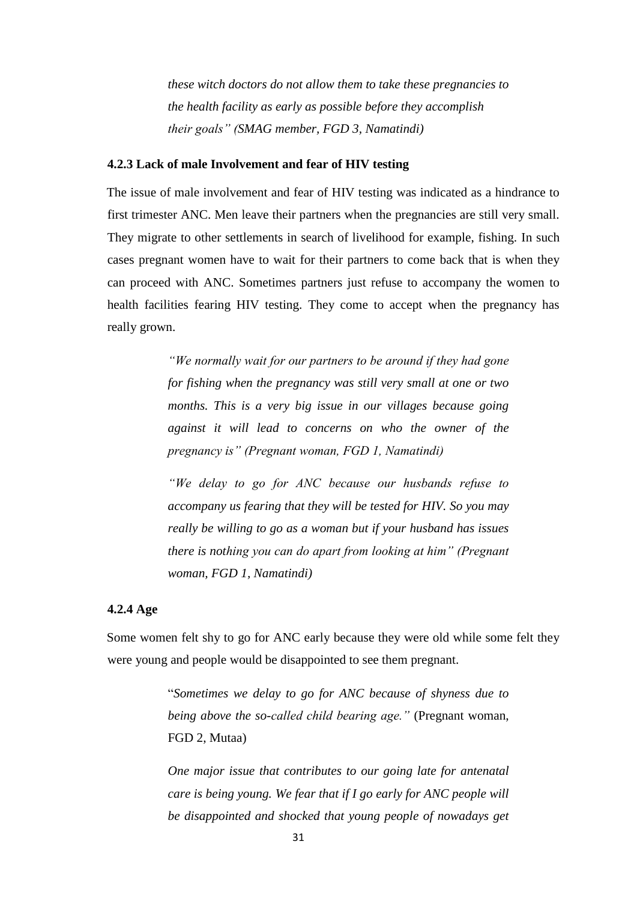*these witch doctors do not allow them to take these pregnancies to the health facility as early as possible before they accomplish their goals" (SMAG member, FGD 3, Namatindi)* 

### **4.2.3 Lack of male Involvement and fear of HIV testing**

The issue of male involvement and fear of HIV testing was indicated as a hindrance to first trimester ANC. Men leave their partners when the pregnancies are still very small. They migrate to other settlements in search of livelihood for example, fishing. In such cases pregnant women have to wait for their partners to come back that is when they can proceed with ANC. Sometimes partners just refuse to accompany the women to health facilities fearing HIV testing. They come to accept when the pregnancy has really grown.

> *"We normally wait for our partners to be around if they had gone for fishing when the pregnancy was still very small at one or two months. This is a very big issue in our villages because going against it will lead to concerns on who the owner of the pregnancy is" (Pregnant woman, FGD 1, Namatindi)*

> *"We delay to go for ANC because our husbands refuse to accompany us fearing that they will be tested for HIV. So you may really be willing to go as a woman but if your husband has issues there is nothing you can do apart from looking at him" (Pregnant woman, FGD 1, Namatindi)*

# **4.2.4 Age**

Some women felt shy to go for ANC early because they were old while some felt they were young and people would be disappointed to see them pregnant.

> "*Sometimes we delay to go for ANC because of shyness due to being above the so-called child bearing age."* (Pregnant woman, FGD 2, Mutaa)

> *One major issue that contributes to our going late for antenatal care is being young. We fear that if I go early for ANC people will be disappointed and shocked that young people of nowadays get*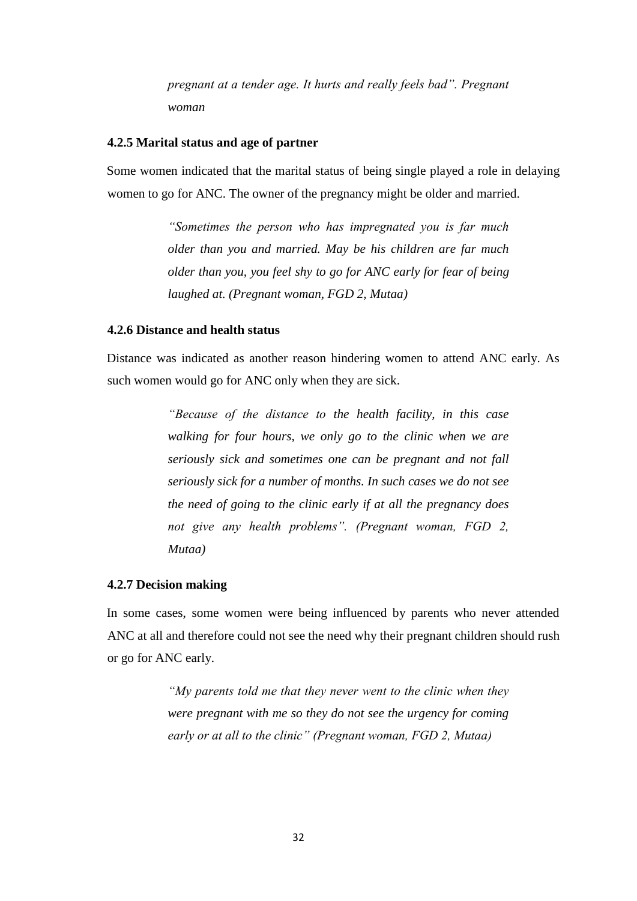*pregnant at a tender age. It hurts and really feels bad". Pregnant woman* 

### **4.2.5 Marital status and age of partner**

Some women indicated that the marital status of being single played a role in delaying women to go for ANC. The owner of the pregnancy might be older and married.

> *"Sometimes the person who has impregnated you is far much older than you and married. May be his children are far much older than you, you feel shy to go for ANC early for fear of being laughed at. (Pregnant woman, FGD 2, Mutaa)*

### **4.2.6 Distance and health status**

Distance was indicated as another reason hindering women to attend ANC early. As such women would go for ANC only when they are sick.

> *"Because of the distance to the health facility, in this case walking for four hours, we only go to the clinic when we are seriously sick and sometimes one can be pregnant and not fall seriously sick for a number of months. In such cases we do not see the need of going to the clinic early if at all the pregnancy does not give any health problems". (Pregnant woman, FGD 2, Mutaa)*

### **4.2.7 Decision making**

In some cases, some women were being influenced by parents who never attended ANC at all and therefore could not see the need why their pregnant children should rush or go for ANC early.

> *"My parents told me that they never went to the clinic when they were pregnant with me so they do not see the urgency for coming early or at all to the clinic" (Pregnant woman, FGD 2, Mutaa)*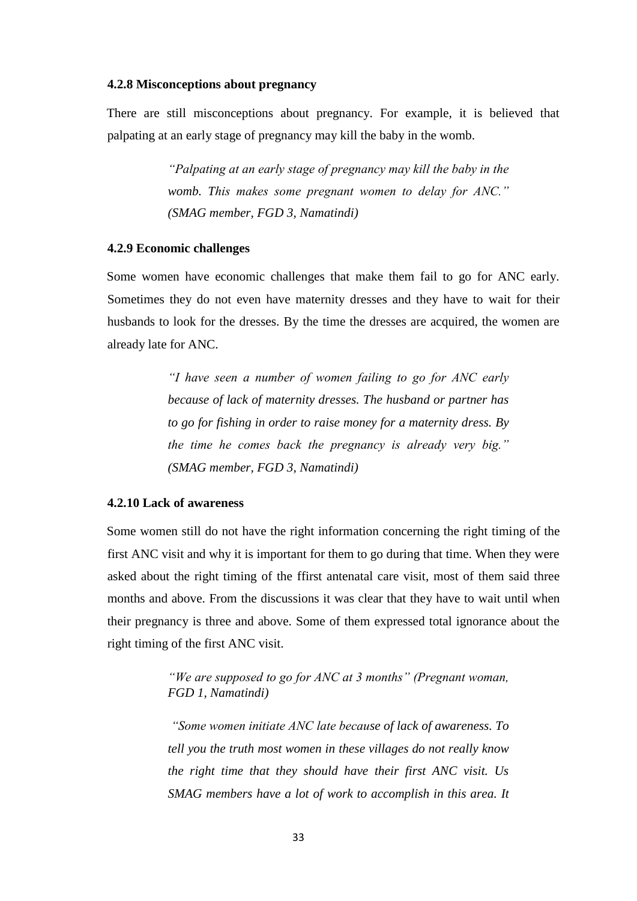### **4.2.8 Misconceptions about pregnancy**

There are still misconceptions about pregnancy. For example, it is believed that palpating at an early stage of pregnancy may kill the baby in the womb.

> *"Palpating at an early stage of pregnancy may kill the baby in the womb. This makes some pregnant women to delay for ANC." (SMAG member, FGD 3, Namatindi)*

### **4.2.9 Economic challenges**

Some women have economic challenges that make them fail to go for ANC early. Sometimes they do not even have maternity dresses and they have to wait for their husbands to look for the dresses. By the time the dresses are acquired, the women are already late for ANC.

> *"I have seen a number of women failing to go for ANC early because of lack of maternity dresses. The husband or partner has to go for fishing in order to raise money for a maternity dress. By the time he comes back the pregnancy is already very big." (SMAG member, FGD 3, Namatindi)*

### **4.2.10 Lack of awareness**

Some women still do not have the right information concerning the right timing of the first ANC visit and why it is important for them to go during that time. When they were asked about the right timing of the ffirst antenatal care visit, most of them said three months and above. From the discussions it was clear that they have to wait until when their pregnancy is three and above. Some of them expressed total ignorance about the right timing of the first ANC visit.

> *"We are supposed to go for ANC at 3 months" (Pregnant woman, FGD 1, Namatindi)*

> *"Some women initiate ANC late because of lack of awareness. To tell you the truth most women in these villages do not really know the right time that they should have their first ANC visit. Us SMAG members have a lot of work to accomplish in this area. It*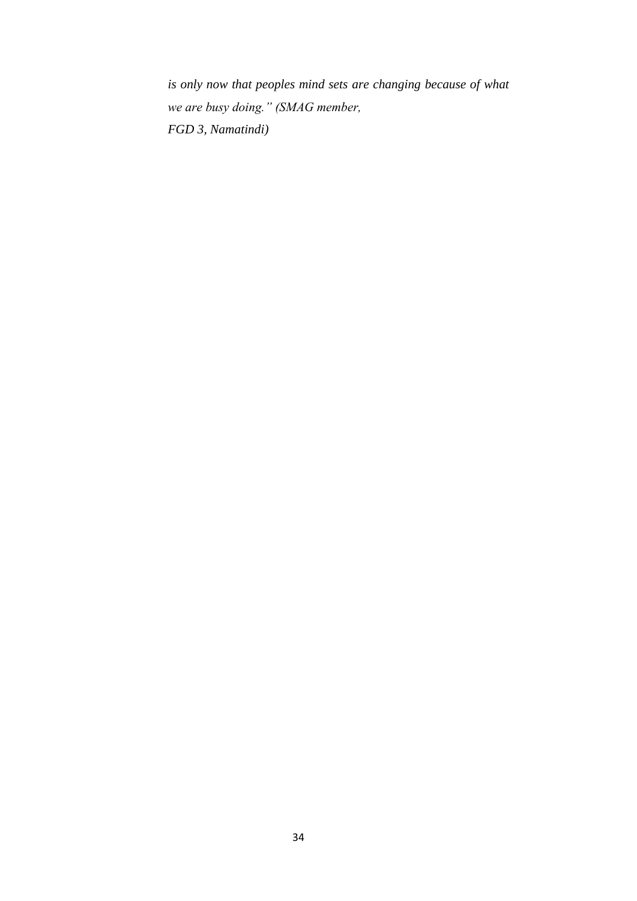*is only now that peoples mind sets are changing because of what we are busy doing." (SMAG member, FGD 3, Namatindi)*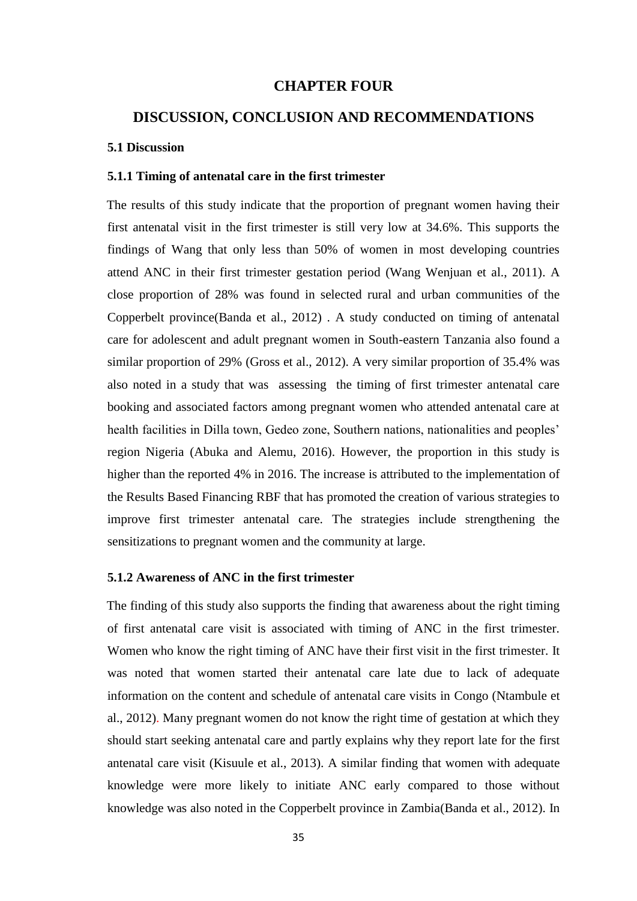### **CHAPTER FOUR**

# **DISCUSSION, CONCLUSION AND RECOMMENDATIONS**

#### **5.1 Discussion**

### **5.1.1 Timing of antenatal care in the first trimester**

The results of this study indicate that the proportion of pregnant women having their first antenatal visit in the first trimester is still very low at 34.6%. This supports the findings of Wang that only less than 50% of women in most developing countries attend ANC in their first trimester gestation period (Wang Wenjuan et al., 2011). A close proportion of 28% was found in selected rural and urban communities of the Copperbelt province(Banda et al., 2012) . A study conducted on timing of antenatal care for adolescent and adult pregnant women in South-eastern Tanzania also found a similar proportion of 29% (Gross et al., 2012). A very similar proportion of 35.4% was also noted in a study that was assessing the timing of first trimester antenatal care booking and associated factors among pregnant women who attended antenatal care at health facilities in Dilla town, Gedeo zone, Southern nations, nationalities and peoples' region Nigeria (Abuka and Alemu, 2016). However, the proportion in this study is higher than the reported 4% in 2016. The increase is attributed to the implementation of the Results Based Financing RBF that has promoted the creation of various strategies to improve first trimester antenatal care. The strategies include strengthening the sensitizations to pregnant women and the community at large.

#### **5.1.2 Awareness of ANC in the first trimester**

The finding of this study also supports the finding that awareness about the right timing of first antenatal care visit is associated with timing of ANC in the first trimester. Women who know the right timing of ANC have their first visit in the first trimester. It was noted that women started their antenatal care late due to lack of adequate information on the content and schedule of antenatal care visits in Congo (Ntambule et al., 2012). Many pregnant women do not know the right time of gestation at which they should start seeking antenatal care and partly explains why they report late for the first antenatal care visit (Kisuule et al., 2013). A similar finding that women with adequate knowledge were more likely to initiate ANC early compared to those without knowledge was also noted in the Copperbelt province in Zambia(Banda et al., 2012). In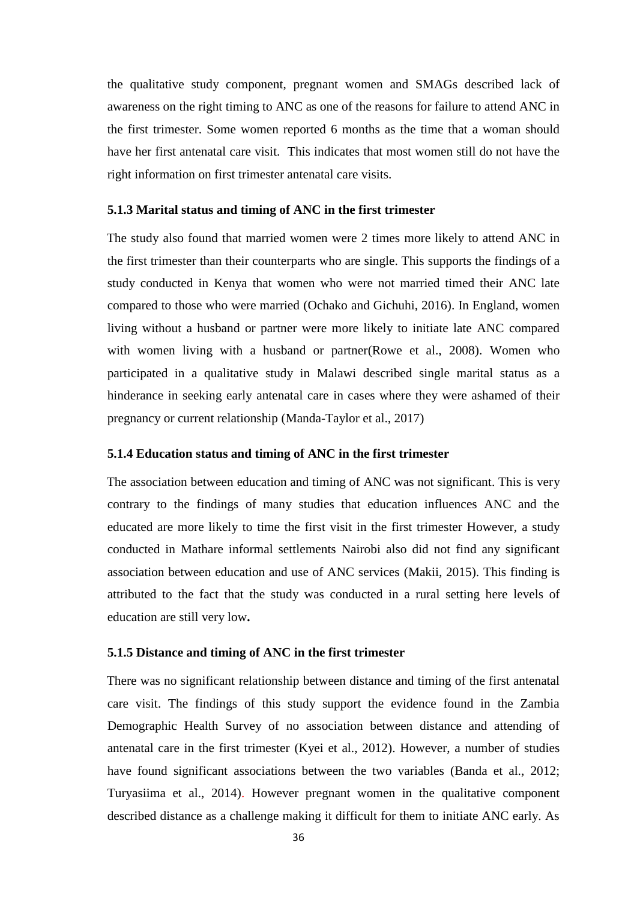the qualitative study component, pregnant women and SMAGs described lack of awareness on the right timing to ANC as one of the reasons for failure to attend ANC in the first trimester. Some women reported 6 months as the time that a woman should have her first antenatal care visit. This indicates that most women still do not have the right information on first trimester antenatal care visits.

### **5.1.3 Marital status and timing of ANC in the first trimester**

The study also found that married women were 2 times more likely to attend ANC in the first trimester than their counterparts who are single. This supports the findings of a study conducted in Kenya that women who were not married timed their ANC late compared to those who were married (Ochako and Gichuhi, 2016). In England, women living without a husband or partner were more likely to initiate late ANC compared with women living with a husband or partner(Rowe et al., 2008). Women who participated in a qualitative study in Malawi described single marital status as a hinderance in seeking early antenatal care in cases where they were ashamed of their pregnancy or current relationship (Manda-Taylor et al., 2017)

### **5.1.4 Education status and timing of ANC in the first trimester**

The association between education and timing of ANC was not significant. This is very contrary to the findings of many studies that education influences ANC and the educated are more likely to time the first visit in the first trimester However, a study conducted in Mathare informal settlements Nairobi also did not find any significant association between education and use of ANC services (Makii, 2015). This finding is attributed to the fact that the study was conducted in a rural setting here levels of education are still very low**.**

### **5.1.5 Distance and timing of ANC in the first trimester**

There was no significant relationship between distance and timing of the first antenatal care visit. The findings of this study support the evidence found in the Zambia Demographic Health Survey of no association between distance and attending of antenatal care in the first trimester (Kyei et al., 2012). However, a number of studies have found significant associations between the two variables (Banda et al., 2012; Turyasiima et al., 2014). However pregnant women in the qualitative component described distance as a challenge making it difficult for them to initiate ANC early. As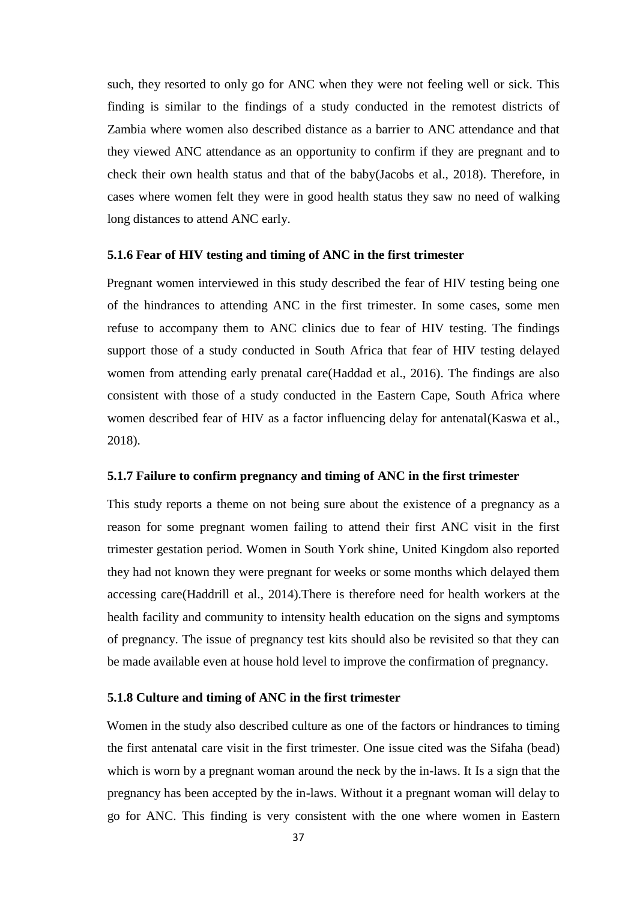such, they resorted to only go for ANC when they were not feeling well or sick. This finding is similar to the findings of a study conducted in the remotest districts of Zambia where women also described distance as a barrier to ANC attendance and that they viewed ANC attendance as an opportunity to confirm if they are pregnant and to check their own health status and that of the baby(Jacobs et al., 2018). Therefore, in cases where women felt they were in good health status they saw no need of walking long distances to attend ANC early.

### **5.1.6 Fear of HIV testing and timing of ANC in the first trimester**

Pregnant women interviewed in this study described the fear of HIV testing being one of the hindrances to attending ANC in the first trimester. In some cases, some men refuse to accompany them to ANC clinics due to fear of HIV testing. The findings support those of a study conducted in South Africa that fear of HIV testing delayed women from attending early prenatal care(Haddad et al., 2016). The findings are also consistent with those of a study conducted in the Eastern Cape, South Africa where women described fear of HIV as a factor influencing delay for antenatal(Kaswa et al., 2018).

### **5.1.7 Failure to confirm pregnancy and timing of ANC in the first trimester**

This study reports a theme on not being sure about the existence of a pregnancy as a reason for some pregnant women failing to attend their first ANC visit in the first trimester gestation period. Women in South York shine, United Kingdom also reported they had not known they were pregnant for weeks or some months which delayed them accessing care(Haddrill et al., 2014).There is therefore need for health workers at the health facility and community to intensity health education on the signs and symptoms of pregnancy. The issue of pregnancy test kits should also be revisited so that they can be made available even at house hold level to improve the confirmation of pregnancy.

### **5.1.8 Culture and timing of ANC in the first trimester**

Women in the study also described culture as one of the factors or hindrances to timing the first antenatal care visit in the first trimester. One issue cited was the Sifaha (bead) which is worn by a pregnant woman around the neck by the in-laws. It Is a sign that the pregnancy has been accepted by the in-laws. Without it a pregnant woman will delay to go for ANC. This finding is very consistent with the one where women in Eastern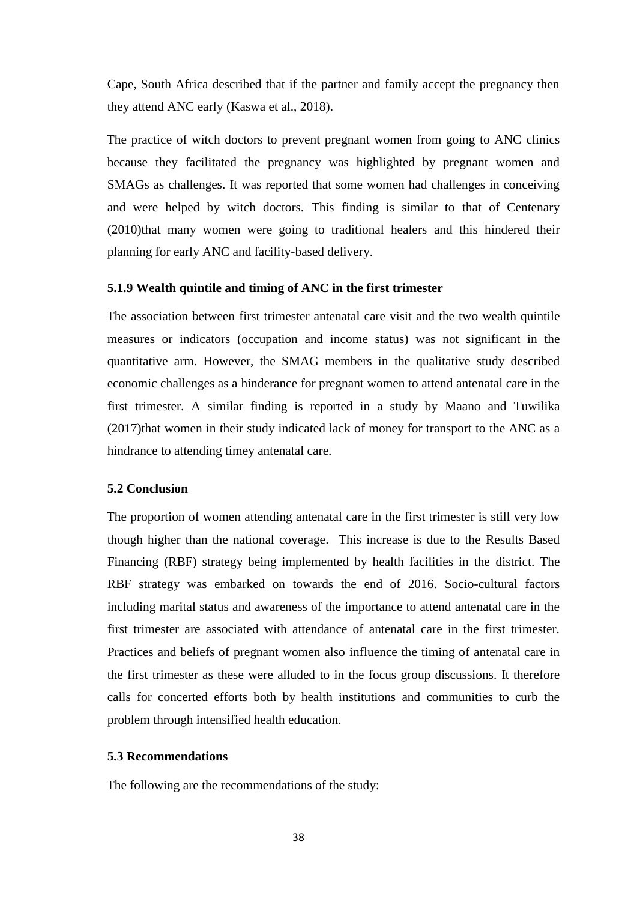Cape, South Africa described that if the partner and family accept the pregnancy then they attend ANC early (Kaswa et al., 2018).

The practice of witch doctors to prevent pregnant women from going to ANC clinics because they facilitated the pregnancy was highlighted by pregnant women and SMAGs as challenges. It was reported that some women had challenges in conceiving and were helped by witch doctors. This finding is similar to that of Centenary (2010)that many women were going to traditional healers and this hindered their planning for early ANC and facility-based delivery.

### **5.1.9 Wealth quintile and timing of ANC in the first trimester**

The association between first trimester antenatal care visit and the two wealth quintile measures or indicators (occupation and income status) was not significant in the quantitative arm. However, the SMAG members in the qualitative study described economic challenges as a hinderance for pregnant women to attend antenatal care in the first trimester. A similar finding is reported in a study by Maano and Tuwilika (2017)that women in their study indicated lack of money for transport to the ANC as a hindrance to attending timey antenatal care.

### **5.2 Conclusion**

The proportion of women attending antenatal care in the first trimester is still very low though higher than the national coverage. This increase is due to the Results Based Financing (RBF) strategy being implemented by health facilities in the district. The RBF strategy was embarked on towards the end of 2016. Socio-cultural factors including marital status and awareness of the importance to attend antenatal care in the first trimester are associated with attendance of antenatal care in the first trimester. Practices and beliefs of pregnant women also influence the timing of antenatal care in the first trimester as these were alluded to in the focus group discussions. It therefore calls for concerted efforts both by health institutions and communities to curb the problem through intensified health education.

### **5.3 Recommendations**

The following are the recommendations of the study: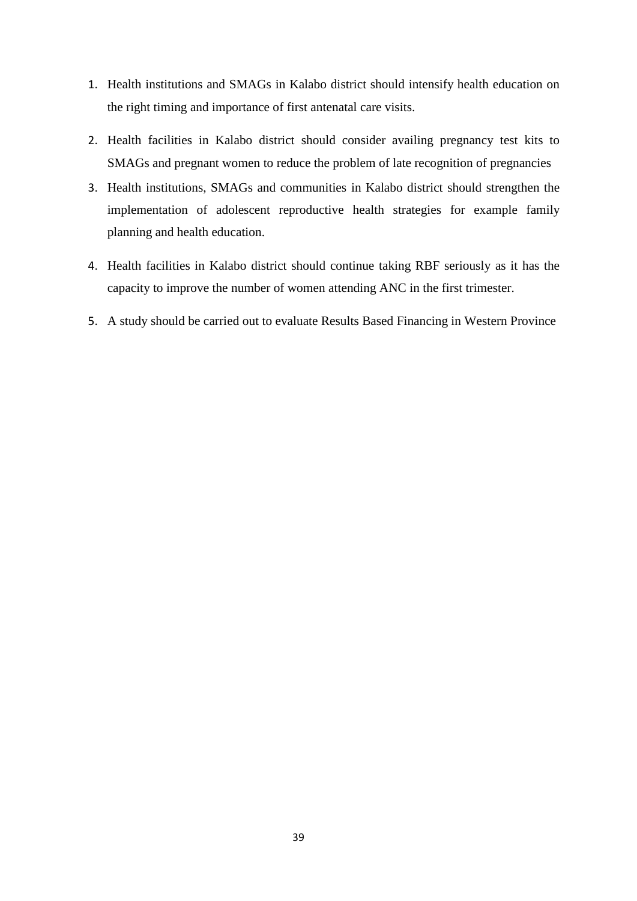- 1. Health institutions and SMAGs in Kalabo district should intensify health education on the right timing and importance of first antenatal care visits.
- 2. Health facilities in Kalabo district should consider availing pregnancy test kits to SMAGs and pregnant women to reduce the problem of late recognition of pregnancies
- 3. Health institutions, SMAGs and communities in Kalabo district should strengthen the implementation of adolescent reproductive health strategies for example family planning and health education.
- 4. Health facilities in Kalabo district should continue taking RBF seriously as it has the capacity to improve the number of women attending ANC in the first trimester.
- 5. A study should be carried out to evaluate Results Based Financing in Western Province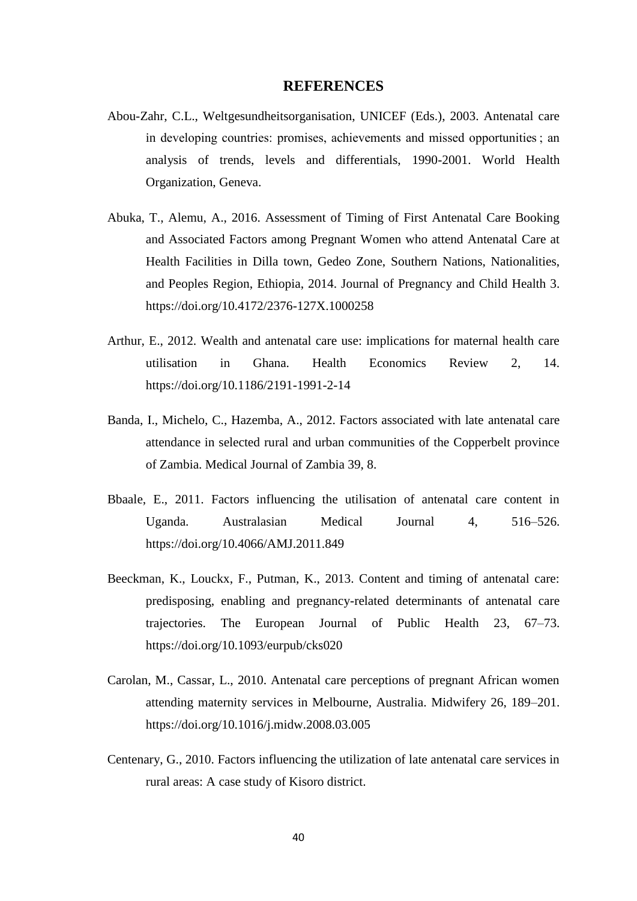### **REFERENCES**

- Abou-Zahr, C.L., Weltgesundheitsorganisation, UNICEF (Eds.), 2003. Antenatal care in developing countries: promises, achievements and missed opportunities ; an analysis of trends, levels and differentials, 1990-2001. World Health Organization, Geneva.
- Abuka, T., Alemu, A., 2016. Assessment of Timing of First Antenatal Care Booking and Associated Factors among Pregnant Women who attend Antenatal Care at Health Facilities in Dilla town, Gedeo Zone, Southern Nations, Nationalities, and Peoples Region, Ethiopia, 2014. Journal of Pregnancy and Child Health 3. https://doi.org/10.4172/2376-127X.1000258
- Arthur, E., 2012. Wealth and antenatal care use: implications for maternal health care utilisation in Ghana. Health Economics Review 2, 14. https://doi.org/10.1186/2191-1991-2-14
- Banda, I., Michelo, C., Hazemba, A., 2012. Factors associated with late antenatal care attendance in selected rural and urban communities of the Copperbelt province of Zambia. Medical Journal of Zambia 39, 8.
- Bbaale, E., 2011. Factors influencing the utilisation of antenatal care content in Uganda. Australasian Medical Journal 4, 516–526. https://doi.org/10.4066/AMJ.2011.849
- Beeckman, K., Louckx, F., Putman, K., 2013. Content and timing of antenatal care: predisposing, enabling and pregnancy-related determinants of antenatal care trajectories. The European Journal of Public Health 23, 67–73. https://doi.org/10.1093/eurpub/cks020
- Carolan, M., Cassar, L., 2010. Antenatal care perceptions of pregnant African women attending maternity services in Melbourne, Australia. Midwifery 26, 189–201. https://doi.org/10.1016/j.midw.2008.03.005
- Centenary, G., 2010. Factors influencing the utilization of late antenatal care services in rural areas: A case study of Kisoro district.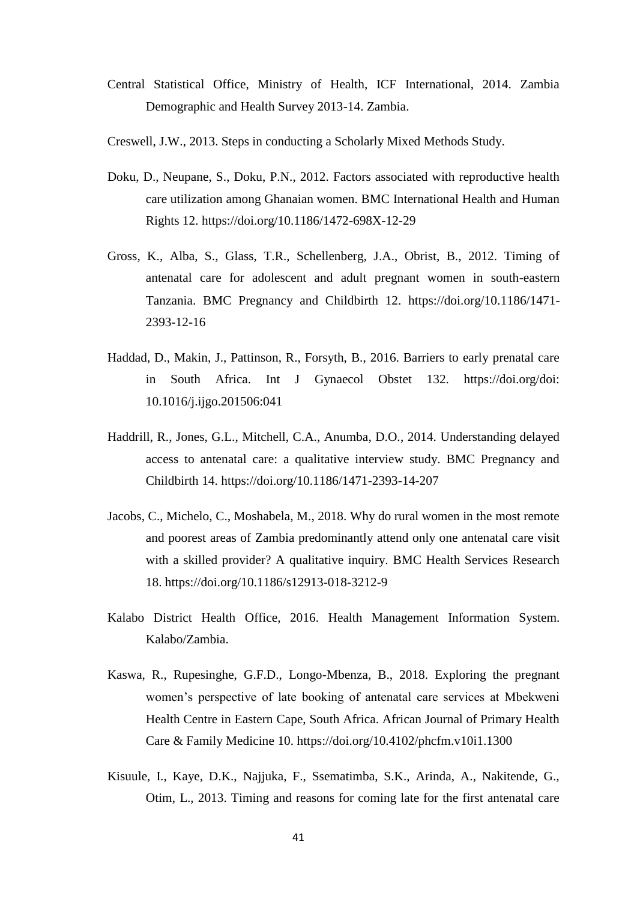- Central Statistical Office, Ministry of Health, ICF International, 2014. Zambia Demographic and Health Survey 2013-14. Zambia.
- Creswell, J.W., 2013. Steps in conducting a Scholarly Mixed Methods Study.
- Doku, D., Neupane, S., Doku, P.N., 2012. Factors associated with reproductive health care utilization among Ghanaian women. BMC International Health and Human Rights 12. https://doi.org/10.1186/1472-698X-12-29
- Gross, K., Alba, S., Glass, T.R., Schellenberg, J.A., Obrist, B., 2012. Timing of antenatal care for adolescent and adult pregnant women in south-eastern Tanzania. BMC Pregnancy and Childbirth 12. https://doi.org/10.1186/1471- 2393-12-16
- Haddad, D., Makin, J., Pattinson, R., Forsyth, B., 2016. Barriers to early prenatal care in South Africa. Int J Gynaecol Obstet 132. https://doi.org/doi: 10.1016/j.ijgo.201506:041
- Haddrill, R., Jones, G.L., Mitchell, C.A., Anumba, D.O., 2014. Understanding delayed access to antenatal care: a qualitative interview study. BMC Pregnancy and Childbirth 14. https://doi.org/10.1186/1471-2393-14-207
- Jacobs, C., Michelo, C., Moshabela, M., 2018. Why do rural women in the most remote and poorest areas of Zambia predominantly attend only one antenatal care visit with a skilled provider? A qualitative inquiry. BMC Health Services Research 18. https://doi.org/10.1186/s12913-018-3212-9
- Kalabo District Health Office, 2016. Health Management Information System. Kalabo/Zambia.
- Kaswa, R., Rupesinghe, G.F.D., Longo-Mbenza, B., 2018. Exploring the pregnant women's perspective of late booking of antenatal care services at Mbekweni Health Centre in Eastern Cape, South Africa. African Journal of Primary Health Care & Family Medicine 10. https://doi.org/10.4102/phcfm.v10i1.1300
- Kisuule, I., Kaye, D.K., Najjuka, F., Ssematimba, S.K., Arinda, A., Nakitende, G., Otim, L., 2013. Timing and reasons for coming late for the first antenatal care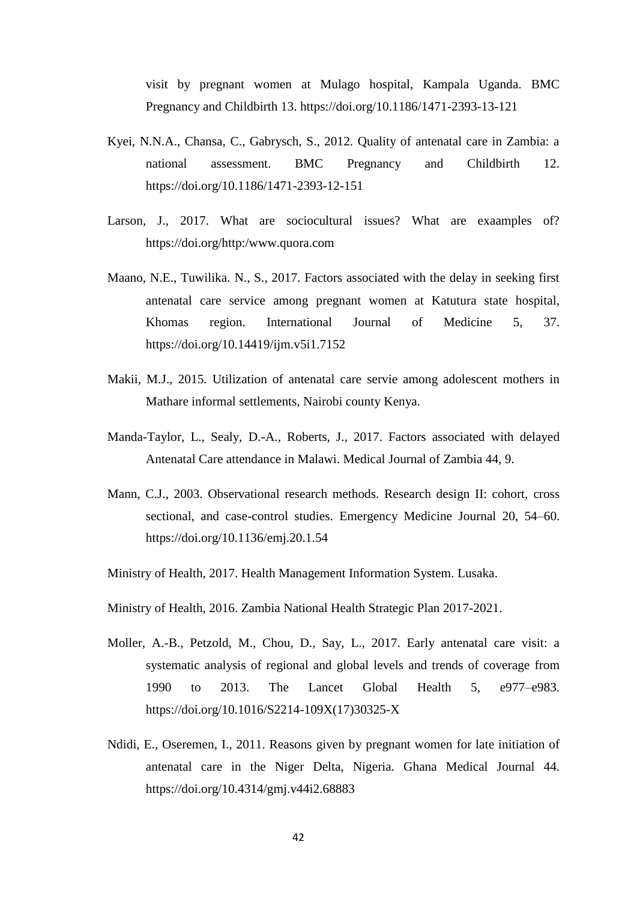visit by pregnant women at Mulago hospital, Kampala Uganda. BMC Pregnancy and Childbirth 13. https://doi.org/10.1186/1471-2393-13-121

- Kyei, N.N.A., Chansa, C., Gabrysch, S., 2012. Quality of antenatal care in Zambia: a national assessment. BMC Pregnancy and Childbirth 12. https://doi.org/10.1186/1471-2393-12-151
- Larson, J., 2017. What are sociocultural issues? What are exaamples of? https://doi.org/http:/www.quora.com
- Maano, N.E., Tuwilika. N., S., 2017. Factors associated with the delay in seeking first antenatal care service among pregnant women at Katutura state hospital, Khomas region. International Journal of Medicine 5, 37. https://doi.org/10.14419/ijm.v5i1.7152
- Makii, M.J., 2015. Utilization of antenatal care servie among adolescent mothers in Mathare informal settlements, Nairobi county Kenya.
- Manda-Taylor, L., Sealy, D.-A., Roberts, J., 2017. Factors associated with delayed Antenatal Care attendance in Malawi. Medical Journal of Zambia 44, 9.
- Mann, C.J., 2003. Observational research methods. Research design II: cohort, cross sectional, and case-control studies. Emergency Medicine Journal 20, 54–60. https://doi.org/10.1136/emj.20.1.54
- Ministry of Health, 2017. Health Management Information System. Lusaka.
- Ministry of Health, 2016. Zambia National Health Strategic Plan 2017-2021.
- Moller, A.-B., Petzold, M., Chou, D., Say, L., 2017. Early antenatal care visit: a systematic analysis of regional and global levels and trends of coverage from 1990 to 2013. The Lancet Global Health 5, e977–e983. https://doi.org/10.1016/S2214-109X(17)30325-X
- Ndidi, E., Oseremen, I., 2011. Reasons given by pregnant women for late initiation of antenatal care in the Niger Delta, Nigeria. Ghana Medical Journal 44. https://doi.org/10.4314/gmj.v44i2.68883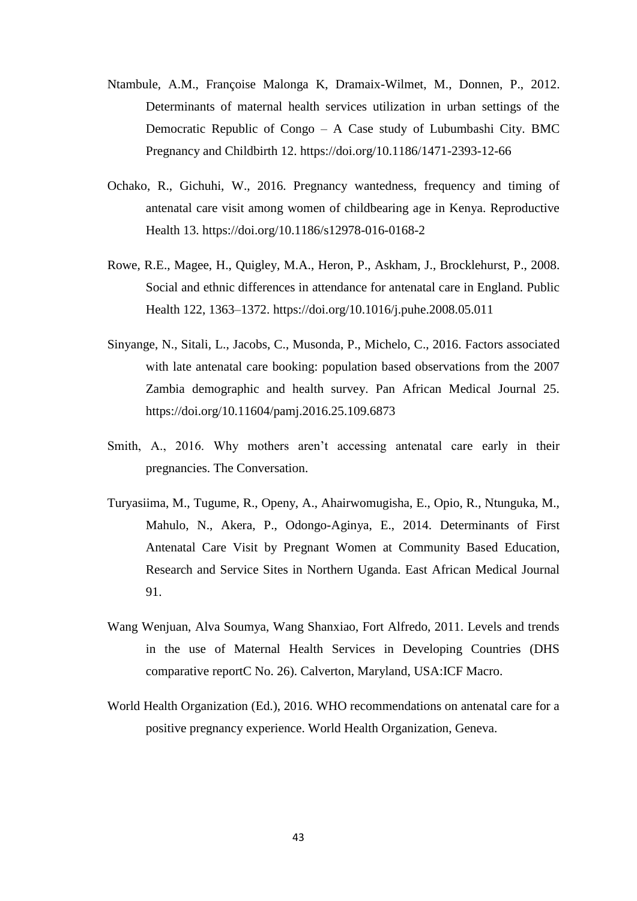- Ntambule, A.M., Françoise Malonga K, Dramaix-Wilmet, M., Donnen, P., 2012. Determinants of maternal health services utilization in urban settings of the Democratic Republic of Congo – A Case study of Lubumbashi City. BMC Pregnancy and Childbirth 12. https://doi.org/10.1186/1471-2393-12-66
- Ochako, R., Gichuhi, W., 2016. Pregnancy wantedness, frequency and timing of antenatal care visit among women of childbearing age in Kenya. Reproductive Health 13. https://doi.org/10.1186/s12978-016-0168-2
- Rowe, R.E., Magee, H., Quigley, M.A., Heron, P., Askham, J., Brocklehurst, P., 2008. Social and ethnic differences in attendance for antenatal care in England. Public Health 122, 1363–1372. https://doi.org/10.1016/j.puhe.2008.05.011
- Sinyange, N., Sitali, L., Jacobs, C., Musonda, P., Michelo, C., 2016. Factors associated with late antenatal care booking: population based observations from the 2007 Zambia demographic and health survey. Pan African Medical Journal 25. https://doi.org/10.11604/pamj.2016.25.109.6873
- Smith, A., 2016. Why mothers aren't accessing antenatal care early in their pregnancies. The Conversation.
- Turyasiima, M., Tugume, R., Openy, A., Ahairwomugisha, E., Opio, R., Ntunguka, M., Mahulo, N., Akera, P., Odongo-Aginya, E., 2014. Determinants of First Antenatal Care Visit by Pregnant Women at Community Based Education, Research and Service Sites in Northern Uganda. East African Medical Journal 91.
- Wang Wenjuan, Alva Soumya, Wang Shanxiao, Fort Alfredo, 2011. Levels and trends in the use of Maternal Health Services in Developing Countries (DHS comparative reportC No. 26). Calverton, Maryland, USA:ICF Macro.
- World Health Organization (Ed.), 2016. WHO recommendations on antenatal care for a positive pregnancy experience. World Health Organization, Geneva.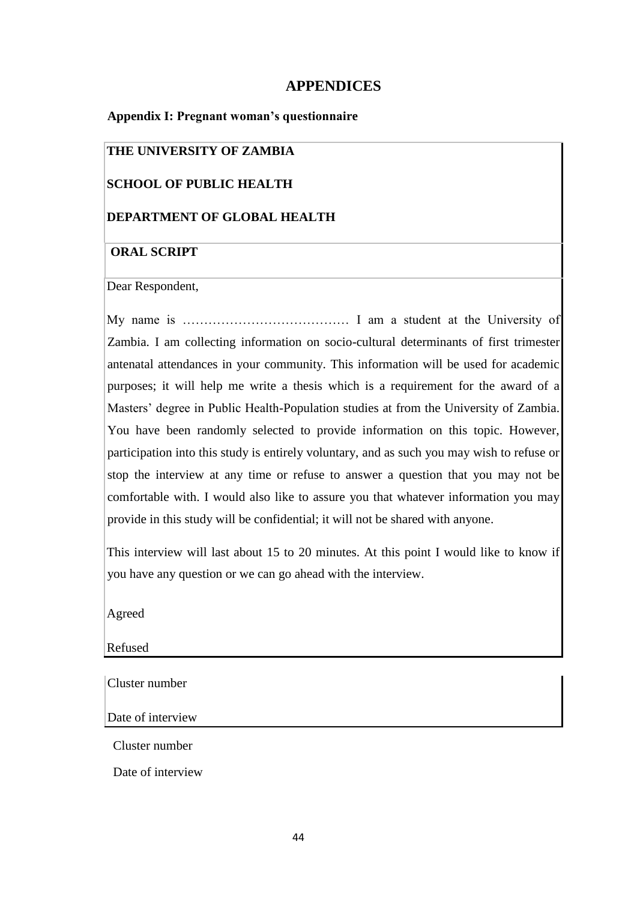# **APPENDICES**

### **Appendix I: Pregnant woman's questionnaire**

# **THE UNIVERSITY OF ZAMBIA**

# **SCHOOL OF PUBLIC HEALTH**

# **DEPARTMENT OF GLOBAL HEALTH**

# **ORAL SCRIPT**

Dear Respondent,

My name is ………………………………… I am a student at the University of Zambia. I am collecting information on socio-cultural determinants of first trimester antenatal attendances in your community. This information will be used for academic purposes; it will help me write a thesis which is a requirement for the award of a Masters' degree in Public Health-Population studies at from the University of Zambia. You have been randomly selected to provide information on this topic. However, participation into this study is entirely voluntary, and as such you may wish to refuse or stop the interview at any time or refuse to answer a question that you may not be comfortable with. I would also like to assure you that whatever information you may provide in this study will be confidential; it will not be shared with anyone.

This interview will last about 15 to 20 minutes. At this point I would like to know if you have any question or we can go ahead with the interview.

Agreed

Refused

Cluster number

Date of interview

Cluster number

Date of interview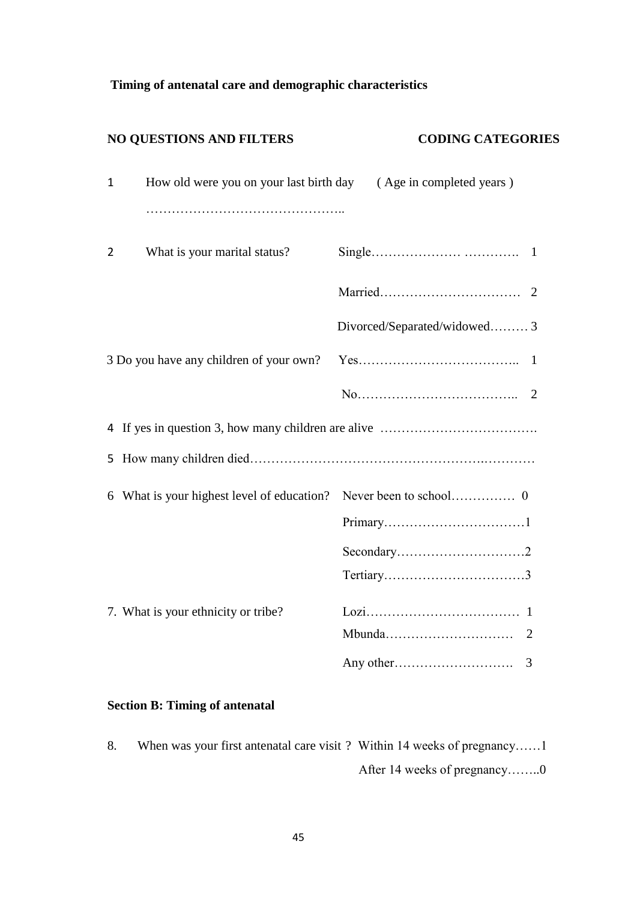# **Timing of antenatal care and demographic characteristics**

|              | <b>NO QUESTIONS AND FILTERS</b>         | <b>CODING CATEGORIES</b>     |
|--------------|-----------------------------------------|------------------------------|
| $\mathbf{1}$ | How old were you on your last birth day | (Age in completed years)     |
| 2            | What is your marital status?            |                              |
|              |                                         | 2                            |
|              |                                         | Divorced/Separated/widowed 3 |
|              | 3 Do you have any children of your own? |                              |
|              |                                         | 2                            |
|              |                                         |                              |
|              |                                         |                              |
|              |                                         |                              |
|              |                                         |                              |
|              |                                         |                              |
|              | 7. What is your ethnicity or tribe?     | 2                            |
|              |                                         | 3                            |

# **Section B: Timing of antenatal**

8. When was your first antenatal care visit ? Within 14 weeks of pregnancy......1 After 14 weeks of pregnancy……..0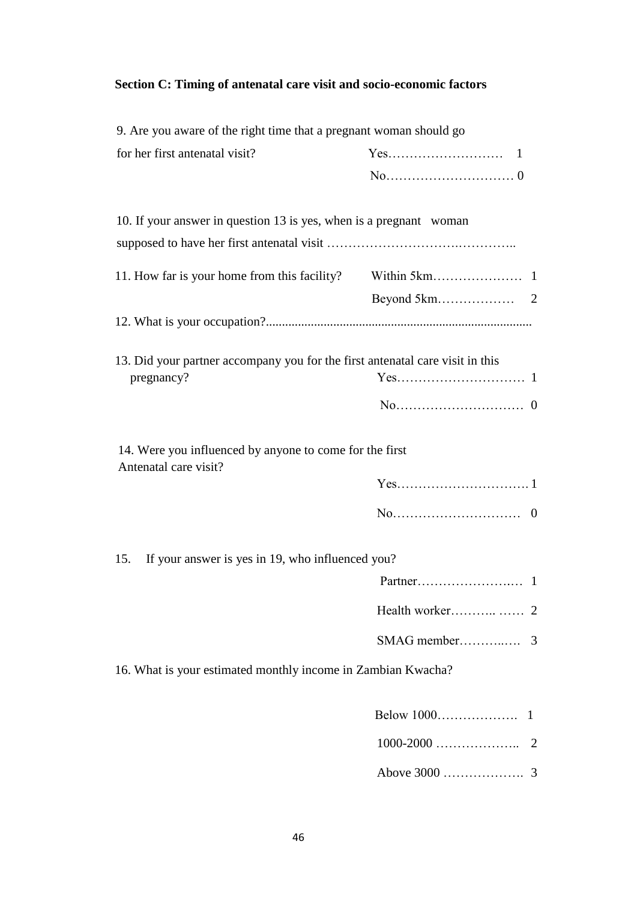# **Section C: Timing of antenatal care visit and socio-economic factors**

| 9. Are you aware of the right time that a pregnant woman should go                          |  |
|---------------------------------------------------------------------------------------------|--|
| for her first antenatal visit?                                                              |  |
|                                                                                             |  |
| 10. If your answer in question 13 is yes, when is a pregnant woman                          |  |
|                                                                                             |  |
|                                                                                             |  |
|                                                                                             |  |
|                                                                                             |  |
| 13. Did your partner accompany you for the first antenatal care visit in this<br>pregnancy? |  |
|                                                                                             |  |
|                                                                                             |  |
| 14. Were you influenced by anyone to come for the first<br>Antenatal care visit?            |  |
|                                                                                             |  |
|                                                                                             |  |
| If your answer is yes in 19, who influenced you?<br>15.                                     |  |
|                                                                                             |  |
|                                                                                             |  |
|                                                                                             |  |
| 16. What is your estimated monthly income in Zambian Kwacha?                                |  |
|                                                                                             |  |
|                                                                                             |  |

Above 3000 ………………. 3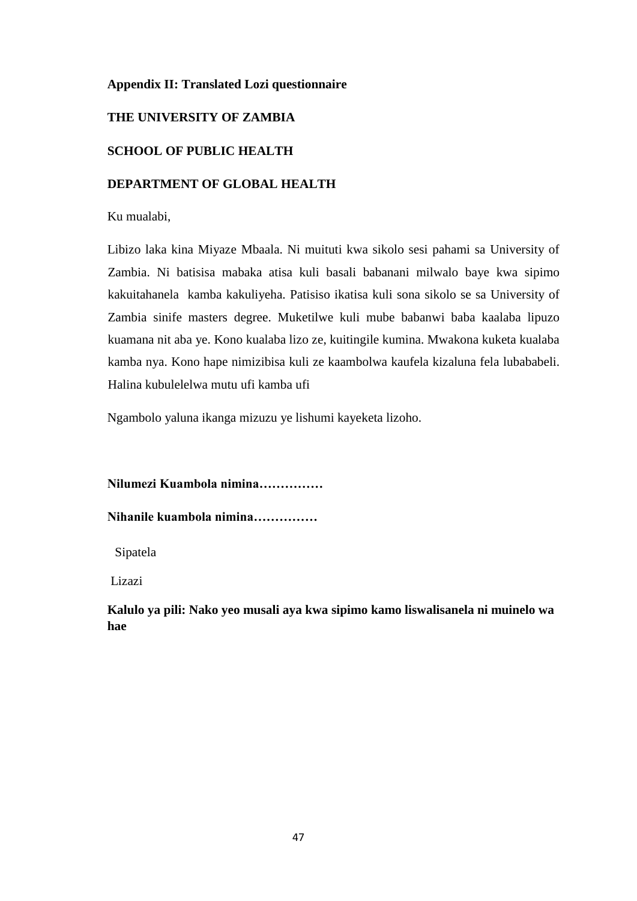# **Appendix II: Translated Lozi questionnaire**

# **THE UNIVERSITY OF ZAMBIA**

# **SCHOOL OF PUBLIC HEALTH**

### **DEPARTMENT OF GLOBAL HEALTH**

Ku mualabi,

Libizo laka kina Miyaze Mbaala. Ni muituti kwa sikolo sesi pahami sa University of Zambia. Ni batisisa mabaka atisa kuli basali babanani milwalo baye kwa sipimo kakuitahanela kamba kakuliyeha. Patisiso ikatisa kuli sona sikolo se sa University of Zambia sinife masters degree. Muketilwe kuli mube babanwi baba kaalaba lipuzo kuamana nit aba ye. Kono kualaba lizo ze, kuitingile kumina. Mwakona kuketa kualaba kamba nya. Kono hape nimizibisa kuli ze kaambolwa kaufela kizaluna fela lubababeli. Halina kubulelelwa mutu ufi kamba ufi

Ngambolo yaluna ikanga mizuzu ye lishumi kayeketa lizoho.

### **Nilumezi Kuambola nimina……………**

### **Nihanile kuambola nimina……………**

Sipatela

Lizazi

**Kalulo ya pili: Nako yeo musali aya kwa sipimo kamo liswalisanela ni muinelo wa hae**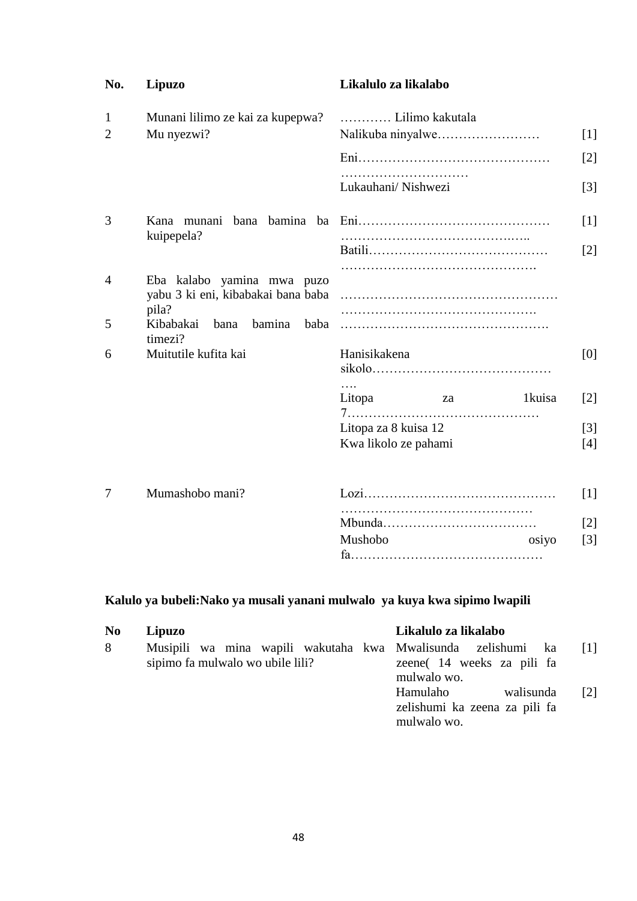| No.            | <b>Lipuzo</b>                                           | Likalulo za likalabo  |                   |
|----------------|---------------------------------------------------------|-----------------------|-------------------|
| 1              | Munani lilimo ze kai za kupepwa?                        | Lilimo kakutala       |                   |
| 2              | Mu nyezwi?                                              |                       | $[1]$             |
|                |                                                         |                       | $\lceil 2 \rceil$ |
|                |                                                         | Lukauhani/Nishwezi    | $\lceil 3 \rceil$ |
| 3              | Kana munani                                             |                       | $[1]$             |
| kuipepela?     |                                                         | $\lceil 2 \rceil$     |                   |
| $\overline{4}$ | Eba kalabo yamina mwa puzo                              |                       |                   |
|                | yabu 3 ki eni, kibabakai bana baba                      |                       |                   |
| 5              | pila?<br>Kibabakai<br>bamina<br>bana<br>baba<br>timezi? |                       |                   |
| 6              | Muitutile kufita kai                                    | Hanisikakena          | [0]               |
|                |                                                         | .<br>Litopa<br>1kuisa | $\lceil 2 \rceil$ |
|                |                                                         | za                    |                   |
|                |                                                         | Litopa za 8 kuisa 12  | $\lceil 3 \rceil$ |
|                |                                                         | Kwa likolo ze pahami  | [4]               |
| 7              | Mumashobo mani?                                         |                       | $[1]$             |
|                |                                                         |                       | $\lceil 2 \rceil$ |
|                |                                                         | Mushobo<br>osiyo      | $\lceil 3 \rceil$ |
|                |                                                         |                       |                   |

# **Kalulo ya bubeli:Nako ya musali yanani mulwalo ya kuya kwa sipimo lwapili**

| N <sub>0</sub> | Lipuzo                                                                                           | Likalulo za likalabo                                                  |                   |
|----------------|--------------------------------------------------------------------------------------------------|-----------------------------------------------------------------------|-------------------|
| 8              | Musipili wa mina wapili wakutaha kwa Mwalisunda zelishumi ka<br>sipimo fa mulwalo wo ubile lili? | zeene (14 weeks za pili fa<br>mulwalo wo.                             |                   |
|                |                                                                                                  | Hamulaho<br>walisunda<br>zelishumi ka zeena za pili fa<br>mulwalo wo. | $\lceil 2 \rceil$ |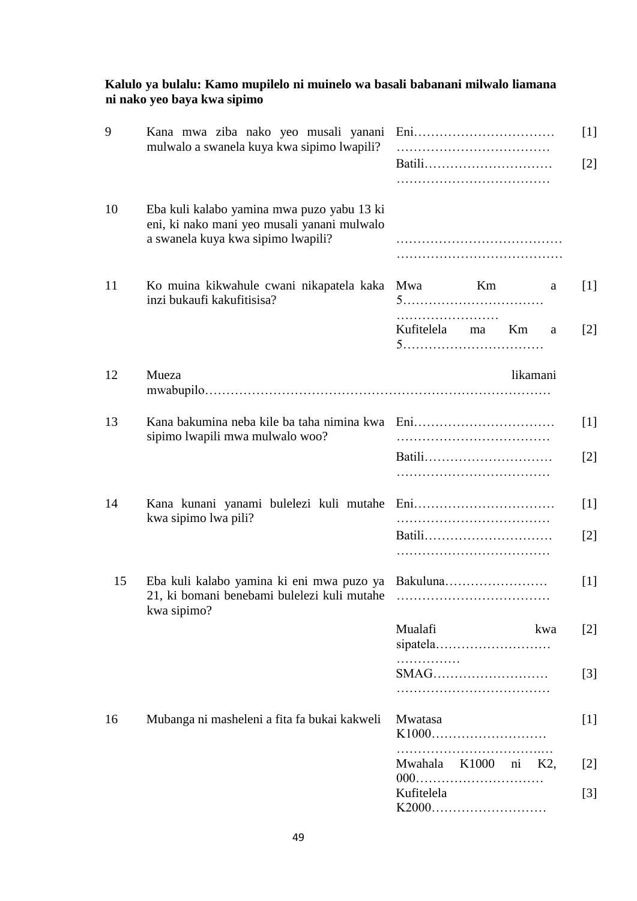### **Kalulo ya bulalu: Kamo mupilelo ni muinelo wa basali babanani milwalo liamana ni nako yeo baya kwa sipimo**

| 9  | Kana mwa ziba nako yeo musali yanani<br>mulwalo a swanela kuya kwa sipimo lwapili?                                              | Batili                  |          | $[1]$<br>$\lceil 2 \rceil$ |
|----|---------------------------------------------------------------------------------------------------------------------------------|-------------------------|----------|----------------------------|
| 10 | Eba kuli kalabo yamina mwa puzo yabu 13 ki<br>eni, ki nako mani yeo musali yanani mulwalo<br>a swanela kuya kwa sipimo lwapili? |                         |          |                            |
| 11 | Ko muina kikwahule cwani nikapatela kaka<br>inzi bukaufi kakufitisisa?                                                          | Mwa                     | Km       | [1]<br>a                   |
|    |                                                                                                                                 | Kufitelela ma           | Km       | $\lceil 2 \rceil$<br>a     |
| 12 | Mueza                                                                                                                           |                         | likamani |                            |
| 13 | Kana bakumina neba kile ba taha nimina kwa<br>sipimo lwapili mwa mulwalo woo?                                                   | Batili                  |          | [1]<br>$\lceil 2 \rceil$   |
| 14 | Kana kunani yanami bulelezi kuli mutahe<br>kwa sipimo lwa pili?                                                                 | Batili                  |          | [1]<br>$\lceil 2 \rceil$   |
| 15 | Eba kuli kalabo yamina ki eni mwa puzo ya<br>21, ki bomani benebami bulelezi kuli mutahe<br>kwa sipimo?                         | Bakuluna                |          | $[1]$                      |
|    |                                                                                                                                 | Mualafi<br>.            |          | kwa<br>$[2]$               |
|    |                                                                                                                                 | SMAG                    |          | $[3]$                      |
| 16 | Mubanga ni masheleni a fita fa bukai kakweli                                                                                    | Mwatasa<br>K1000        |          | $[1]$                      |
|    |                                                                                                                                 | Mwahala K1000 ni<br>000 |          | K2,<br>$\lceil 2 \rceil$   |
|    |                                                                                                                                 | Kufitelela<br>K2000     |          | $[3]$                      |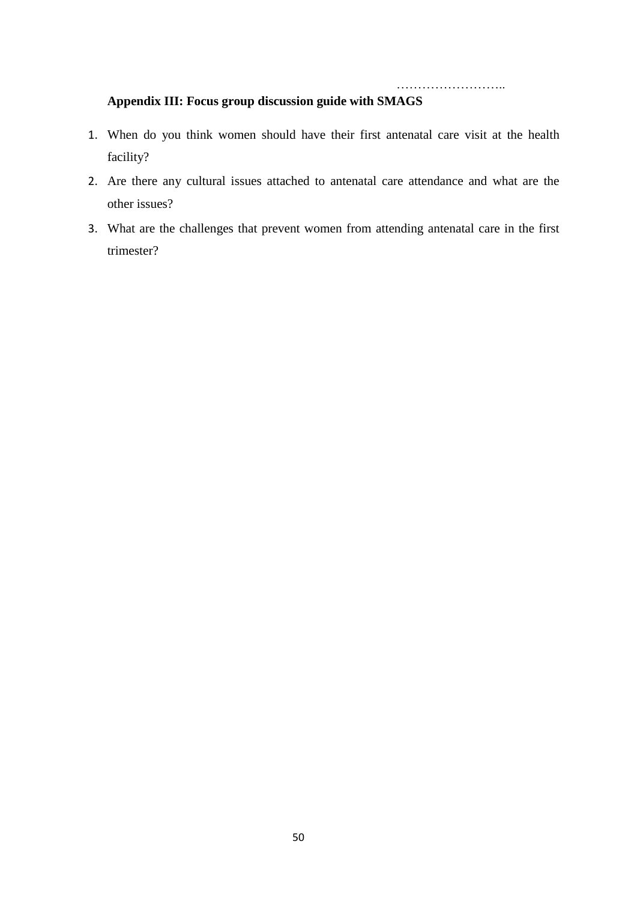……………………..

# **Appendix III: Focus group discussion guide with SMAGS**

- 1. When do you think women should have their first antenatal care visit at the health facility?
- 2. Are there any cultural issues attached to antenatal care attendance and what are the other issues?
- 3. What are the challenges that prevent women from attending antenatal care in the first trimester?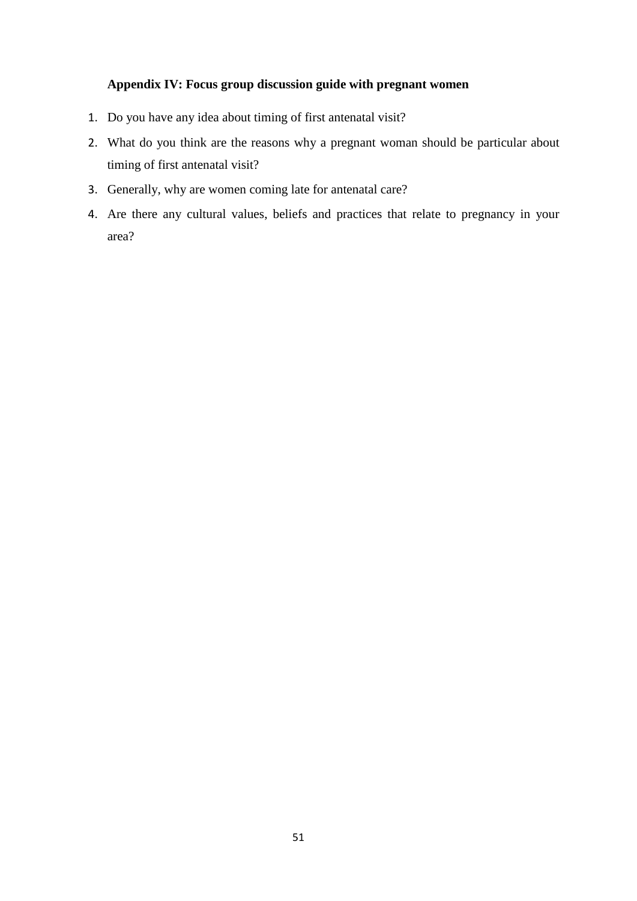# **Appendix IV: Focus group discussion guide with pregnant women**

- 1. Do you have any idea about timing of first antenatal visit?
- 2. What do you think are the reasons why a pregnant woman should be particular about timing of first antenatal visit?
- 3. Generally, why are women coming late for antenatal care?
- 4. Are there any cultural values, beliefs and practices that relate to pregnancy in your area?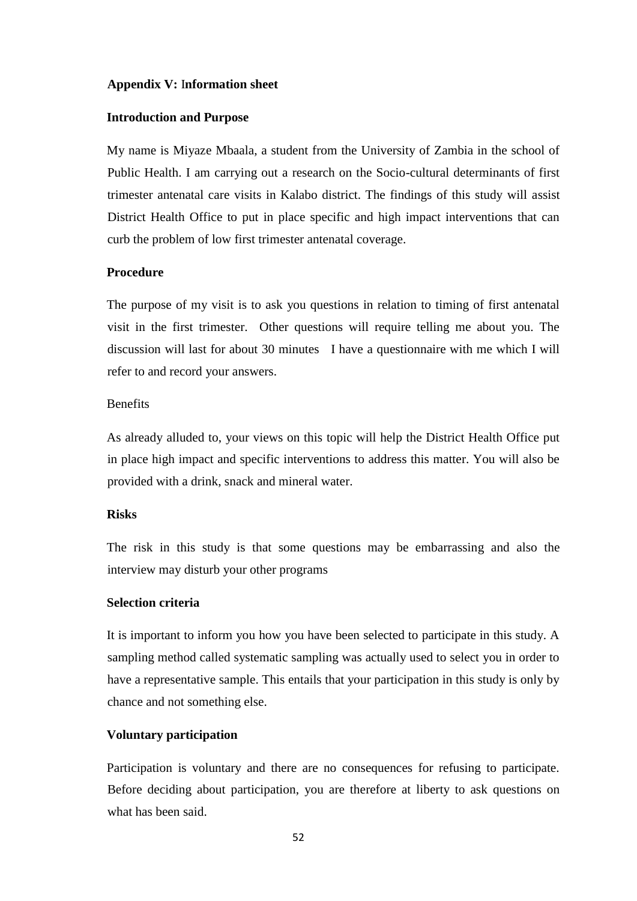### **Appendix V:** I**nformation sheet**

### **Introduction and Purpose**

My name is Miyaze Mbaala, a student from the University of Zambia in the school of Public Health. I am carrying out a research on the Socio-cultural determinants of first trimester antenatal care visits in Kalabo district. The findings of this study will assist District Health Office to put in place specific and high impact interventions that can curb the problem of low first trimester antenatal coverage.

### **Procedure**

The purpose of my visit is to ask you questions in relation to timing of first antenatal visit in the first trimester. Other questions will require telling me about you. The discussion will last for about 30 minutes I have a questionnaire with me which I will refer to and record your answers.

### Benefits

As already alluded to, your views on this topic will help the District Health Office put in place high impact and specific interventions to address this matter. You will also be provided with a drink, snack and mineral water.

### **Risks**

The risk in this study is that some questions may be embarrassing and also the interview may disturb your other programs

### **Selection criteria**

It is important to inform you how you have been selected to participate in this study. A sampling method called systematic sampling was actually used to select you in order to have a representative sample. This entails that your participation in this study is only by chance and not something else.

### **Voluntary participation**

Participation is voluntary and there are no consequences for refusing to participate. Before deciding about participation, you are therefore at liberty to ask questions on what has been said.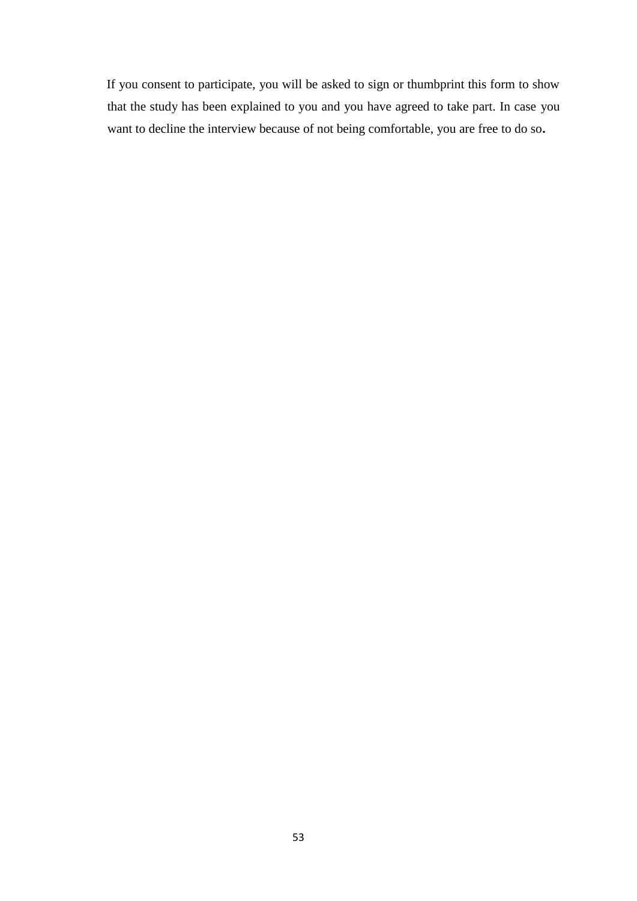If you consent to participate, you will be asked to sign or thumbprint this form to show that the study has been explained to you and you have agreed to take part. In case you want to decline the interview because of not being comfortable, you are free to do so**.**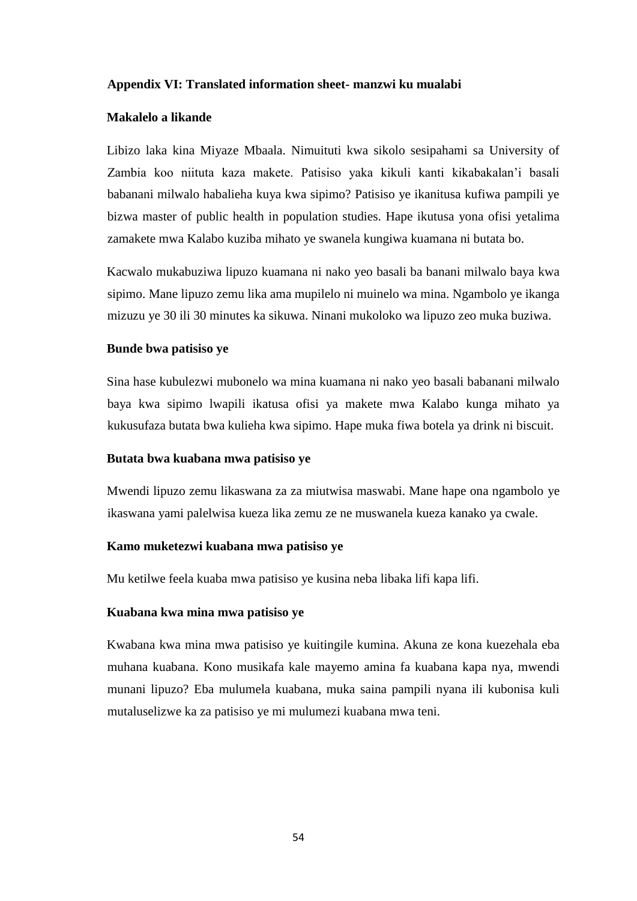### **Appendix VI: Translated information sheet- manzwi ku mualabi**

### **Makalelo a likande**

Libizo laka kina Miyaze Mbaala. Nimuituti kwa sikolo sesipahami sa University of Zambia koo niituta kaza makete. Patisiso yaka kikuli kanti kikabakalan'i basali babanani milwalo habalieha kuya kwa sipimo? Patisiso ye ikanitusa kufiwa pampili ye bizwa master of public health in population studies. Hape ikutusa yona ofisi yetalima zamakete mwa Kalabo kuziba mihato ye swanela kungiwa kuamana ni butata bo.

Kacwalo mukabuziwa lipuzo kuamana ni nako yeo basali ba banani milwalo baya kwa sipimo. Mane lipuzo zemu lika ama mupilelo ni muinelo wa mina. Ngambolo ye ikanga mizuzu ye 30 ili 30 minutes ka sikuwa. Ninani mukoloko wa lipuzo zeo muka buziwa.

### **Bunde bwa patisiso ye**

Sina hase kubulezwi mubonelo wa mina kuamana ni nako yeo basali babanani milwalo baya kwa sipimo lwapili ikatusa ofisi ya makete mwa Kalabo kunga mihato ya kukusufaza butata bwa kulieha kwa sipimo. Hape muka fiwa botela ya drink ni biscuit.

#### **Butata bwa kuabana mwa patisiso ye**

Mwendi lipuzo zemu likaswana za za miutwisa maswabi. Mane hape ona ngambolo ye ikaswana yami palelwisa kueza lika zemu ze ne muswanela kueza kanako ya cwale.

### **Kamo muketezwi kuabana mwa patisiso ye**

Mu ketilwe feela kuaba mwa patisiso ye kusina neba libaka lifi kapa lifi.

#### **Kuabana kwa mina mwa patisiso ye**

Kwabana kwa mina mwa patisiso ye kuitingile kumina. Akuna ze kona kuezehala eba muhana kuabana. Kono musikafa kale mayemo amina fa kuabana kapa nya, mwendi munani lipuzo? Eba mulumela kuabana, muka saina pampili nyana ili kubonisa kuli mutaluselizwe ka za patisiso ye mi mulumezi kuabana mwa teni.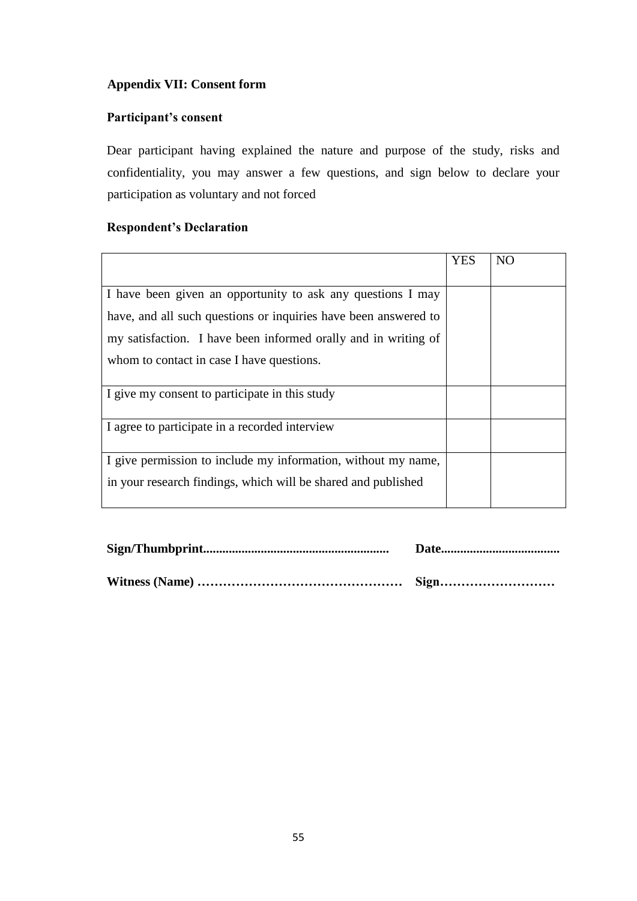# **Appendix VII: Consent form**

# **Participant's consent**

Dear participant having explained the nature and purpose of the study, risks and confidentiality, you may answer a few questions, and sign below to declare your participation as voluntary and not forced

# **Respondent's Declaration**

|                                                                 | <b>YES</b> | N <sub>O</sub> |
|-----------------------------------------------------------------|------------|----------------|
|                                                                 |            |                |
| I have been given an opportunity to ask any questions I may     |            |                |
| have, and all such questions or inquiries have been answered to |            |                |
| my satisfaction. I have been informed orally and in writing of  |            |                |
| whom to contact in case I have questions.                       |            |                |
| I give my consent to participate in this study                  |            |                |
| I agree to participate in a recorded interview                  |            |                |
| I give permission to include my information, without my name,   |            |                |
| in your research findings, which will be shared and published   |            |                |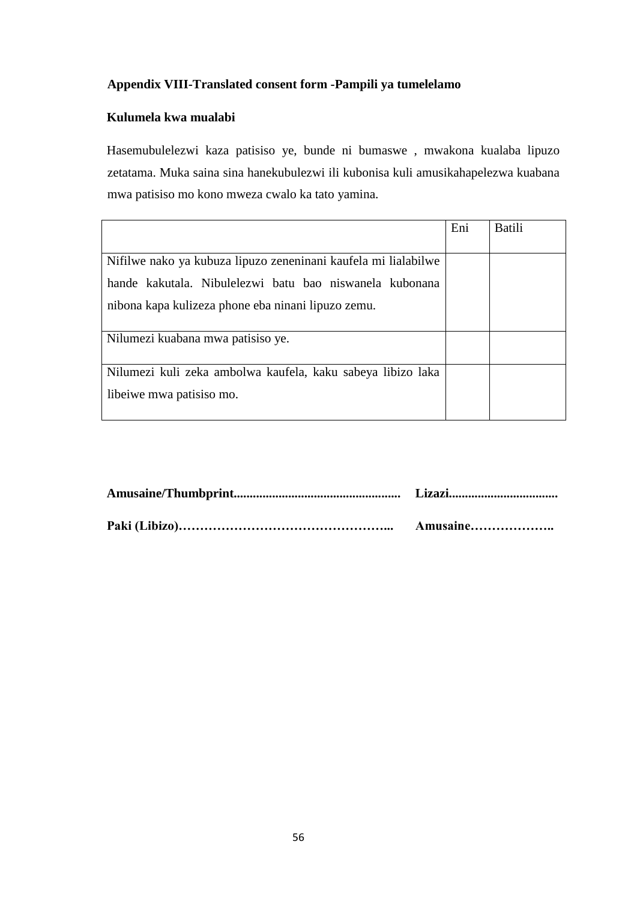# **Appendix VIII-Translated consent form -Pampili ya tumelelamo**

# **Kulumela kwa mualabi**

Hasemubulelezwi kaza patisiso ye, bunde ni bumaswe , mwakona kualaba lipuzo zetatama. Muka saina sina hanekubulezwi ili kubonisa kuli amusikahapelezwa kuabana mwa patisiso mo kono mweza cwalo ka tato yamina.

|                                                                | Eni | <b>Batili</b> |
|----------------------------------------------------------------|-----|---------------|
|                                                                |     |               |
| Nifilwe nako ya kubuza lipuzo zeneninani kaufela mi lialabilwe |     |               |
| hande kakutala. Nibulelezwi batu bao niswanela kubonana        |     |               |
| nibona kapa kulizeza phone eba ninani lipuzo zemu.             |     |               |
| Nilumezi kuabana mwa patisiso ye.                              |     |               |
| Nilumezi kuli zeka ambolwa kaufela, kaku sabeya libizo laka    |     |               |
| libeiwe mwa patisiso mo.                                       |     |               |

| Amusaine |
|----------|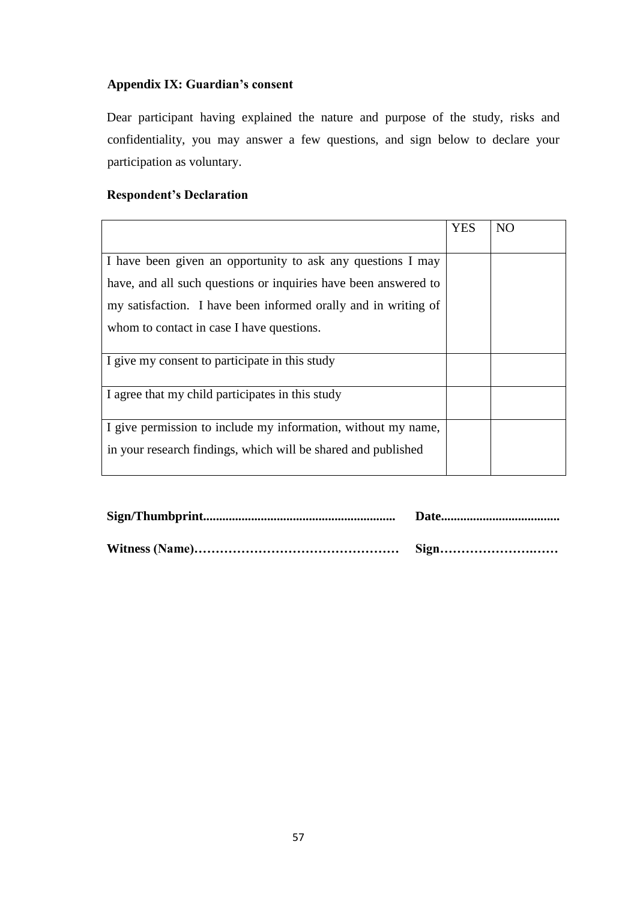# **Appendix IX: Guardian's consent**

Dear participant having explained the nature and purpose of the study, risks and confidentiality, you may answer a few questions, and sign below to declare your participation as voluntary.

# **Respondent's Declaration**

|                                                                 | <b>YES</b> | N <sub>O</sub> |
|-----------------------------------------------------------------|------------|----------------|
|                                                                 |            |                |
| I have been given an opportunity to ask any questions I may     |            |                |
| have, and all such questions or inquiries have been answered to |            |                |
| my satisfaction. I have been informed orally and in writing of  |            |                |
| whom to contact in case I have questions.                       |            |                |
|                                                                 |            |                |
| I give my consent to participate in this study                  |            |                |
|                                                                 |            |                |
| I agree that my child participates in this study                |            |                |
| I give permission to include my information, without my name,   |            |                |
| in your research findings, which will be shared and published   |            |                |
|                                                                 |            |                |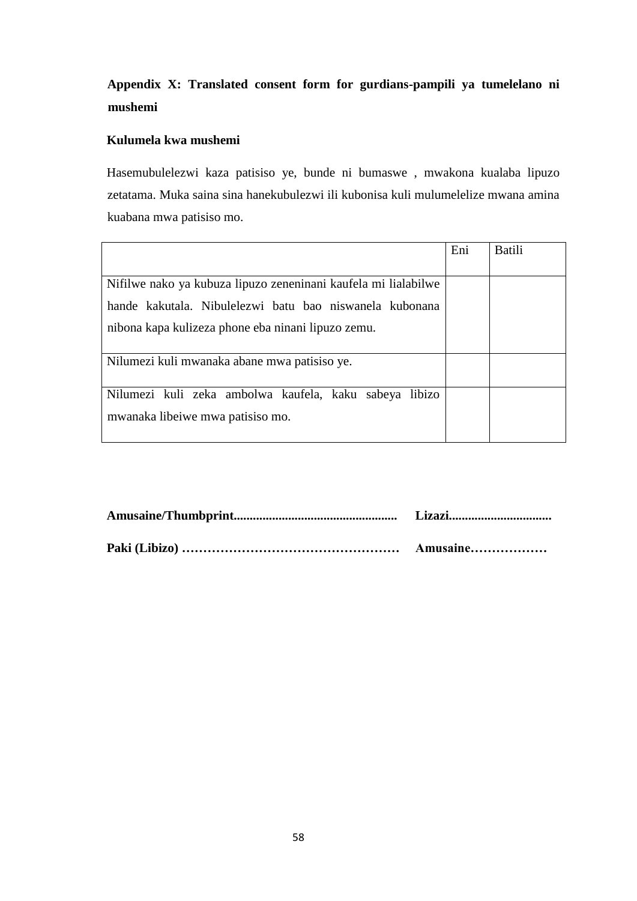# **Appendix X: Translated consent form for gurdians-pampili ya tumelelano ni mushemi**

# **Kulumela kwa mushemi**

Hasemubulelezwi kaza patisiso ye, bunde ni bumaswe , mwakona kualaba lipuzo zetatama. Muka saina sina hanekubulezwi ili kubonisa kuli mulumelelize mwana amina kuabana mwa patisiso mo.

|                                                                                            | Eni | <b>Batili</b> |
|--------------------------------------------------------------------------------------------|-----|---------------|
|                                                                                            |     |               |
| Nifilwe nako ya kubuza lipuzo zeneninani kaufela mi lialabilwe                             |     |               |
| hande kakutala. Nibulelezwi batu bao niswanela kubonana                                    |     |               |
| nibona kapa kulizeza phone eba ninani lipuzo zemu.                                         |     |               |
| Nilumezi kuli mwanaka abane mwa patisiso ye.                                               |     |               |
| Nilumezi kuli zeka ambolwa kaufela, kaku sabeya libizo<br>mwanaka libeiwe mwa patisiso mo. |     |               |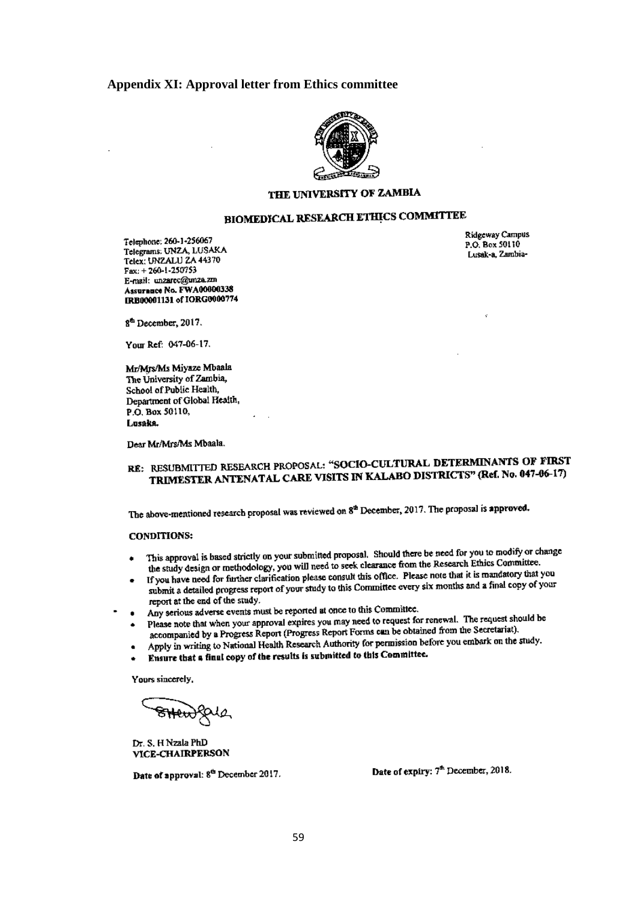#### **Appendix XI: Approval letter from Ethics committee**



### THE UNIVERSITY OF ZAMBIA

# **BIOMEDICAL RESEARCH ETHICS COMMITTEE**

Telephone: 260-1-256067 Telegrams: UNZA, LUSAKA Telex: UNZALU ZA 44370  $Fax: +260-1-250753$ E-mail: unzarec@unza.zm Assurance No. FWA00000338 IRB00001131 of IORG0000774 Ridgeway Campus P.O. Box 50110 Lusak-a, Zambia-

8<sup>th</sup> December, 2017.

Your Ref: 047-06-17.

Mr/Mrs/Ms Miyaze Mbaala The University of Zambia. School of Public Health. Department of Global Health. P.O. Box 50110, Lusaka.

Dear Mr/Mrs/Ms Mbaala.

# RE: RESUBMITTED RESEARCH PROPOSAL: "SOCIO-CULTURAL DETERMINANTS OF FIRST TRIMESTER ANTENATAL CARE VISITS IN KALABO DISTRICTS" (Ref. No. 047-06-17)

The above-mentioned research proposal was reviewed on 8<sup>th</sup> December, 2017. The proposal is approved.

#### **CONDITIONS:**

- This approval is based strictly on your submitted proposal. Should there be need for you to modify or change the study design or methodology, you will need to seek clearance from the Research Ethics Committee.
- If you have need for further clarification please consult this office. Please note that it is mandatory that you submit a detailed progress report of your study to this Committee every six months and a final copy of your report at the end of the study.
- Any serious adverse events must be reported at once to this Committee.
- Please note that when your approval expires you may need to request for renewal. The request should be accompanied by a Progress Report (Progress Report Forms can be obtained from the Secretariat).
- Apply in writing to National Health Research Authority for permission before you embark on the study.
- Ensure that a final copy of the results is submitted to this Committee.

Yours sincerely,

<del>SHew</del>igate

Dr. S. H Nzala PhD VICE-CHAIRPERSON

Date of approval: 8<sup>th</sup> December 2017.

Date of expiry: 7<sup>th</sup> December, 2018.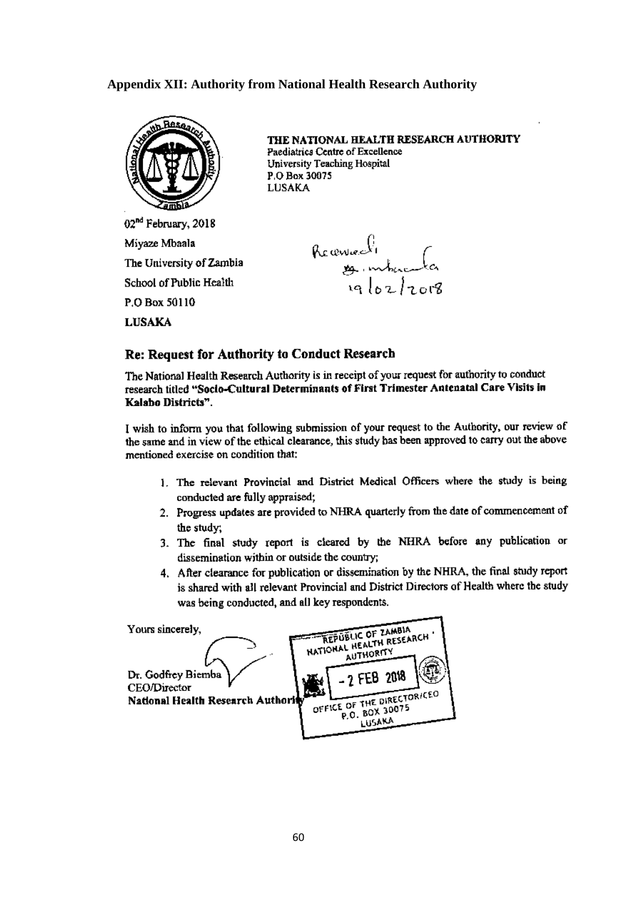### **Appendix XII: Authority from National Health Research Authority**



THE NATIONAL HEALTH RESEARCH AUTHORITY Paediatrics Centre of Excellence University Teaching Hospital P.O. Box 30075 **LUSAKA** 

02<sup>nd</sup> February, 2018 Miyaze Mbaala The University of Zambia School of Public Health P.O Box 50110 **LUSAKA** 

Reconnection<br>of Ioz/2018

#### Re: Request for Authority to Conduct Research

The National Health Research Authority is in receipt of your request for authority to conduct research titled "Socio-Cultural Determinants of First Trimester Antenatal Care Visits in Kalabo Districts".

I wish to inform you that following submission of your request to the Authority, our review of the same and in view of the ethical clearance, this study has been approved to carry out the above mentioned exercise on condition that:

- 1. The relevant Provincial and District Medical Officers where the study is being conducted are fully appraised;
- 2. Progress updates are provided to NHRA quarterly from the date of commencement of the study:
- 3. The final study report is cleared by the NHRA before any publication or dissemination within or outside the country;
- 4. After clearance for publication or dissemination by the NHRA, the final study report is shared with all relevant Provincial and District Directors of Health where the study was being conducted, and all key respondents.